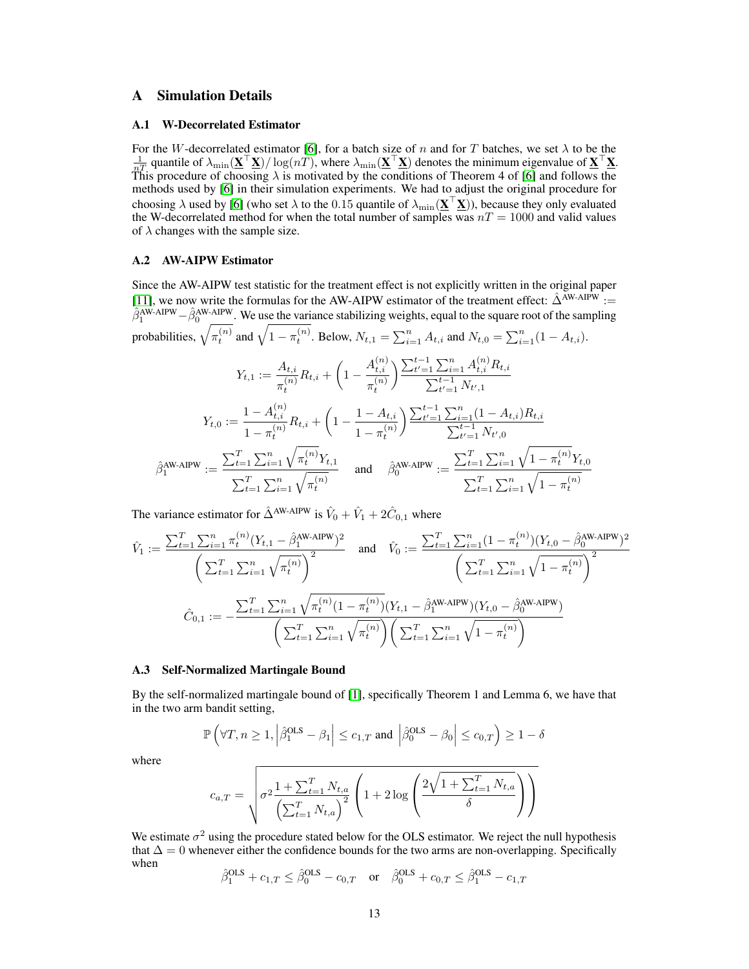# A Simulation Details

#### A.1 W-Decorrelated Estimator

For the W-decorrelated estimator [\[6\]](#page--1-0), for a batch size of n and for T batches, we set  $\lambda$  to be the  $\frac{1}{nT}$  quantile of  $\lambda_{\min}(\mathbf{\underline{X}}^{\top}\mathbf{\underline{X}})/\log(nT)$ , where  $\lambda_{\min}(\mathbf{\underline{X}}^{\top}\mathbf{\underline{X}})$  denotes the minimum eigenvalue of  $\mathbf{\underline{X}}^{\top}\mathbf{\underline{X}}$ . This procedure of choosing  $\lambda$  is motivated by the conditions of Theorem 4 of [\[6\]](#page--1-0) and follows the methods used by [\[6\]](#page--1-0) in their simulation experiments. We had to adjust the original procedure for choosing  $\lambda$  used by [\[6\]](#page--1-0) (who set  $\lambda$  to the 0.15 quantile of  $\lambda_{\min}(\mathbf{\underline{X}}^\top \mathbf{\underline{X}})$ ), because they only evaluated the W-decorrelated method for when the total number of samples was  $nT = 1000$  and valid values of  $\lambda$  changes with the sample size.

#### A.2 AW-AIPW Estimator

Since the AW-AIPW test statistic for the treatment effect is not explicitly written in the original paper [\[11\]](#page--1-1), we now write the formulas for the AW-AIPW estimator of the treatment effect:  $\hat{\Delta}^{\text{AW-AIPW}}$  :=  $\hat{\beta}_1^{\text{AW-AIPW}} - \hat{\beta}_0^{\text{AW-AIPW}}$ . We use the variance stabilizing weights, equal to the square root of the sampling probabilities,  $\sqrt{\pi_t^{(n)}}$  and  $\sqrt{1-\pi_t^{(n)}}$ . Below,  $N_{t,1} = \sum_{i=1}^n A_{t,i}$  and  $N_{t,0} = \sum_{i=1}^n (1-A_{t,i})$ .

$$
Y_{t,1} := \frac{A_{t,i}}{\pi_t^{(n)}} R_{t,i} + \left(1 - \frac{A_{t,i}^{(n)}}{\pi_t^{(n)}}\right) \frac{\sum_{t'=1}^{t-1} \sum_{i=1}^n A_{t,i}^{(n)} R_{t,i}}{\sum_{t'=1}^{t-1} N_{t',1}}
$$

$$
Y_{t,0} := \frac{1 - A_{t,i}^{(n)}}{1 - \pi_t^{(n)}} R_{t,i} + \left(1 - \frac{1 - A_{t,i}}{1 - \pi_t^{(n)}}\right) \frac{\sum_{t'=1}^{t-1} \sum_{i=1}^n (1 - A_{t,i}) R_{t,i}}{\sum_{t'=1}^{t-1} N_{t',0}}
$$

$$
\hat{\beta}_1^{\text{AW-AIPW}} := \frac{\sum_{t=1}^T \sum_{i=1}^n \sqrt{\pi_t^{(n)}} Y_{t,1}}{\sum_{t=1}^T \sum_{i=1}^n \sqrt{\pi_t^{(n)}}} \quad \text{and} \quad \hat{\beta}_0^{\text{AW-AIPW}} := \frac{\sum_{t=1}^T \sum_{i=1}^n \sqrt{1 - \pi_t^{(n)}} Y_{t,0}}{\sum_{t=1}^T \sum_{i=1}^n \sqrt{1 - \pi_t^{(n)}}}
$$

The variance estimator for  $\hat{\Delta}^{\text{AW-AIPW}}$  is  $\hat{V}_0 + \hat{V}_1 + 2\hat{C}_{0,1}$  where

$$
\hat{V}_1 := \frac{\sum_{t=1}^T \sum_{i=1}^n \pi_t^{(n)} (Y_{t,1} - \hat{\beta}_1^{\text{AW-AIPW}})^2}{\left(\sum_{t=1}^T \sum_{i=1}^n \sqrt{\pi_t^{(n)}}\right)^2} \quad \text{and} \quad \hat{V}_0 := \frac{\sum_{t=1}^T \sum_{i=1}^n (1 - \pi_t^{(n)}) (Y_{t,0} - \hat{\beta}_0^{\text{AW-AIPW}})^2}{\left(\sum_{t=1}^T \sum_{i=1}^n \sqrt{1 - \pi_t^{(n)}}\right)^2}
$$
\n
$$
\hat{C}_{0,1} := -\frac{\sum_{t=1}^T \sum_{i=1}^n \sqrt{\pi_t^{(n)}} (1 - \pi_t^{(n)}) (Y_{t,1} - \hat{\beta}_1^{\text{AW-AIPW}}) (Y_{t,0} - \hat{\beta}_0^{\text{AW-AIPW}})}{\left(\sum_{t=1}^T \sum_{i=1}^n \sqrt{\pi_t^{(n)}}\right) \left(\sum_{t=1}^T \sum_{i=1}^n \sqrt{1 - \pi_t^{(n)}}\right)}
$$

#### A.3 Self-Normalized Martingale Bound

By the self-normalized martingale bound of [\[1\]](#page--1-2), specifically Theorem 1 and Lemma 6, we have that in the two arm bandit setting,

$$
\mathbb{P}\left(\forall T, n \ge 1, \left|\hat{\beta}_1^{\text{OLS}} - \beta_1\right| \le c_{1,T} \text{ and } \left|\hat{\beta}_0^{\text{OLS}} - \beta_0\right| \le c_{0,T}\right) \ge 1 - \delta
$$

where

$$
c_{a,T} = \sqrt{\sigma^2 \frac{1 + \sum_{t=1}^T N_{t,a}}{\left(\sum_{t=1}^T N_{t,a}\right)^2} \left(1 + 2\log\left(\frac{2\sqrt{1 + \sum_{t=1}^T N_{t,a}}}{\delta}\right)\right)}
$$

We estimate  $\sigma^2$  using the procedure stated below for the OLS estimator. We reject the null hypothesis that  $\Delta = 0$  whenever either the confidence bounds for the two arms are non-overlapping. Specifically when

$$
\hat{\beta}_1^{\text{OLS}} + c_{1,T} \le \hat{\beta}_0^{\text{OLS}} - c_{0,T} \quad \text{or} \quad \hat{\beta}_0^{\text{OLS}} + c_{0,T} \le \hat{\beta}_1^{\text{OLS}} - c_{1,T}
$$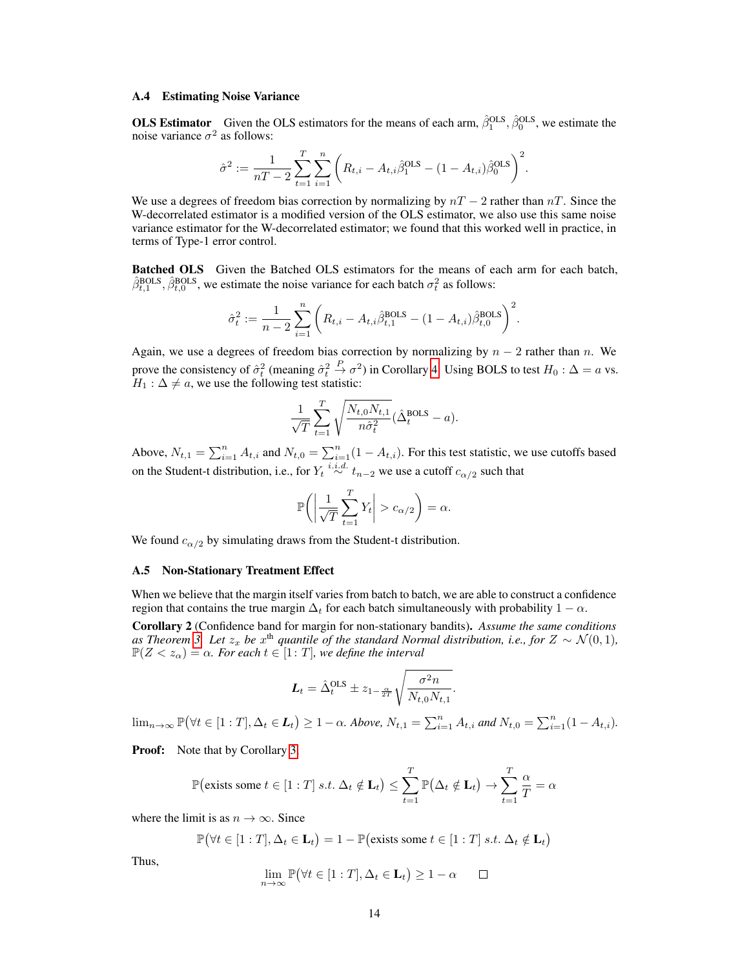#### A.4 Estimating Noise Variance

**OLS Estimator** Given the OLS estimators for the means of each arm,  $\hat{\beta}_1^{\text{OLS}}, \hat{\beta}_0^{\text{OLS}}$ , we estimate the noise variance  $\sigma^2$  as follows:

$$
\hat{\sigma}^2 := \frac{1}{nT-2} \sum_{t=1}^T \sum_{i=1}^n \bigg( R_{t,i} - A_{t,i} \hat{\beta}_1^{\text{OLS}} - (1 - A_{t,i}) \hat{\beta}_0^{\text{OLS}} \bigg)^2.
$$

We use a degrees of freedom bias correction by normalizing by  $nT - 2$  rather than  $nT$ . Since the W-decorrelated estimator is a modified version of the OLS estimator, we also use this same noise variance estimator for the W-decorrelated estimator; we found that this worked well in practice, in terms of Type-1 error control.

Batched OLS Given the Batched OLS estimators for the means of each arm for each batch,  $\hat{\beta}_{t,1}^{\text{BOLS}}, \hat{\beta}_{t,0}^{\text{BOLS}},$  we estimate the noise variance for each batch  $\sigma_t^2$  as follows:

$$
\hat{\sigma}_t^2 := \frac{1}{n-2} \sum_{i=1}^n \left( R_{t,i} - A_{t,i} \hat{\beta}_{t,1}^{\text{BOLS}} - (1 - A_{t,i}) \hat{\beta}_{t,0}^{\text{BOLS}} \right)^2.
$$

Again, we use a degrees of freedom bias correction by normalizing by  $n - 2$  rather than n. We prove the consistency of  $\hat{\sigma}_t^2$  (meaning  $\hat{\sigma}_t^2$  $\stackrel{P}{\rightarrow} \sigma^2$ ) in Corollary [4.](#page-23-0) Using BOLS to test  $H_0 : \Delta = a$  vs.  $H_1$ :  $\Delta \neq a$ , we use the following test statistic:

$$
\frac{1}{\sqrt{T}}\sum_{t=1}^T \sqrt{\frac{N_{t,0}N_{t,1}}{n\hat{\sigma}_t^2}}(\hat{\Delta}_t^{\text{BOLS}} - a).
$$

Above,  $N_{t,1} = \sum_{i=1}^{n} A_{t,i}$  and  $N_{t,0} = \sum_{i=1}^{n} (1 - A_{t,i})$ . For this test statistic, we use cutoffs based on the Student-t distribution, i.e., for  $Y_t \stackrel{i.i.d.}{\sim} t_{n-2}$  we use a cutoff  $c_{\alpha/2}$  such that

$$
\mathbb{P}\bigg(\bigg|\frac{1}{\sqrt{T}}\sum_{t=1}^T Y_t\bigg| > c_{\alpha/2}\bigg) = \alpha.
$$

We found  $c_{\alpha/2}$  by simulating draws from the Student-t distribution.

#### A.5 Non-Stationary Treatment Effect

When we believe that the margin itself varies from batch to batch, we are able to construct a confidence region that contains the true margin  $\Delta_t$  for each batch simultaneously with probability  $1 - \alpha$ .

Corollary 2 (Confidence band for margin for non-stationary bandits). *Assume the same conditions* as Theorem [3.](#page--1-3) Let  $z_x$  be  $x^{\text{th}}$  quantile of the standard Normal distribution, i.e., for  $Z \sim \mathcal{N}(0, 1)$ ,  $\mathbb{P}(Z < z_\alpha) = \alpha$ *. For each*  $t \in [1: T]$ *, we define the interval* 

$$
L_t = \hat{\Delta}_t^{\text{OLS}} \pm z_{1-\frac{\alpha}{2T}} \sqrt{\frac{\sigma^2 n}{N_{t,0} N_{t,1}}}.
$$

 $\lim_{n\to\infty} \mathbb{P}(\forall t \in [1:T], \Delta_t \in L_t) \geq 1-\alpha$ . Above,  $N_{t,1} = \sum_{i=1}^n A_{t,i}$  and  $N_{t,0} = \sum_{i=1}^n (1-A_{t,i})$ .

<span id="page-1-0"></span>Proof: Note that by Corollary [3,](#page-21-0)

$$
\mathbb{P}\left(\text{exists some }t\in\left[1:T\right]s.t.\ \Delta_t\notin\mathbf{L}_t\right)\leq \sum_{t=1}^T\mathbb{P}\left(\Delta_t\notin\mathbf{L}_t\right)\to \sum_{t=1}^T\frac{\alpha}{T}=\alpha
$$

where the limit is as  $n \to \infty$ . Since

$$
\mathbb{P}(\forall t \in [1:T], \Delta_t \in \mathbf{L}_t) = 1 - \mathbb{P}(\text{exists some } t \in [1:T] \text{ s.t. } \Delta_t \notin \mathbf{L}_t)
$$

Thus,

$$
\lim_{n \to \infty} \mathbb{P}(\forall t \in [1:T], \Delta_t \in \mathbf{L}_t) \ge 1 - \alpha \qquad \Box
$$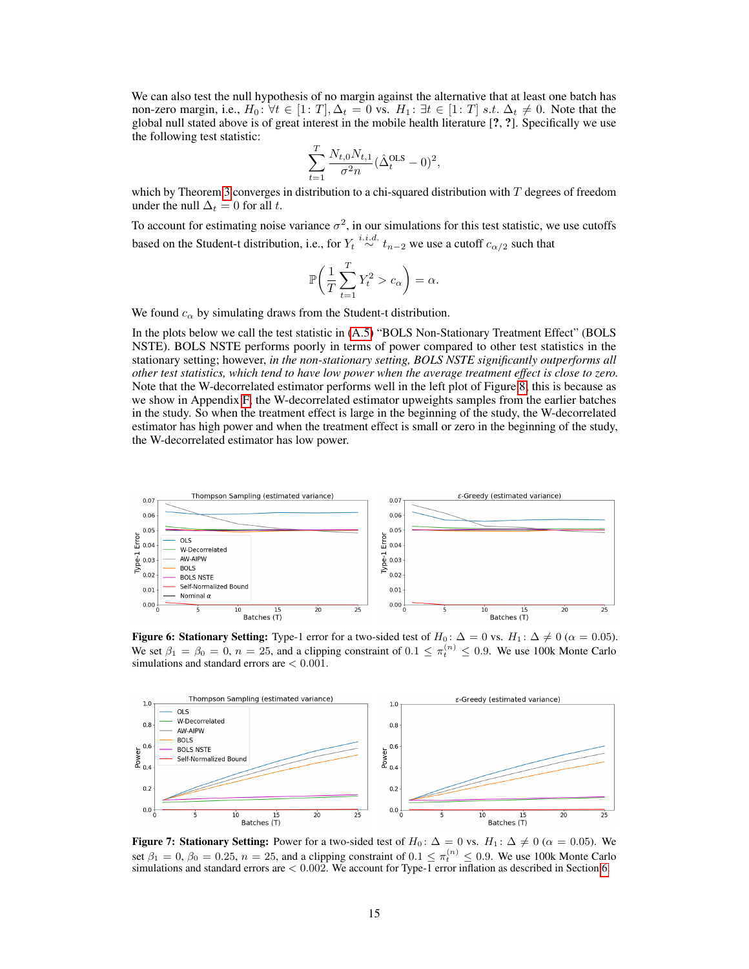We can also test the null hypothesis of no margin against the alternative that at least one batch has non-zero margin, i.e.,  $H_0: \forall t \in [1: T], \Delta_t = 0$  vs.  $H_1: \exists t \in [1: T] \text{ s.t. } \Delta_t \neq 0$ . Note that the global null stated above is of great interest in the mobile health literature [?, ?]. Specifically we use the following test statistic:

$$
\sum_{t=1}^{T} \frac{N_{t,0} N_{t,1}}{\sigma^2 n} (\hat{\Delta}^{\rm OLS}_t - 0)^2,
$$

which by Theorem [3](#page--1-3) converges in distribution to a chi-squared distribution with T degrees of freedom under the null  $\Delta_t = 0$  for all t.

To account for estimating noise variance  $\sigma^2$ , in our simulations for this test statistic, we use cutoffs based on the Student-t distribution, i.e., for  $Y_t \stackrel{i.i.d.}{\sim} t_{n-2}$  we use a cutoff  $c_{\alpha/2}$  such that

$$
\mathbb{P}\bigg(\frac{1}{T}\sum_{t=1}^T Y_t^2 > c_{\alpha}\bigg) = \alpha.
$$

We found  $c_{\alpha}$  by simulating draws from the Student-t distribution.

In the plots below we call the test statistic in [\(A.5\)](#page-1-0) "BOLS Non-Stationary Treatment Effect" (BOLS NSTE). BOLS NSTE performs poorly in terms of power compared to other test statistics in the stationary setting; however, *in the non-stationary setting, BOLS NSTE significantly outperforms all other test statistics, which tend to have low power when the average treatment effect is close to zero.* Note that the W-decorrelated estimator performs well in the left plot of Figure [8;](#page-3-0) this is because as we show in Appendix [F,](#page-32-0) the W-decorrelated estimator upweights samples from the earlier batches in the study. So when the treatment effect is large in the beginning of the study, the W-decorrelated estimator has high power and when the treatment effect is small or zero in the beginning of the study, the W-decorrelated estimator has low power.



Figure 6: Stationary Setting: Type-1 error for a two-sided test of  $H_0$ :  $\Delta = 0$  vs.  $H_1$ :  $\Delta \neq 0$  ( $\alpha = 0.05$ ). We set  $\beta_1 = \beta_0 = 0$ ,  $n = 25$ , and a clipping constraint of  $0.1 \leq \pi_t^{(n)} \leq 0.9$ . We use 100k Monte Carlo simulations and standard errors are < 0.001.



**Figure 7: Stationary Setting:** Power for a two-sided test of  $H_0: \Delta = 0$  vs.  $H_1: \Delta \neq 0$  ( $\alpha = 0.05$ ). We set  $\beta_1 = 0$ ,  $\beta_0 = 0.25$ ,  $n = 25$ , and a clipping constraint of  $0.1 \leq \pi_t^{(n)} \leq 0.9$ . We use 100k Monte Carlo simulations and standard errors are < 0.002. We account for Type-1 error inflation as described in Section [6.](#page--1-4)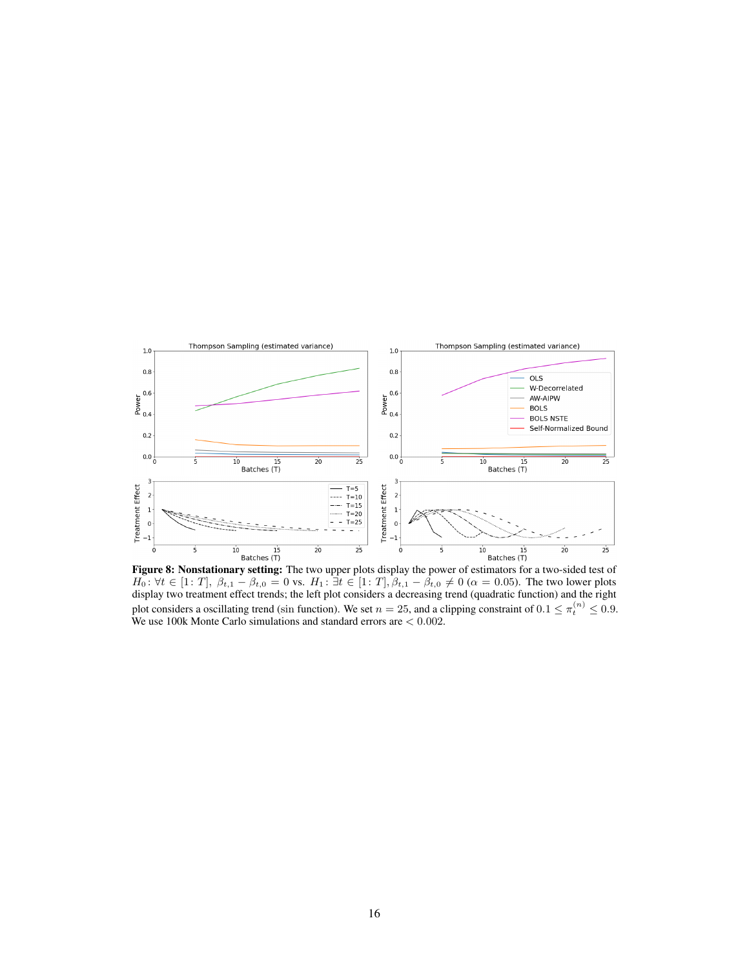<span id="page-3-0"></span>

Figure 8: Nonstationary setting: The two upper plots display the power of estimators for a two-sided test of  $H_0: \forall t \in [1: T], \beta_{t,1} - \beta_{t,0} = 0$  vs.  $H_1: \exists t \in [1: T], \beta_{t,1} - \beta_{t,0} \neq 0 \ (\alpha = 0.05)$ . The two lower plots display two treatment effect trends; the left plot considers a decreasing trend (quadratic function) and the right plot considers a oscillating trend (sin function). We set  $n=25$ , and a clipping constraint of  $0.1 \leq \pi_t^{(n)} \leq 0.9$ . We use 100k Monte Carlo simulations and standard errors are < 0.002.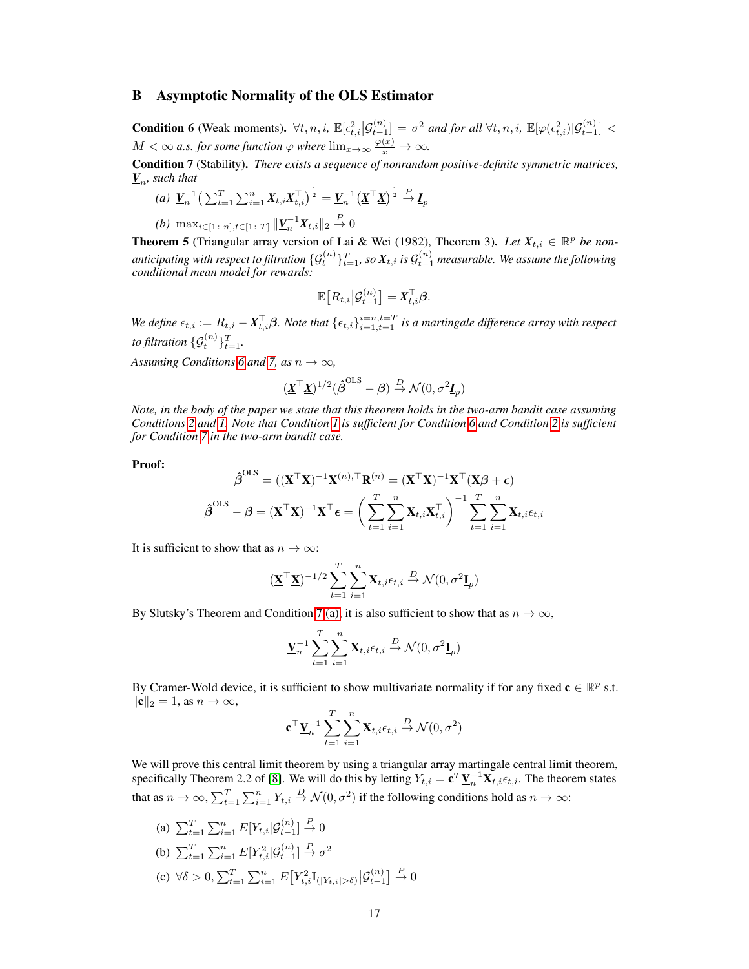## <span id="page-4-5"></span>B Asymptotic Normality of the OLS Estimator

<span id="page-4-0"></span>**Condition 6** (Weak moments).  $\forall t, n, i$ ,  $\mathbb{E}[\epsilon_{t,i}^2 | \mathcal{G}_{t-1}^{(n)}] = \sigma^2$  and for all  $\forall t, n, i$ ,  $\mathbb{E}[\varphi(\epsilon_{t,i}^2) | \mathcal{G}_{t-1}^{(n)}] <$  $M < \infty$  a.s. for some function  $\varphi$  where  $\lim_{x \to \infty} \frac{\varphi(x)}{x} \to \infty$ .

<span id="page-4-2"></span><span id="page-4-1"></span>Condition 7 (Stability). *There exists a sequence of nonrandom positive-definite symmetric matrices,*  $\underline{V}_n$ , such that

(a) 
$$
\underline{V}_n^{-1} \left( \sum_{t=1}^T \sum_{i=1}^n X_{t,i} X_{t,i}^\top \right)^{\frac{1}{2}} = \underline{V}_n^{-1} \left( \underline{X}^\top \underline{X} \right)^{\frac{1}{2}} \stackrel{P}{\to} \underline{I}_p
$$

<span id="page-4-3"></span>*(b)*  $\max_{i \in [1 \colon n], t \in [1 \colon T]} \| \underline{V}_n^{-1} X_{t,i} \|_2 \stackrel{P}{\to} 0$ 

<span id="page-4-4"></span>**Theorem 5** (Triangular array version of Lai & Wei (1982), Theorem 3). Let  $X_{t,i} \in \mathbb{R}^p$  be nonanticipating with respect to filtration  $\{\mathcal{G}^{(n)}_t\}_{t=1}^T$ , so  $X_{t,i}$  is  $\mathcal{G}^{(n)}_{t-1}$  measurable. We assume the following *conditional mean model for rewards:*

$$
\mathbb{E}\big[R_{t,i}\big|\mathcal{G}_{t-1}^{(n)}\big]=\mathbf{X}_{t,i}^{\top}\boldsymbol{\beta}.
$$

*We define*  $\epsilon_{t,i} := R_{t,i} - X_{t,i}^{\top} \beta$ . Note that  $\{\epsilon_{t,i}\}_{i=1,t=1}^{i=n,t=T}$  is a martingale difference array with respect to filtration  $\{\mathcal{G}_t^{(n)}\}_{t=1}^T$ .

*Assuming Conditions* [6](#page-4-0) *and* [7,](#page-4-1) *as*  $n \to \infty$ ,

$$
(\underline{\textbf{X}}^\top \underline{\textbf{X}})^{1/2} (\hat{\boldsymbol{\beta}}^{\text{OLS}} - \boldsymbol{\beta}) \overset{D}{\rightarrow} \mathcal{N}(0, \sigma^2 \underline{\textbf{I}}_p)
$$

*Note, in the body of the paper we state that this theorem holds in the two-arm bandit case assuming Conditions [2](#page--1-5) and [1.](#page--1-6) Note that Condition [1](#page--1-6) is sufficient for Condition [6](#page-4-0) and Condition [2](#page--1-5) is sufficient for Condition [7](#page-4-1) in the two-arm bandit case.*

## Proof:

$$
\hat{\boldsymbol{\beta}}^{\text{OLS}} = ((\underline{\mathbf{X}}^{\top} \underline{\mathbf{X}})^{-1} \underline{\mathbf{X}}^{(n), \top} \mathbf{R}^{(n)} = (\underline{\mathbf{X}}^{\top} \underline{\mathbf{X}})^{-1} \underline{\mathbf{X}}^{\top} (\underline{\mathbf{X}} \boldsymbol{\beta} + \boldsymbol{\epsilon})
$$

$$
\hat{\boldsymbol{\beta}}^{\text{OLS}} - \boldsymbol{\beta} = (\underline{\mathbf{X}}^{\top} \underline{\mathbf{X}})^{-1} \underline{\mathbf{X}}^{\top} \boldsymbol{\epsilon} = \bigg(\sum_{t=1}^{T} \sum_{i=1}^{n} \mathbf{X}_{t,i} \mathbf{X}_{t,i}^{\top}\bigg)^{-1} \sum_{t=1}^{T} \sum_{i=1}^{n} \mathbf{X}_{t,i} \epsilon_{t,i}
$$

It is sufficient to show that as  $n \to \infty$ :

$$
(\underline{\mathbf{X}}^{\top}\underline{\mathbf{X}})^{-1/2}\sum_{t=1}^{T}\sum_{i=1}^{n}\mathbf{X}_{t,i}\epsilon_{t,i}\xrightarrow{D}\mathcal{N}(0,\sigma^{2}\underline{\mathbf{I}}_{p})
$$

By Slutsky's Theorem and Condition [7](#page-4-1) [\(a\),](#page-4-2) it is also sufficient to show that as  $n \to \infty$ ,

$$
\underline{\mathbf{V}}_n^{-1} \sum_{t=1}^T \sum_{i=1}^n \mathbf{X}_{t,i} \epsilon_{t,i} \stackrel{D}{\rightarrow} \mathcal{N}(0, \sigma^2 \underline{\mathbf{I}}_p)
$$

By Cramer-Wold device, it is sufficient to show multivariate normality if for any fixed  $c \in \mathbb{R}^p$  s.t.  $\|\mathbf{c}\|_2 = 1$ , as  $n \to \infty$ ,

$$
\mathbf{c}^{\top} \underline{\mathbf{V}}_n^{-1} \sum_{t=1}^T \sum_{i=1}^n \mathbf{X}_{t,i} \epsilon_{t,i} \stackrel{D}{\rightarrow} \mathcal{N}(0, \sigma^2)
$$

We will prove this central limit theorem by using a triangular array martingale central limit theorem, specifically Theorem 2.2 of [\[8\]](#page--1-7). We will do this by letting  $Y_{t,i} = \mathbf{c}^T \underline{\mathbf{V}}_n^{-1} \overline{\mathbf{X}}_{t,i} \epsilon_{t,i}$ . The theorem states that as  $n \to \infty$ ,  $\sum_{t=1}^{T} \sum_{i=1}^{n} Y_{t,i} \stackrel{D}{\to} \mathcal{N}(0, \sigma^2)$  if the following conditions hold as  $n \to \infty$ :

(a)  $\sum_{t=1}^{T} \sum_{i=1}^{n} E[Y_{t,i} | \mathcal{G}_{t-1}^{(n)}] \stackrel{P}{\to} 0$ (b)  $\sum_{t=1}^{T} \sum_{i=1}^{n} E[Y_{t,i}^{2} | \mathcal{G}_{t-1}^{(n)}] \stackrel{P}{\to} \sigma^{2}$ (c)  $\forall \delta > 0, \sum_{t=1}^{T} \sum_{i=1}^{n} E[Y_{t,i}^{2} \mathbb{I}_{(|Y_{t,i}| > \delta)} | \mathcal{G}_{t-1}^{(n)}] \stackrel{P}{\to} 0$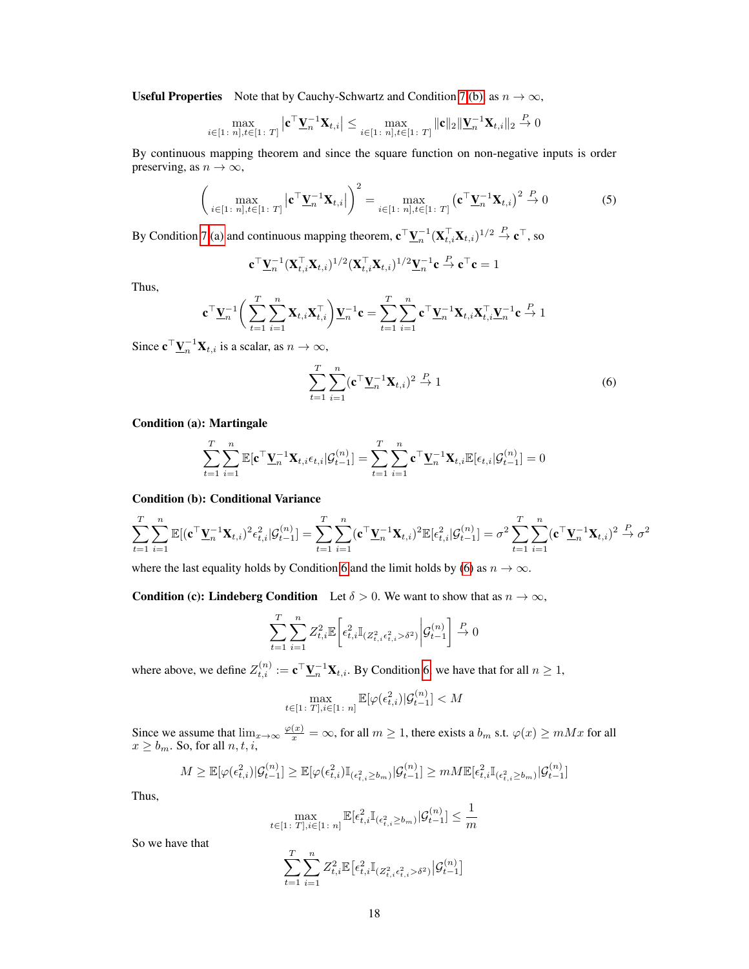Useful Properties Note that by Cauchy-Schwartz and Condition [7](#page-4-1) [\(b\),](#page-4-3) as  $n \to \infty$ ,

$$
\max_{i \in [1\colon n], t \in [1\colon T]} \left| \mathbf{c}^\top \underline{\mathbf{V}}_n^{-1} \mathbf{X}_{t,i} \right| \le \max_{i \in [1\colon n], t \in [1\colon T]} \|\mathbf{c}\|_2 \|\underline{\mathbf{V}}_n^{-1} \mathbf{X}_{t,i}\|_2 \stackrel{P}{\to} 0
$$

By continuous mapping theorem and since the square function on non-negative inputs is order preserving, as  $n \to \infty$ ,

<span id="page-5-1"></span>
$$
\left(\max_{i\in[1\colon n],t\in[1\colon T]} \left|\mathbf{c}^{\top}\mathbf{\underline{V}}_{n}^{-1}\mathbf{X}_{t,i}\right|\right)^{2} = \max_{i\in[1\colon n],t\in[1\colon T]} \left(\mathbf{c}^{\top}\mathbf{\underline{V}}_{n}^{-1}\mathbf{X}_{t,i}\right)^{2} \stackrel{P}{\to} 0
$$
\n(5)

By Condition [7](#page-4-1) [\(a\)](#page-4-2) and continuous mapping theorem,  $\mathbf{c}^\top \underline{\mathbf{V}}_n^{-1} (\mathbf{X}_{t,i}^\top \mathbf{X}_{t,i})^{1/2} \stackrel{P}{\to} \mathbf{c}^\top$ , so

$$
\mathbf{c}^\top \underline{\mathbf{V}}_n^{-1} (\mathbf{X}_{t,i}^\top \mathbf{X}_{t,i})^{1/2} (\mathbf{X}_{t,i}^\top \mathbf{X}_{t,i})^{1/2} \underline{\mathbf{V}}_n^{-1} \mathbf{c} \stackrel{P}{\to} \mathbf{c}^\top \mathbf{c} = 1
$$

Thus,

$$
\mathbf{c}^\top \underline{\mathbf{V}}_n^{-1} \bigg( \sum_{t=1}^T \sum_{i=1}^n \mathbf{X}_{t,i} \mathbf{X}_{t,i}^\top \bigg) \underline{\mathbf{V}}_n^{-1} \mathbf{c} = \sum_{t=1}^T \sum_{i=1}^n \mathbf{c}^\top \underline{\mathbf{V}}_n^{-1} \mathbf{X}_{t,i} \mathbf{X}_{t,i}^\top \underline{\mathbf{V}}_n^{-1} \mathbf{c} \stackrel{P}{\to} 1
$$

Since  $\mathbf{c}^\top \underline{\mathbf{V}}_n^{-1} \mathbf{X}_{t,i}$  is a scalar, as  $n \to \infty$ ,

<span id="page-5-0"></span>
$$
\sum_{t=1}^{T} \sum_{i=1}^{n} (\mathbf{c}^{\top} \mathbf{Y}_{n}^{-1} \mathbf{X}_{t,i})^{2} \stackrel{P}{\rightarrow} 1
$$
\n(6)

Condition (a): Martingale

$$
\sum_{t=1}^T \sum_{i=1}^n \mathbb{E}[\mathbf{c}^\top \underline{\mathbf{V}}_n^{-1} \mathbf{X}_{t,i} \epsilon_{t,i} | \mathcal{G}_{t-1}^{(n)}] = \sum_{t=1}^T \sum_{i=1}^n \mathbf{c}^\top \underline{\mathbf{V}}_n^{-1} \mathbf{X}_{t,i} \mathbb{E}[\epsilon_{t,i} | \mathcal{G}_{t-1}^{(n)}] = 0
$$

## Condition (b): Conditional Variance

$$
\sum_{t=1}^T \sum_{i=1}^n \mathbb{E}[(\mathbf{c}^\top \mathbf{\underline{V}}_n^{-1} \mathbf{X}_{t,i})^2 \epsilon_{t,i}^2 | \mathcal{G}_{t-1}^{(n)}] = \sum_{t=1}^T \sum_{i=1}^n (\mathbf{c}^\top \mathbf{\underline{V}}_n^{-1} \mathbf{X}_{t,i})^2 \mathbb{E}[\epsilon_{t,i}^2 | \mathcal{G}_{t-1}^{(n)}] = \sigma^2 \sum_{t=1}^T \sum_{i=1}^n (\mathbf{c}^\top \mathbf{\underline{V}}_n^{-1} \mathbf{X}_{t,i})^2 \stackrel{P}{\rightarrow} \sigma^2
$$

where the last equality holds by Condition [6](#page-4-0) and the limit holds by [\(6\)](#page-5-0) as  $n \to \infty$ .

**Condition (c): Lindeberg Condition** Let  $\delta > 0$ . We want to show that as  $n \to \infty$ ,

$$
\sum_{t=1}^T \sum_{i=1}^n Z_{t,i}^2 \mathbb{E}\bigg[\epsilon_{t,i}^2 \mathbb{I}_{(Z_{t,i}^2 \epsilon_{t,i}^2 > \delta^2)} \bigg| \mathcal{G}_{t-1}^{(n)} \bigg] \stackrel{P}{\to} 0
$$

where above, we define  $Z_{t,i}^{(n)} := \mathbf{c}^\top \underline{\mathbf{V}}_n^{-1} \mathbf{X}_{t,i}$ . By Condition [6,](#page-4-0) we have that for all  $n \geq 1$ ,

$$
\max_{t \in [1\colon T], i \in [1\colon n]} \mathbb{E}[\varphi(\epsilon_{t,i}^2) | \mathcal{G}_{t-1}^{(n)}] < M
$$

Since we assume that  $\lim_{x\to\infty} \frac{\varphi(x)}{x} = \infty$ , for all  $m \ge 1$ , there exists a  $b_m$  s.t.  $\varphi(x) \ge m M x$  for all  $x \ge b_m$ . So, for all  $n, t, i$ ,

$$
M \geq \mathbb{E}[\varphi(\epsilon_{t,i}^2)|\mathcal{G}_{t-1}^{(n)}] \geq \mathbb{E}[\varphi(\epsilon_{t,i}^2)\mathbb{I}_{(\epsilon_{t,i}^2 \geq b_m)}|\mathcal{G}_{t-1}^{(n)}] \geq mM\mathbb{E}[\epsilon_{t,i}^2\mathbb{I}_{(\epsilon_{t,i}^2 \geq b_m)}|\mathcal{G}_{t-1}^{(n)}]
$$

Thus,

$$
\max_{t \in [1\colon T], i \in [1\colon n]} \mathbb{E}[\epsilon_{t,i}^2 \mathbb{I}_{(\epsilon_{t,i}^2 \ge b_m)} | \mathcal{G}_{t-1}^{(n)}] \le \frac{1}{m}
$$

So we have that

$$
\sum_{t=1}^T\sum_{i=1}^n Z_{t,i}^2\mathbb{E}\big[\epsilon_{t,i}^2\mathbb{I}_{(Z_{t,i}^2\epsilon_{t,i}^2>\delta^2)}\big|\mathcal{G}_{t-1}^{(n)}\big]
$$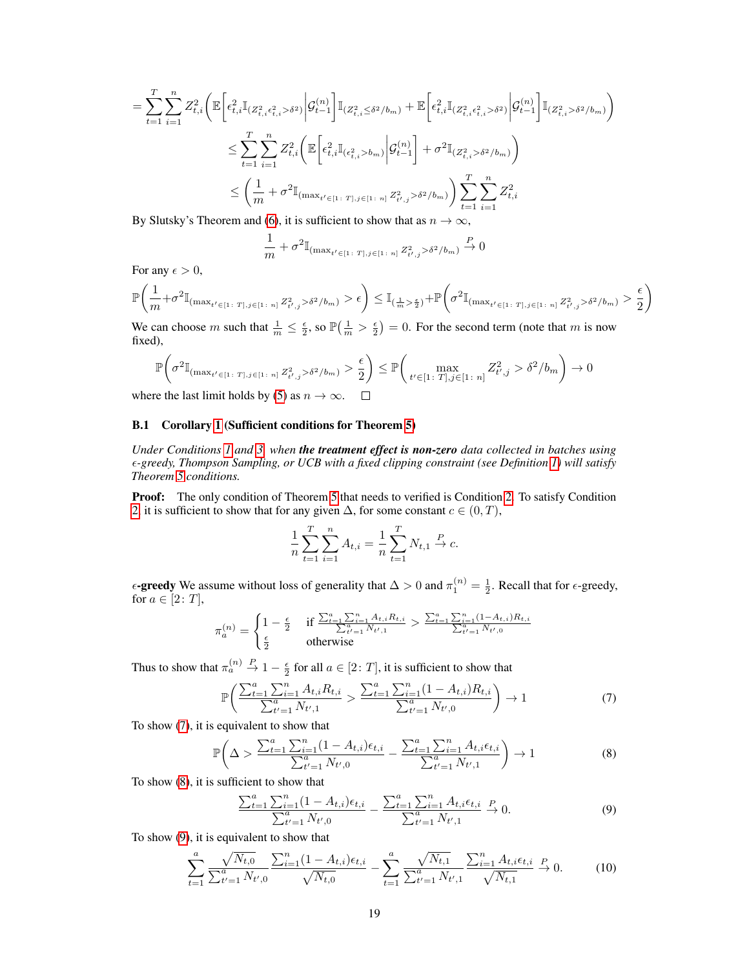$$
= \sum_{t=1}^{T} \sum_{i=1}^{n} Z_{t,i}^{2} \bigg( \mathbb{E} \bigg[ \epsilon_{t,i}^{2} \mathbb{I}_{(Z_{t,i}^{2} \epsilon_{t,i}^{2} > \delta^{2})} \bigg| \mathcal{G}_{t-1}^{(n)} \bigg] \mathbb{I}_{(Z_{t,i}^{2} \leq \delta^{2}/b_{m})} + \mathbb{E} \bigg[ \epsilon_{t,i}^{2} \mathbb{I}_{(Z_{t,i}^{2} \epsilon_{t,i}^{2} > \delta^{2})} \bigg| \mathcal{G}_{t-1}^{(n)} \bigg] \mathbb{I}_{(Z_{t,i}^{2} > \delta^{2}/b_{m})} \bigg) \n\leq \sum_{t=1}^{T} \sum_{i=1}^{n} Z_{t,i}^{2} \bigg( \mathbb{E} \bigg[ \epsilon_{t,i}^{2} \mathbb{I}_{(\epsilon_{t,i}^{2} > b_{m})} \bigg| \mathcal{G}_{t-1}^{(n)} \bigg] + \sigma^{2} \mathbb{I}_{(Z_{t,i}^{2} > \delta^{2}/b_{m})} \bigg) \n\leq \bigg( \frac{1}{m} + \sigma^{2} \mathbb{I}_{(\max_{t' \in [1\colon T], j \in [1\colon n]} Z_{t',j}^{2} > \delta^{2}/b_{m})} \bigg) \sum_{t=1}^{T} \sum_{i=1}^{n} Z_{t,i}^{2}
$$

By Slutsky's Theorem and [\(6\)](#page-5-0), it is sufficient to show that as  $n \to \infty$ ,

$$
\frac{1}{m} + \sigma^2 \mathbb{I}_{(\max_{t' \in [1\colon T], j \in [1\colon n]} Z^2_{t',j} > \delta^2/b_m)} \stackrel{P}{\to} 0
$$

For any  $\epsilon > 0$ ,

$$
\mathbb{P}\left(\frac{1}{m}+\sigma^2\mathbb{I}_{(\max_{t' \in [1\colon T], j \in [1\colon n]} Z_{t',j}^2 > \delta^2/b_m)} > \epsilon\right) \leq \mathbb{I}_{(\frac{1}{m} > \frac{\epsilon}{2})} + \mathbb{P}\left(\sigma^2\mathbb{I}_{(\max_{t' \in [1\colon T], j \in [1\colon n]} Z_{t',j}^2 > \delta^2/b_m)} > \frac{\epsilon}{2}\right)
$$

We can choose m such that  $\frac{1}{m} \leq \frac{\epsilon}{2}$ , so  $\mathbb{P}(\frac{1}{m} > \frac{\epsilon}{2}) = 0$ . For the second term (note that m is now fixed),

$$
\mathbb{P}\left(\sigma^2 \mathbb{I}_{\left(\max_{t' \in [1\colon T], j \in [1\colon n\right]} Z^2_{t',j} > \delta^2/b_m)} > \frac{\epsilon}{2}\right) \leq \mathbb{P}\left(\max_{t' \in [1\colon T], j \in [1\colon n]} Z^2_{t',j} > \delta^2/b_m\right) \to 0
$$

where the last limit holds by [\(5\)](#page-5-1) as  $n \to \infty$ .  $\Box$ 

## B.1 Corollary [1](#page--1-8) (Sufficient conditions for Theorem [5\)](#page-4-4)

*Under Conditions [1](#page--1-6) and [3,](#page--1-9) when the treatment effect is non-zero data collected in batches using -greedy, Thompson Sampling, or UCB with a fixed clipping constraint (see Definition [1\)](#page--1-10) will satisfy Theorem [5](#page-4-4) conditions.*

Proof: The only condition of Theorem [5](#page-4-4) that needs to verified is Condition [2.](#page--1-5) To satisfy Condition [2,](#page--1-5) it is sufficient to show that for any given  $\Delta$ , for some constant  $c \in (0, T)$ ,

$$
\frac{1}{n}\sum_{t=1}^{T}\sum_{i=1}^{n}A_{t,i} = \frac{1}{n}\sum_{t=1}^{T}N_{t,1} \stackrel{P}{\to} c.
$$

 $\epsilon$ -greedy We assume without loss of generality that  $\Delta > 0$  and  $\pi_1^{(n)} = \frac{1}{2}$ . Recall that for  $\epsilon$ -greedy, for  $a \in [2: T]$ ,

$$
\pi^{(n)}_a = \begin{cases} 1 - \frac{\epsilon}{2} & \text{if } \frac{\sum_{t=1}^a \sum_{i=1}^n A_{t,i} R_{t,i}}{\sum_{t'=1}^a N_{t',1}} > \frac{\sum_{t=1}^a \sum_{i=1}^n (1-A_{t,i}) R_{t,i}}{\sum_{t'=1}^a N_{t',0}} \\ \frac{\epsilon}{2} & \text{otherwise} \end{cases}
$$

Thus to show that  $\pi_a^{(n)} \stackrel{P}{\to} 1 - \frac{\epsilon}{2}$  for all  $a \in [2, T]$ , it is sufficient to show that

<span id="page-6-0"></span>
$$
\mathbb{P}\bigg(\frac{\sum_{t=1}^{a}\sum_{i=1}^{n}A_{t,i}R_{t,i}}{\sum_{t'=1}^{a}N_{t',1}} > \frac{\sum_{t=1}^{a}\sum_{i=1}^{n}(1-A_{t,i})R_{t,i}}{\sum_{t'=1}^{a}N_{t',0}}\bigg) \to 1
$$
\n(7)

To show [\(7\)](#page-6-0), it is equivalent to show that

<span id="page-6-1"></span>
$$
\mathbb{P}\left(\Delta > \frac{\sum_{t=1}^{a} \sum_{i=1}^{n} (1 - A_{t,i})\epsilon_{t,i}}{\sum_{t'=1}^{a} N_{t',0}} - \frac{\sum_{t=1}^{a} \sum_{i=1}^{n} A_{t,i}\epsilon_{t,i}}{\sum_{t'=1}^{a} N_{t',1}}\right) \to 1
$$
\n(8)

To show [\(8\)](#page-6-1), it is sufficient to show that

<span id="page-6-2"></span>
$$
\frac{\sum_{t=1}^{a} \sum_{i=1}^{n} (1 - A_{t,i}) \epsilon_{t,i}}{\sum_{t'=1}^{a} N_{t',0}} - \frac{\sum_{t=1}^{a} \sum_{i=1}^{n} A_{t,i} \epsilon_{t,i}}{\sum_{t'=1}^{a} N_{t',1}} \xrightarrow{P} 0.
$$
\n(9)

To show [\(9\)](#page-6-2), it is equivalent to show that

<span id="page-6-3"></span>
$$
\sum_{t=1}^{a} \frac{\sqrt{N_{t,0}}}{\sum_{t'=1}^{a} N_{t',0}} \frac{\sum_{i=1}^{n} (1 - A_{t,i}) \epsilon_{t,i}}{\sqrt{N_{t,0}}} - \sum_{t=1}^{a} \frac{\sqrt{N_{t,1}}}{\sum_{t'=1}^{a} N_{t',1}} \frac{\sum_{i=1}^{n} A_{t,i} \epsilon_{t,i}}{\sqrt{N_{t,1}}} \xrightarrow{P} 0. \tag{10}
$$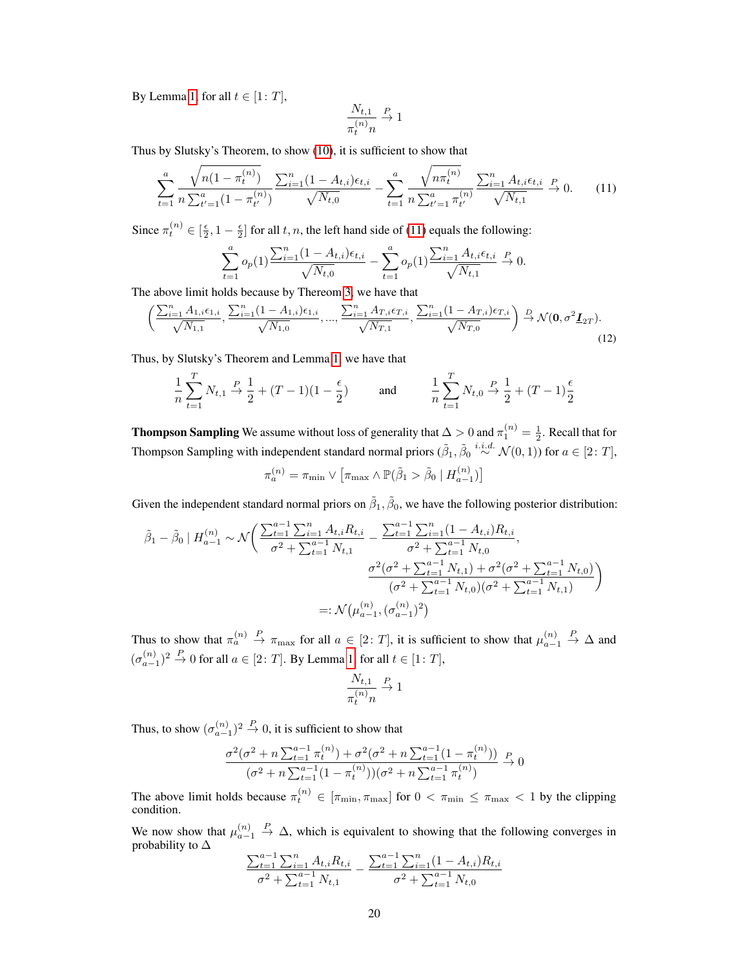By Lemma [1,](#page-18-0) for all  $t \in [1: T]$ ,

$$
\frac{N_{t,1}}{\pi_t^{(n)}n}\stackrel{P}{\to} 1
$$

Thus by Slutsky's Theorem, to show [\(10\)](#page-6-3), it is sufficient to show that

<span id="page-7-0"></span>
$$
\sum_{t=1}^{a} \frac{\sqrt{n(1-\pi_t^{(n)})}}{n\sum_{t'=1}^{a}(1-\pi_{t'}^{(n)})} \frac{\sum_{i=1}^{n}(1-A_{t,i})\epsilon_{t,i}}{\sqrt{N_{t,0}}} - \sum_{t=1}^{a} \frac{\sqrt{n\pi_t^{(n)}}}{n\sum_{t'=1}^{a}\pi_{t'}^{(n)}} \frac{\sum_{i=1}^{n}A_{t,i}\epsilon_{t,i}}{\sqrt{N_{t,1}}} \xrightarrow{P} 0. \tag{11}
$$

Since  $\pi_t^{(n)} \in [\frac{\epsilon}{2}, 1 - \frac{\epsilon}{2}]$  for all  $t, n$ , the left hand side of [\(11\)](#page-7-0) equals the following:

$$
\sum_{t=1}^{a} o_p(1) \frac{\sum_{i=1}^{n} (1 - A_{t,i}) \epsilon_{t,i}}{\sqrt{N_{t,0}}} - \sum_{t=1}^{a} o_p(1) \frac{\sum_{i=1}^{n} A_{t,i} \epsilon_{t,i}}{\sqrt{N_{t,1}}} \xrightarrow{P} 0.
$$

The above limit holds because by Thereom [3,](#page--1-3) we have that

<span id="page-7-1"></span>
$$
\left(\frac{\sum_{i=1}^{n} A_{1,i} \epsilon_{1,i}}{\sqrt{N_{1,1}}}, \frac{\sum_{i=1}^{n} (1 - A_{1,i}) \epsilon_{1,i}}{\sqrt{N_{1,0}}}, \dots, \frac{\sum_{i=1}^{n} A_{T,i} \epsilon_{T,i}}{\sqrt{N_{T,1}}}, \frac{\sum_{i=1}^{n} (1 - A_{T,i}) \epsilon_{T,i}}{\sqrt{N_{T,0}}}\right) \stackrel{D}{\to} \mathcal{N}(\mathbf{0}, \sigma^2 \underline{\mathbf{I}}_{2T}).
$$
\n(12)

Thus, by Slutsky's Theorem and Lemma [1,](#page-18-0) we have that

$$
\frac{1}{n}\sum_{t=1}^{T} N_{t,1} \xrightarrow{P} \frac{1}{2} + (T-1)(1-\frac{\epsilon}{2}) \quad \text{and} \quad \frac{1}{n}\sum_{t=1}^{T} N_{t,0} \xrightarrow{P} \frac{1}{2} + (T-1)\frac{\epsilon}{2}
$$

**Thompson Sampling** We assume without loss of generality that  $\Delta > 0$  and  $\pi_1^{(n)} = \frac{1}{2}$ . Recall that for Thompson Sampling with independent standard normal priors  $(\tilde{\beta}_1, \tilde{\beta}_0 \stackrel{i.i.d.}{\sim} \mathcal{N}(0, 1))$  for  $a \in [2: T]$ ,  $\pi_a^{(n)} = \pi_{\min} \vee \left[ \pi_{\max} \wedge \mathbb{P}(\tilde{\beta}_1 > \tilde{\beta}_0 \mid H_{a-1}^{(n)}) \right]$ 

Given the independent standard normal priors on  $\tilde{\beta}_1$ ,  $\tilde{\beta}_0$ , we have the following posterior distribution:

$$
\tilde{\beta}_{1} - \tilde{\beta}_{0} | H_{a-1}^{(n)} \sim \mathcal{N}\left(\frac{\sum_{t=1}^{a-1} \sum_{i=1}^{n} A_{t,i} R_{t,i}}{\sigma^{2} + \sum_{t=1}^{a-1} N_{t,1}} - \frac{\sum_{t=1}^{a-1} \sum_{i=1}^{n} (1 - A_{t,i}) R_{t,i}}{\sigma^{2} + \sum_{t=1}^{a-1} N_{t,0}}, \frac{\sigma^{2} (\sigma^{2} + \sum_{t=1}^{a-1} N_{t,1}) + \sigma^{2} (\sigma^{2} + \sum_{t=1}^{a-1} N_{t,0})}{(\sigma^{2} + \sum_{t=1}^{a-1} N_{t,0})(\sigma^{2} + \sum_{t=1}^{a-1} N_{t,1})}\right)
$$

$$
=:\mathcal{N}(\mu_{a-1}^{(n)}, (\sigma_{a-1}^{(n)})^{2})
$$

Thus to show that  $\pi_a^{(n)} \stackrel{P}{\to} \pi_{\max}$  for all  $a \in [2: T]$ , it is sufficient to show that  $\mu_{a-1}^{(n)}$  $\stackrel{P}{\to} \Delta$  and  $(\sigma_{a-1}^{(n)})^2 \stackrel{P}{\to} 0$  for all  $a \in [2: T]$ . By Lemma [1,](#page-18-0) for all  $t \in [1: T]$ ,

$$
\frac{N_{t,1}}{\pi_t^{(n)}n}\stackrel{P}{\to} 1
$$

Thus, to show  $(\sigma_{a-1}^{(n)})^2 \stackrel{P}{\rightarrow} 0$ , it is sufficient to show that

$$
\frac{\sigma^2(\sigma^2 + n\sum_{t=1}^{a-1}\pi_t^{(n)}) + \sigma^2(\sigma^2 + n\sum_{t=1}^{a-1}(1-\pi_t^{(n)}))}{(\sigma^2 + n\sum_{t=1}^{a-1}(1-\pi_t^{(n)}))(\sigma^2 + n\sum_{t=1}^{a-1}\pi_t^{(n)})} \xrightarrow{P} 0
$$

The above limit holds because  $\pi_t^{(n)} \in [\pi_{\min}, \pi_{\max}]$  for  $0 < \pi_{\min} \le \pi_{\max} < 1$  by the clipping condition.

We now show that  $\mu_{a-1}^{(n)}$  $\stackrel{P}{\rightarrow} \Delta$ , which is equivalent to showing that the following converges in probability to ∆

$$
\frac{\sum_{t=1}^{a-1} \sum_{i=1}^{n} A_{t,i} R_{t,i}}{\sigma^2 + \sum_{t=1}^{a-1} N_{t,1}} - \frac{\sum_{t=1}^{a-1} \sum_{i=1}^{n} (1 - A_{t,i}) R_{t,i}}{\sigma^2 + \sum_{t=1}^{a-1} N_{t,0}}
$$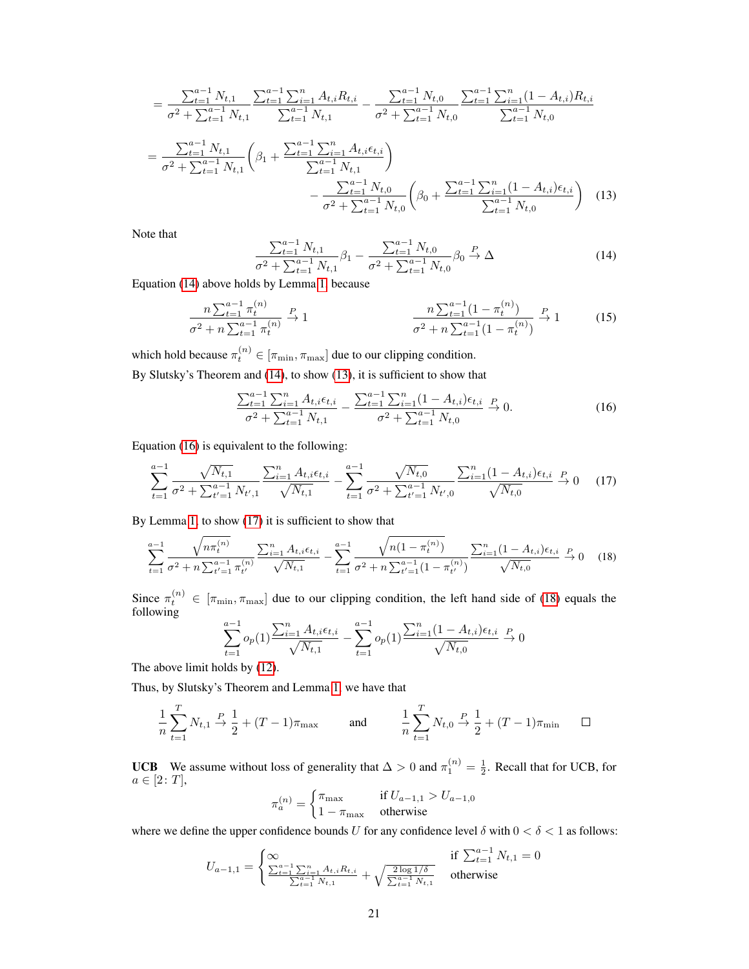$$
= \frac{\sum_{t=1}^{a-1} N_{t,1}}{\sigma^2 + \sum_{t=1}^{a-1} N_{t,1}} \frac{\sum_{t=1}^{a-1} \sum_{i=1}^{n} A_{t,i} R_{t,i}}{\sum_{t=1}^{a-1} N_{t,1}} - \frac{\sum_{t=1}^{a-1} N_{t,0}}{\sigma^2 + \sum_{t=1}^{a-1} N_{t,0}} \frac{\sum_{t=1}^{a-1} \sum_{i=1}^{n} (1 - A_{t,i}) R_{t,i}}{\sum_{t=1}^{a-1} N_{t,0}} \n= \frac{\sum_{t=1}^{a-1} N_{t,1}}{\sigma^2 + \sum_{t=1}^{a-1} N_{t,1}} \left( \beta_1 + \frac{\sum_{t=1}^{a-1} \sum_{i=1}^{n} A_{t,i} \epsilon_{t,i}}{\sum_{t=1}^{a-1} N_{t,1}} \right) \n- \frac{\sum_{t=1}^{a-1} N_{t,0}}{\sigma^2 + \sum_{t=1}^{a-1} N_{t,0}} \left( \beta_0 + \frac{\sum_{t=1}^{a-1} \sum_{i=1}^{n} (1 - A_{t,i}) \epsilon_{t,i}}{\sum_{t=1}^{a-1} N_{t,0}} \right) (13)
$$

Note that

<span id="page-8-1"></span><span id="page-8-0"></span>
$$
\frac{\sum_{t=1}^{a-1} N_{t,1}}{\sigma^2 + \sum_{t=1}^{a-1} N_{t,1}} \beta_1 - \frac{\sum_{t=1}^{a-1} N_{t,0}}{\sigma^2 + \sum_{t=1}^{a-1} N_{t,0}} \beta_0 \xrightarrow{P} \Delta
$$
\n(14)

Equation [\(14\)](#page-8-0) above holds by Lemma [1,](#page-18-0) because

$$
\frac{n\sum_{t=1}^{a-1}\pi_t^{(n)}}{\sigma^2 + n\sum_{t=1}^{a-1}\pi_t^{(n)}} \xrightarrow{P} 1 \qquad \frac{n\sum_{t=1}^{a-1}(1-\pi_t^{(n)})}{\sigma^2 + n\sum_{t=1}^{a-1}(1-\pi_t^{(n)})} \xrightarrow{P} 1 \qquad (15)
$$

which hold because  $\pi_t^{(n)} \in [\pi_{\min}, \pi_{\max}]$  due to our clipping condition.

By Slutsky's Theorem and [\(14\)](#page-8-0), to show [\(13\)](#page-8-1), it is sufficient to show that

<span id="page-8-2"></span>
$$
\frac{\sum_{t=1}^{a-1} \sum_{i=1}^{n} A_{t,i} \epsilon_{t,i}}{\sigma^2 + \sum_{t=1}^{a-1} N_{t,1}} - \frac{\sum_{t=1}^{a-1} \sum_{i=1}^{n} (1 - A_{t,i}) \epsilon_{t,i}}{\sigma^2 + \sum_{t=1}^{a-1} N_{t,0}} \xrightarrow{P} 0.
$$
\n(16)

Equation [\(16\)](#page-8-2) is equivalent to the following:

<span id="page-8-3"></span>
$$
\sum_{t=1}^{a-1} \frac{\sqrt{N_{t,1}}}{\sigma^2 + \sum_{t'=1}^{a-1} N_{t',1}} \frac{\sum_{i=1}^n A_{t,i} \epsilon_{t,i}}{\sqrt{N_{t,1}}} - \sum_{t=1}^{a-1} \frac{\sqrt{N_{t,0}}}{\sigma^2 + \sum_{t'=1}^{a-1} N_{t',0}} \frac{\sum_{i=1}^n (1 - A_{t,i}) \epsilon_{t,i}}{\sqrt{N_{t,0}}} \xrightarrow{P} 0 \quad (17)
$$

By Lemma [1,](#page-18-0) to show [\(17\)](#page-8-3) it is sufficient to show that

<span id="page-8-4"></span>
$$
\sum_{t=1}^{a-1} \frac{\sqrt{n \pi_t^{(n)}}}{\sigma^2 + n \sum_{t'=1}^{a-1} \pi_{t'}^{(n)}} \frac{\sum_{i=1}^n A_{t,i} \epsilon_{t,i}}{\sqrt{N_{t,1}}} - \sum_{t=1}^{a-1} \frac{\sqrt{n(1 - \pi_t^{(n)})}}{\sigma^2 + n \sum_{t'=1}^{a-1} (1 - \pi_{t'}^{(n)})} \frac{\sum_{i=1}^n (1 - A_{t,i}) \epsilon_{t,i}}{\sqrt{N_{t,0}}} \xrightarrow{P} 0 \quad (18)
$$

Since  $\pi_t^{(n)} \in [\pi_{\min}, \pi_{\max}]$  due to our clipping condition, the left hand side of [\(18\)](#page-8-4) equals the following

$$
\sum_{t=1}^{a-1} o_p(1) \frac{\sum_{i=1}^n A_{t,i} \epsilon_{t,i}}{\sqrt{N_{t,1}}} - \sum_{t=1}^{a-1} o_p(1) \frac{\sum_{i=1}^n (1 - A_{t,i}) \epsilon_{t,i}}{\sqrt{N_{t,0}}} \xrightarrow{P} 0
$$

The above limit holds by [\(12\)](#page-7-1).

Thus, by Slutsky's Theorem and Lemma [1,](#page-18-0) we have that

$$
\frac{1}{n}\sum_{t=1}^{T}N_{t,1} \stackrel{P}{\to} \frac{1}{2} + (T-1)\pi_{\text{max}} \quad \text{and} \quad \frac{1}{n}\sum_{t=1}^{T}N_{t,0} \stackrel{P}{\to} \frac{1}{2} + (T-1)\pi_{\text{min}} \quad \Box
$$

**UCB** We assume without loss of generality that  $\Delta > 0$  and  $\pi_1^{(n)} = \frac{1}{2}$ . Recall that for UCB, for  $a \in [2: T],$ 

$$
\pi_a^{(n)} = \begin{cases} \pi_{\text{max}} & \text{if } U_{a-1,1} > U_{a-1,0} \\ 1 - \pi_{\text{max}} & \text{otherwise} \end{cases}
$$

where we define the upper confidence bounds U for any confidence level  $\delta$  with  $0 < \delta < 1$  as follows:

$$
U_{a-1,1} = \begin{cases} \infty & \text{if } \sum_{t=1}^{a-1} N_{t,1} = 0\\ \frac{\sum_{t=1}^{a-1} \sum_{i=1}^{n} A_{t,i} R_{t,i}}{\sum_{t=1}^{a-1} N_{t,1}} + \sqrt{\frac{2 \log 1/\delta}{\sum_{t=1}^{a-1} N_{t,1}}} & \text{otherwise} \end{cases}
$$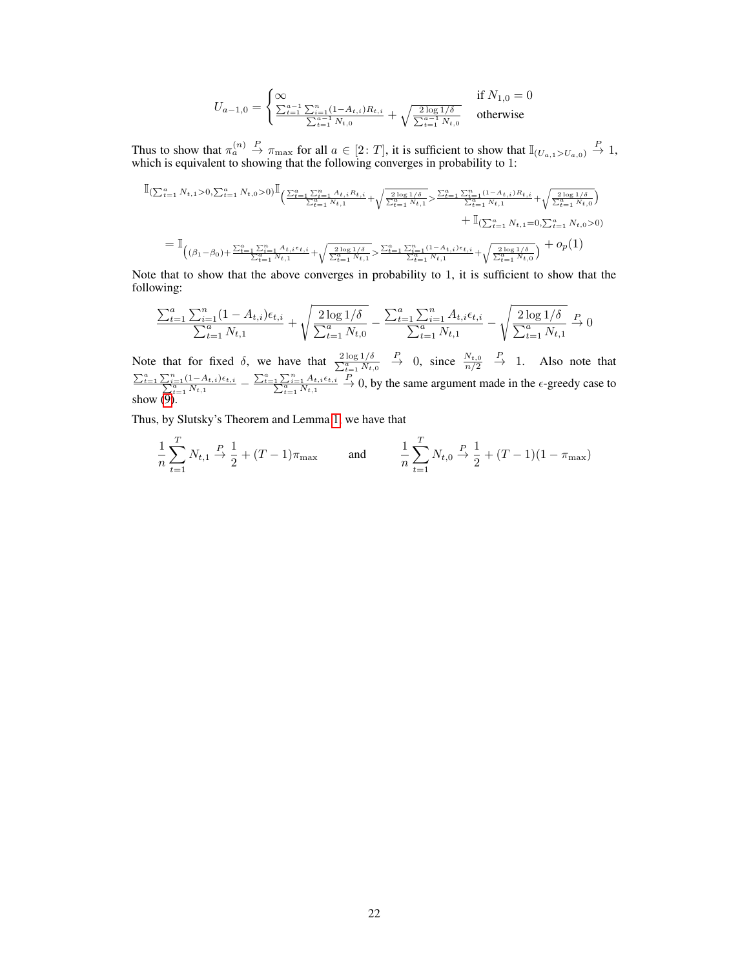$$
U_{a-1,0} = \begin{cases} \infty & \text{if } N_{1,0} = 0\\ \frac{\sum_{t=1}^{a-1} \sum_{i=1}^{n} (1 - A_{t,i}) R_{t,i}}{\sum_{t=1}^{a-1} N_{t,0}} + \sqrt{\frac{2 \log 1/\delta}{\sum_{t=1}^{a-1} N_{t,0}}} & \text{otherwise} \end{cases}
$$

Thus to show that  $\pi_a^{(n)} \stackrel{P}{\to} \pi_{\max}$  for all  $a \in [2: T]$ , it is sufficient to show that  $\mathbb{I}_{(U_{a,1} > U_{a,0})} \stackrel{P}{\to} 1$ , which is equivalent to showing that the following converges in probability to 1:

$$
\begin{split} &\mathbb{I}_{(\sum_{t=1}^{a}N_{t,1}>0,\sum_{t=1}^{a}N_{t,0}>0)}\mathbb{I}_{\left(\frac{\sum_{t=1}^{a}\sum_{i=1}^{n}A_{t,i}R_{t,i}}{\sum_{t=1}^{a}N_{t,1}}+\sqrt{\frac{2\log 1/\delta}{\sum_{t=1}^{a}N_{t,1}}}\right)}\frac{\sum_{t=1}^{a}\sum_{i=1}^{n}(1-A_{t,i})R_{t,i}}{\sum_{t=1}^{a}N_{t,1}}+\sqrt{\frac{2\log 1/\delta}{\sum_{t=1}^{a}N_{t,0}}}\n\end{split} \quad+\mathbb{I}_{(\sum_{t=1}^{a}N_{t,1}=0,\sum_{t=1}^{a}N_{t,0}>0)}\n+ \mathbb{I}_{(\sum_{t=1}^{a}N_{t,1}=0,\sum_{t=1}^{a}N_{t,0}>0)}\n+ \mathbb{I}_{(\sum_{t=1}^{a}N_{t,1}=0,\sum_{t=1}^{a}N_{t,0}>0)}\n+ o_p(1)
$$

Note that to show that the above converges in probability to 1, it is sufficient to show that the following:

$$
\frac{\sum_{t=1}^{a} \sum_{i=1}^{n} (1 - A_{t,i}) \epsilon_{t,i}}{\sum_{t=1}^{a} N_{t,1}} + \sqrt{\frac{2 \log 1/\delta}{\sum_{t=1}^{a} N_{t,0}}} - \frac{\sum_{t=1}^{a} \sum_{i=1}^{n} A_{t,i} \epsilon_{t,i}}{\sum_{t=1}^{a} N_{t,1}} - \sqrt{\frac{2 \log 1/\delta}{\sum_{t=1}^{a} N_{t,1}}} \stackrel{P}{\to} 0
$$

Note that for fixed  $\delta$ , we have that  $\frac{2 \log 1/\delta}{\sum_{t=1}^{\alpha} N_{t,0}}$  $\stackrel{P}{\rightarrow}$  0, since  $\frac{N_{t,0}}{n/2}$  $\stackrel{P}{\rightarrow}$  1. Also note that  $\frac{\sum_{t=1}^{a} \sum_{i=1}^{n} (1-A_{t,i}) \epsilon_{t,i}}{\sum_{t=1}^{a} N_{t,1}} - \frac{\sum_{t=1}^{a} \sum_{i=1}^{n} A_{t,i} \epsilon_{t,i}}{\sum_{t=1}^{a} N_{t,1}}$  $\stackrel{P}{\rightarrow}$  0, by the same argument made in the  $\epsilon$ -greedy case to show [\(9\)](#page-6-2).

Thus, by Slutsky's Theorem and Lemma [1,](#page-18-0) we have that

$$
\frac{1}{n}\sum_{t=1}^{T}N_{t,1} \stackrel{P}{\to} \frac{1}{2} + (T-1)\pi_{\text{max}} \quad \text{and} \quad \frac{1}{n}\sum_{t=1}^{T}N_{t,0} \stackrel{P}{\to} \frac{1}{2} + (T-1)(1-\pi_{\text{max}})
$$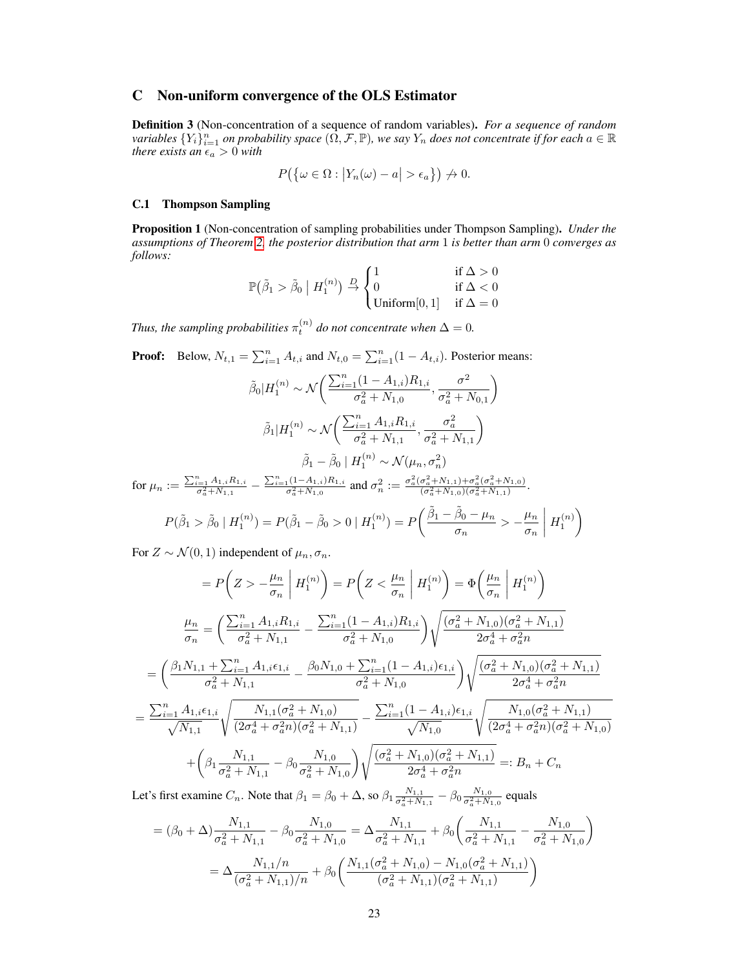# C Non-uniform convergence of the OLS Estimator

Definition 3 (Non-concentration of a sequence of random variables). *For a sequence of random*  $a$  *variables*  $\{Y_i\}_{i=1}^n$  *on probability space*  $(\Omega, \mathcal{F}, \mathbb{P})$ *, we say*  $Y_n$  *does not concentrate if for each*  $a \in \mathbb{R}$ *there exists an*  $\epsilon_a > 0$  *with* 

$$
P(\{\omega \in \Omega : |Y_n(\omega) - a| > \epsilon_a\}) \nrightarrow 0.
$$

## C.1 Thompson Sampling

<span id="page-10-0"></span>Proposition 1 (Non-concentration of sampling probabilities under Thompson Sampling). *Under the assumptions of Theorem [2,](#page--1-11) the posterior distribution that arm* 1 *is better than arm* 0 *converges as follows:*

$$
\mathbb{P}(\tilde{\beta}_1 > \tilde{\beta}_0 \mid H_1^{(n)}) \stackrel{D}{\rightarrow} \begin{cases} 1 & \text{if } \Delta > 0 \\ 0 & \text{if } \Delta < 0 \\ \text{Uniform}[0, 1] & \text{if } \Delta = 0 \end{cases}
$$

Thus, the sampling probabilities  $\pi_t^{(n)}$  do not concentrate when  $\Delta = 0$ .

**Proof:** Below,  $N_{t,1} = \sum_{i=1}^{n} A_{t,i}$  and  $N_{t,0} = \sum_{i=1}^{n} (1 - A_{t,i})$ . Posterior means:

$$
\tilde{\beta}_0 | H_1^{(n)} \sim \mathcal{N}\left(\frac{\sum_{i=1}^n (1 - A_{1,i}) R_{1,i}}{\sigma_a^2 + N_{1,0}}, \frac{\sigma^2}{\sigma_a^2 + N_{0,1}}\right)
$$
\n
$$
\tilde{\beta}_1 | H_1^{(n)} \sim \mathcal{N}\left(\frac{\sum_{i=1}^n A_{1,i} R_{1,i}}{\sigma_a^2 + N_{1,1}}, \frac{\sigma_a^2}{\sigma_a^2 + N_{1,1}}\right)
$$
\n
$$
\tilde{\beta}_1 - \tilde{\beta}_0 | H_1^{(n)} \sim \mathcal{N}(\mu_n, \sigma_n^2)
$$
\nfor  $\mu_n := \frac{\sum_{i=1}^n A_{1,i} R_{1,i}}{\sigma_a^2 + N_{1,1}} - \frac{\sum_{i=1}^n (1 - A_{1,i}) R_{1,i}}{\sigma_a^2 + N_{1,0}}$  and  $\sigma_n^2 := \frac{\sigma_a^2 (\sigma_a^2 + N_{1,1}) + \sigma_a^2 (\sigma_a^2 + N_{1,0})}{(\sigma_a^2 + N_{1,0})(\sigma_a^2 + N_{1,1})}$ .

$$
P(\tilde{\beta}_1 > \tilde{\beta}_0 \mid H_1^{(n)}) = P(\tilde{\beta}_1 - \tilde{\beta}_0 > 0 \mid H_1^{(n)}) = P\left(\frac{\tilde{\beta}_1 - \tilde{\beta}_0 - \mu_n}{\sigma_n} > -\frac{\mu_n}{\sigma_n} \mid H_1^{(n)}\right)
$$

For  $Z \sim \mathcal{N}(0, 1)$  independent of  $\mu_n, \sigma_n$ .

$$
= P\left(Z > -\frac{\mu_n}{\sigma_n} \middle| H_1^{(n)}\right) = P\left(Z < \frac{\mu_n}{\sigma_n} \middle| H_1^{(n)}\right) = \Phi\left(\frac{\mu_n}{\sigma_n} \middle| H_1^{(n)}\right)
$$
  

$$
\frac{\mu_n}{\sigma_n} = \left(\frac{\sum_{i=1}^n A_{1,i} R_{1,i}}{\sigma_a^2 + N_{1,1}} - \frac{\sum_{i=1}^n (1 - A_{1,i}) R_{1,i}}{\sigma_a^2 + N_{1,0}}\right) \sqrt{\frac{(\sigma_a^2 + N_{1,0})(\sigma_a^2 + N_{1,1})}{2\sigma_a^4 + \sigma_a^2 n}}
$$
  

$$
= \left(\frac{\beta_1 N_{1,1} + \sum_{i=1}^n A_{1,i} \epsilon_{1,i}}{\sigma_a^2 + N_{1,1}} - \frac{\beta_0 N_{1,0} + \sum_{i=1}^n (1 - A_{1,i}) \epsilon_{1,i}}{\sigma_a^2 + N_{1,0}}\right) \sqrt{\frac{(\sigma_a^2 + N_{1,0})(\sigma_a^2 + N_{1,1})}{2\sigma_a^4 + \sigma_a^2 n}}
$$
  

$$
= \frac{\sum_{i=1}^n A_{1,i} \epsilon_{1,i}}{\sqrt{N_{1,1}}} \sqrt{\frac{N_{1,1}(\sigma_a^2 + N_{1,0})}{(2\sigma_a^4 + \sigma_a^2 n)(\sigma_a^2 + N_{1,1})}} - \frac{\sum_{i=1}^n (1 - A_{1,i}) \epsilon_{1,i}}{\sqrt{N_{1,0}}} \sqrt{\frac{N_{1,0}(\sigma_a^2 + N_{1,1})}{(2\sigma_a^4 + \sigma_a^2 n)(\sigma_a^2 + N_{1,0})}}
$$
  

$$
+ \left(\beta_1 \frac{N_{1,1}}{\sigma_a^2 + N_{1,1}} - \beta_0 \frac{N_{1,0}}{\sigma_a^2 + N_{1,0}}\right) \sqrt{\frac{(\sigma_a^2 + N_{1,0})(\sigma_a^2 + N_{1,1})}{2\sigma_a^4 + \sigma_a^2 n}} =: B_n + C_n
$$

Let's first examine  $C_n$ . Note that  $\beta_1 = \beta_0 + \Delta$ , so  $\beta_1 \frac{N_{1,1}}{\sigma_a^2 + N_{1,1}} - \beta_0 \frac{N_{1,0}}{\sigma_a^2 + N_{1,0}}$  equals

$$
= (\beta_0 + \Delta) \frac{N_{1,1}}{\sigma_a^2 + N_{1,1}} - \beta_0 \frac{N_{1,0}}{\sigma_a^2 + N_{1,0}} = \Delta \frac{N_{1,1}}{\sigma_a^2 + N_{1,1}} + \beta_0 \left( \frac{N_{1,1}}{\sigma_a^2 + N_{1,1}} - \frac{N_{1,0}}{\sigma_a^2 + N_{1,0}} \right)
$$

$$
= \Delta \frac{N_{1,1}/n}{(\sigma_a^2 + N_{1,1})/n} + \beta_0 \left( \frac{N_{1,1}(\sigma_a^2 + N_{1,0}) - N_{1,0}(\sigma_a^2 + N_{1,1})}{(\sigma_a^2 + N_{1,1})(\sigma_a^2 + N_{1,1})} \right)
$$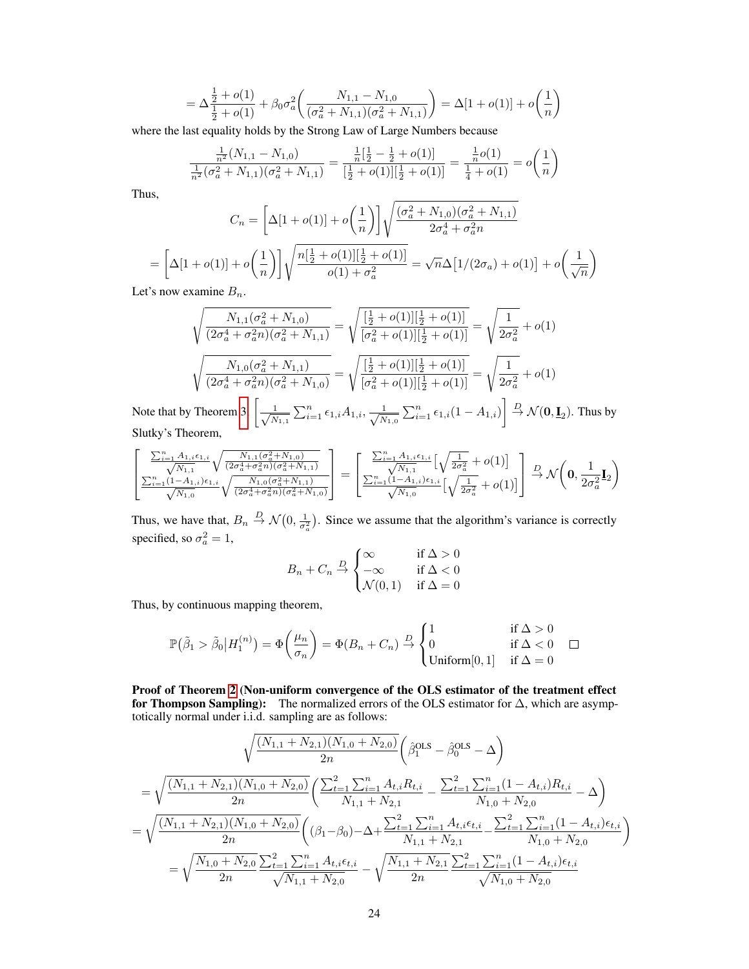$$
= \Delta \frac{\frac{1}{2} + o(1)}{\frac{1}{2} + o(1)} + \beta_0 \sigma_a^2 \left( \frac{N_{1,1} - N_{1,0}}{(\sigma_a^2 + N_{1,1})(\sigma_a^2 + N_{1,1})} \right) = \Delta [1 + o(1)] + o\left(\frac{1}{n}\right)
$$

where the last equality holds by the Strong Law of Large Numbers because

$$
\frac{\frac{1}{n^2}(N_{1,1} - N_{1,0})}{\frac{1}{n^2}(\sigma_a^2 + N_{1,1})(\sigma_a^2 + N_{1,1})} = \frac{\frac{1}{n}[\frac{1}{2} - \frac{1}{2} + o(1)]}{[\frac{1}{2} + o(1)][\frac{1}{2} + o(1)]} = \frac{\frac{1}{n}o(1)}{\frac{1}{4} + o(1)} = o\left(\frac{1}{n}\right)
$$

Thus,

Note that **Note** 

$$
C_n = \left[\Delta[1 + o(1)] + o\left(\frac{1}{n}\right)\right] \sqrt{\frac{(\sigma_a^2 + N_{1,0})(\sigma_a^2 + N_{1,1})}{2\sigma_a^4 + \sigma_a^2 n}}
$$

$$
= \left[\Delta[1 + o(1)] + o\left(\frac{1}{n}\right)\right] \sqrt{\frac{n\left[\frac{1}{2} + o(1)\right]\left[\frac{1}{2} + o(1)\right]}{o(1) + \sigma_a^2}} = \sqrt{n}\Delta\left[1/(2\sigma_a) + o(1)\right] + o\left(\frac{1}{\sqrt{n}}\right)
$$

Let's now examine  $B_n$ .

$$
\sqrt{\frac{N_{1,1}(\sigma_a^2 + N_{1,0})}{(2\sigma_a^4 + \sigma_a^2 n)(\sigma_a^2 + N_{1,1})}} = \sqrt{\frac{[\frac{1}{2} + o(1)][\frac{1}{2} + o(1)]}{[\sigma_a^2 + o(1)][\frac{1}{2} + o(1)]}} = \sqrt{\frac{1}{2\sigma_a^2}} + o(1)
$$
\n
$$
\sqrt{\frac{N_{1,0}(\sigma_a^2 + N_{1,1})}{(2\sigma_a^4 + \sigma_a^2 n)(\sigma_a^2 + N_{1,0})}} = \sqrt{\frac{[\frac{1}{2} + o(1)][\frac{1}{2} + o(1)]}{[\sigma_a^2 + o(1)][\frac{1}{2} + o(1)]}} = \sqrt{\frac{1}{2\sigma_a^2}} + o(1)
$$
\nNote that by Theorem 3, 
$$
\left[\frac{1}{\sqrt{N_{1,1}}} \sum_{i=1}^n \epsilon_{1,i} A_{1,i}, \frac{1}{\sqrt{N_{1,0}}} \sum_{i=1}^n \epsilon_{1,i} (1 - A_{1,i})\right] \stackrel{D}{\rightarrow} \mathcal{N}(\mathbf{0}, \mathbf{I}_2).
$$
 Thus by Slutky's Theorem,

$$
\begin{bmatrix} \frac{\sum_{i=1}^{n} A_{1,i}\epsilon_{1,i}}{\sqrt{N_{1,1}}} \sqrt{\frac{N_{1,1}(\sigma_a^2+N_{1,0})}{(2\sigma_a^4+\sigma_a^2n)(\sigma_a^2+N_{1,1})}} \\ \frac{\sum_{i=1}^{n} (1-A_{1,i})\epsilon_{1,i}}{\sqrt{N_{1,0}}} \sqrt{\frac{N_{1,0}(\sigma_a^2+N_{1,1})}{(2\sigma_a^4+\sigma_a^2n)(\sigma_a^2+N_{1,0})}} \end{bmatrix} = \begin{bmatrix} \frac{\sum_{i=1}^{n} A_{1,i}\epsilon_{1,i}}{\sqrt{N_{1,1}}} \left[\sqrt{\frac{1}{2\sigma_a^2}}+o(1)\right] \\ \frac{\sum_{i=1}^{n} (1-A_{1,i})\epsilon_{1,i}}{\sqrt{N_{1,0}}} \left[\sqrt{\frac{1}{2\sigma_a^2}}+o(1)\right] \end{bmatrix} \xrightarrow{D} \mathcal{N}\left(\mathbf{0},\frac{1}{2\sigma_a^2}\mathbf{I}_2\right)
$$

Thus, we have that,  $B_n \stackrel{D}{\to} \mathcal{N}(0, \frac{1}{\sigma_a^2})$ . Since we assume that the algorithm's variance is correctly specified, so  $\sigma_a^2 = 1$ ,

$$
B_n + C_n \stackrel{D}{\rightarrow} \begin{cases} \infty & \text{if } \Delta > 0\\ -\infty & \text{if } \Delta < 0\\ \mathcal{N}(0, 1) & \text{if } \Delta = 0 \end{cases}
$$

Thus, by continuous mapping theorem,

$$
\mathbb{P}\big(\tilde{\beta}_1 > \tilde{\beta}_0 \big| H_1^{(n)} \big) = \Phi\bigg(\frac{\mu_n}{\sigma_n}\bigg) = \Phi(B_n + C_n) \stackrel{D}{\to} \begin{cases} 1 & \text{if } \Delta > 0 \\ 0 & \text{if } \Delta < 0 \\ \text{Uniform}[0,1] & \text{if } \Delta = 0 \end{cases} \quad \Box
$$

Proof of Theorem [2](#page--1-11) (Non-uniform convergence of the OLS estimator of the treatment effect for Thompson Sampling): The normalized errors of the OLS estimator for  $\Delta$ , which are asymptotically normal under i.i.d. sampling are as follows:

$$
\sqrt{\frac{(N_{1,1} + N_{2,1})(N_{1,0} + N_{2,0})}{2n}} \left(\hat{\beta}_1^{\text{OLS}} - \hat{\beta}_0^{\text{OLS}} - \Delta\right)
$$
  
= 
$$
\sqrt{\frac{(N_{1,1} + N_{2,1})(N_{1,0} + N_{2,0})}{2n}} \left(\frac{\sum_{t=1}^2 \sum_{i=1}^n A_{t,i} R_{t,i}}{N_{1,1} + N_{2,1}} - \frac{\sum_{t=1}^2 \sum_{i=1}^n (1 - A_{t,i}) R_{t,i}}{N_{1,0} + N_{2,0}} - \Delta\right)
$$
  
= 
$$
\sqrt{\frac{(N_{1,1} + N_{2,1})(N_{1,0} + N_{2,0})}{2n}} \left((\beta_1 - \beta_0) - \Delta + \frac{\sum_{t=1}^2 \sum_{i=1}^n A_{t,i} \epsilon_{t,i}}{N_{1,1} + N_{2,1}} - \frac{\sum_{t=1}^2 \sum_{i=1}^n (1 - A_{t,i}) \epsilon_{t,i}}{N_{1,0} + N_{2,0}}\right)
$$
  
= 
$$
\sqrt{\frac{N_{1,0} + N_{2,0}}{2n}} \frac{\sum_{t=1}^2 \sum_{i=1}^n A_{t,i} \epsilon_{t,i}}{\sqrt{N_{1,1} + N_{2,0}}} - \sqrt{\frac{N_{1,1} + N_{2,1}}{2n}} \frac{\sum_{t=1}^2 \sum_{i=1}^n (1 - A_{t,i}) \epsilon_{t,i}}{\sqrt{N_{1,0} + N_{2,0}}}
$$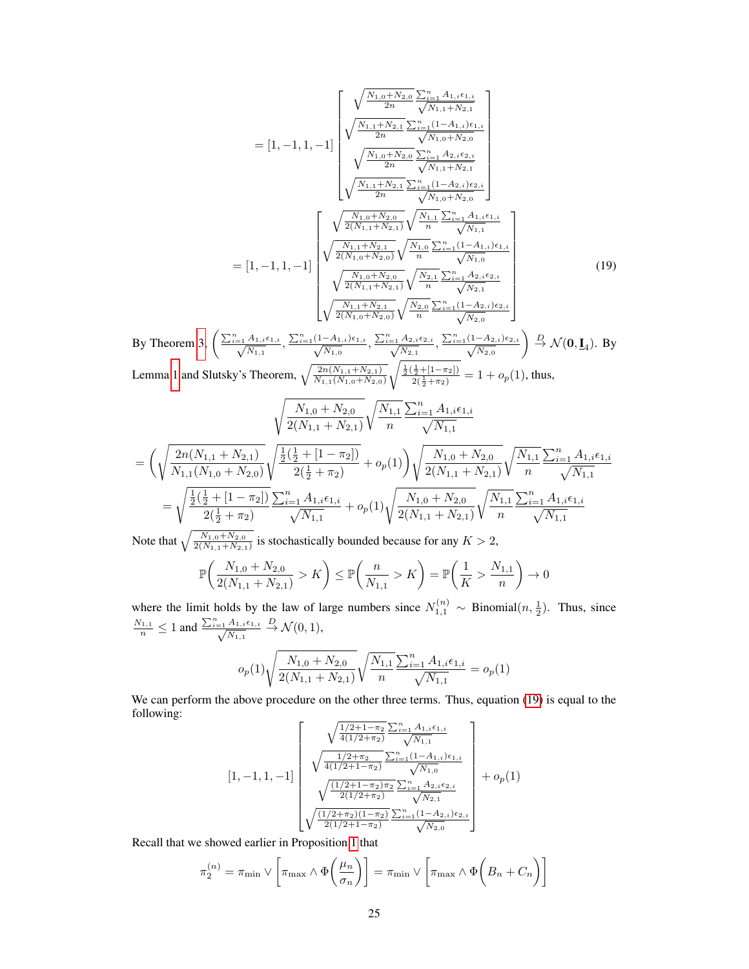$$
= [1, -1, 1, -1] \begin{bmatrix} \sqrt{\frac{N_{1,0} + N_{2,0}}{2n}} \frac{\sum_{i=1}^{n} A_{1,i} \epsilon_{1,i}}{\sqrt{N_{1,1} + N_{2,1}}} \\ \sqrt{\frac{N_{1,1} + N_{2,1}}{2n}} \frac{\sum_{i=1}^{n} (1 - A_{1,i}) \epsilon_{1,i}}{\sqrt{N_{1,0} + N_{2,0}}} \\ \sqrt{\frac{N_{1,0} + N_{2,0}}{2n}} \frac{\sum_{i=1}^{n} A_{2,i} \epsilon_{2,i}}{\sqrt{N_{1,1} + N_{2,1}}} \\ \sqrt{\frac{N_{1,1} + N_{2,1}}{2n}} \frac{\sum_{i=1}^{n} (1 - A_{2,i}) \epsilon_{2,i}}{\sqrt{N_{1,0} + N_{2,0}}} \\ \sqrt{\frac{N_{1,0} + N_{2,0}}{2n}} \frac{\sum_{i=1}^{n} (1 - A_{2,i}) \epsilon_{2,i}}{\sqrt{N_{1,0} + N_{2,0}}} \\ \sqrt{\frac{N_{1,0} + N_{2,0}}{2(N_{1,1} + N_{2,1})}} \sqrt{\frac{N_{1,1}}{n}} \frac{\sum_{i=1}^{n} A_{1,i} \epsilon_{1,i}}{\sqrt{N_{1,1}}} \\ \sqrt{\frac{N_{1,0} + N_{2,0}}{2(N_{1,0} + N_{2,0})}} \sqrt{\frac{N_{1,0}}{n}} \frac{\sum_{i=1}^{n} (1 - A_{1,i}) \epsilon_{1,i}}{\sqrt{N_{1,0}}} \\ \sqrt{\frac{N_{1,0} + N_{2,0}}{2(N_{1,1} + N_{2,1})}} \sqrt{\frac{N_{2,1}}{n}} \frac{\sum_{i=1}^{n} A_{2,i} \epsilon_{2,i}}{\sqrt{N_{2,1}}} \\ \sqrt{\frac{N_{1,1} + N_{2,1}}{2(N_{1,0} + N_{2,0})}} \sqrt{\frac{N_{2,0}}{n}} \frac{\sum_{i=1}^{n} (1 - A_{2,i}) \epsilon_{2,i}}{\sqrt{N_{2,0}}} \end{bmatrix} \tag{19}
$$

<span id="page-12-0"></span>By Theorem [3,](#page--1-3)  $\left(\frac{\sum_{i=1}^{n} A_{1,i} \epsilon_{1,i}}{\sqrt{N}}\right)$  $\frac{A_{1,i}\epsilon_{1,i}}{N_{1,1}}, \frac{\sum_{i=1}^{n}(1-A_{1,i})\epsilon_{1,i}}{\sqrt{N_{1,0}}}$  $\frac{-A_{1,i})\epsilon_{1,i}}{N_{1,0}}, \frac{\sum_{i=1}^{n}A_{2,i}\epsilon_{2,i}}{\sqrt{N_{2,1}}}$  $\frac{A_{2,i}\epsilon_{2,i}}{N_{2,1}}, \frac{\sum_{i=1}^{n}(1-A_{2,i})\epsilon_{2,i}}{\sqrt{N_{2,0}}}$  $N_{2,0}$  $\Big) \stackrel{D}{\rightarrow} \mathcal{N}(\mathbf{0},\mathbf{\underline{I}}_4)$ . By Lemma [1](#page-18-0) and Slutsky's Theorem,  $\sqrt{\frac{2n(N_{1,1}+N_{2,1})}{N_{1,1}(N_{1,0}+N_{2,0})}}$  $\sqrt{\frac{\frac{1}{2}(\frac{1}{2}+[1-\pi_2])}{2(\frac{1}{2}+\pi_2)}}$  = 1 +  $o_p(1)$ , thus,

$$
\sqrt{\frac{N_{1,0} + N_{2,0}}{2(N_{1,1} + N_{2,1})}} \sqrt{\frac{N_{1,1}}{n}} \frac{\sum_{i=1}^{n} A_{1,i} \epsilon_{1,i}}{\sqrt{N_{1,1}}}
$$
\n
$$
= \left(\sqrt{\frac{2n(N_{1,1} + N_{2,1})}{N_{1,1}(N_{1,0} + N_{2,0})}} \sqrt{\frac{\frac{1}{2}(\frac{1}{2} + [1 - \pi_2])}{2(\frac{1}{2} + \pi_2)}} + o_p(1)\right) \sqrt{\frac{N_{1,0} + N_{2,0}}{2(N_{1,1} + N_{2,1})}} \sqrt{\frac{N_{1,1}}{n}} \frac{\sum_{i=1}^{n} A_{1,i} \epsilon_{1,i}}{\sqrt{N_{1,1}}}
$$
\n
$$
= \sqrt{\frac{\frac{1}{2}(\frac{1}{2} + [1 - \pi_2])}{2(\frac{1}{2} + \pi_2)}} \frac{\sum_{i=1}^{n} A_{1,i} \epsilon_{1,i}}{\sqrt{N_{1,1}}} + o_p(1) \sqrt{\frac{N_{1,0} + N_{2,0}}{2(N_{1,1} + N_{2,1})}} \sqrt{\frac{N_{1,1}}{n}} \frac{\sum_{i=1}^{n} A_{1,i} \epsilon_{1,i}}{\sqrt{N_{1,1}}}
$$
\nNot that  $\sqrt{\frac{N_{1,0} + N_{2,0}}{N_{1,0} + N_{2,0}}}$ , the solution is the limit of  $N$  is the limit.

Note that  $\sqrt{\frac{N_{1,0}+N_{2,0}}{2(N_{1,1}+N_{2,1})}}$  is stochastically bounded because for any  $K > 2$ ,

$$
\mathbb{P}\left(\frac{N_{1,0} + N_{2,0}}{2(N_{1,1} + N_{2,1})} > K\right) \le \mathbb{P}\left(\frac{n}{N_{1,1}} > K\right) = \mathbb{P}\left(\frac{1}{K} > \frac{N_{1,1}}{n}\right) \to 0
$$

where the limit holds by the law of large numbers since  $N_{1,1}^{(n)} \sim$  Binomial $(n, \frac{1}{2})$ . Thus, since  $\frac{N_{1,1}}{n} \leq 1$  and  $\frac{\sum_{i=1}^{n} A_{1,i} \epsilon_{1,i}}{\sqrt{N_{1,1}}}$  $\frac{A_{1,i}\epsilon_{1,i}}{N_{1,1}} \stackrel{D}{\rightarrow} \mathcal{N}(0,1),$ 

$$
o_p(1)\sqrt{\frac{N_{1,0}+N_{2,0}}{2(N_{1,1}+N_{2,1})}}\sqrt{\frac{N_{1,1}}{n}}\frac{\sum_{i=1}^n A_{1,i}\epsilon_{1,i}}{\sqrt{N_{1,1}}} = o_p(1)
$$

We can perform the above procedure on the other three terms. Thus, equation [\(19\)](#page-12-0) is equal to the following:

$$
[1,-1,1,-1] \left[\begin{array}{c} \sqrt{\frac{1/2+1-\pi_2}{4(1/2+\pi_2)}\sum_{i=1}^n A_{1,i}\epsilon_{1,i}}{\sqrt{N_{1,1}}} \\ \sqrt{\frac{1/2+\pi_2}{4(1/2+1-\pi_2)}\sum_{i=1}^n (1-A_{1,i})\epsilon_{1,i}} \ \sqrt{\frac{N_{1,0}}{N_{1,0}}} \\ \sqrt{\frac{(1/2+1-\pi_2)\pi_2}{2(1/2+\pi_2)}\sum_{i=1}^n A_{2,i}\epsilon_{2,i}} \ \sqrt{N_{2,1}}} \\ \sqrt{\frac{(1/2+\pi_2)(1-\pi_2)}{2(1/2+1-\pi_2)}\sum_{i=1}^n (1-A_{2,i})\epsilon_{2,i}} \ \sqrt{N_{2,0}}} \end{array}\right] + o_p(1)
$$

Recall that we showed earlier in Proposition [1](#page-10-0) that

$$
\pi_2^{(n)} = \pi_{\min} \vee \left[ \pi_{\max} \wedge \Phi\left(\frac{\mu_n}{\sigma_n}\right) \right] = \pi_{\min} \vee \left[ \pi_{\max} \wedge \Phi\left(B_n + C_n\right) \right]
$$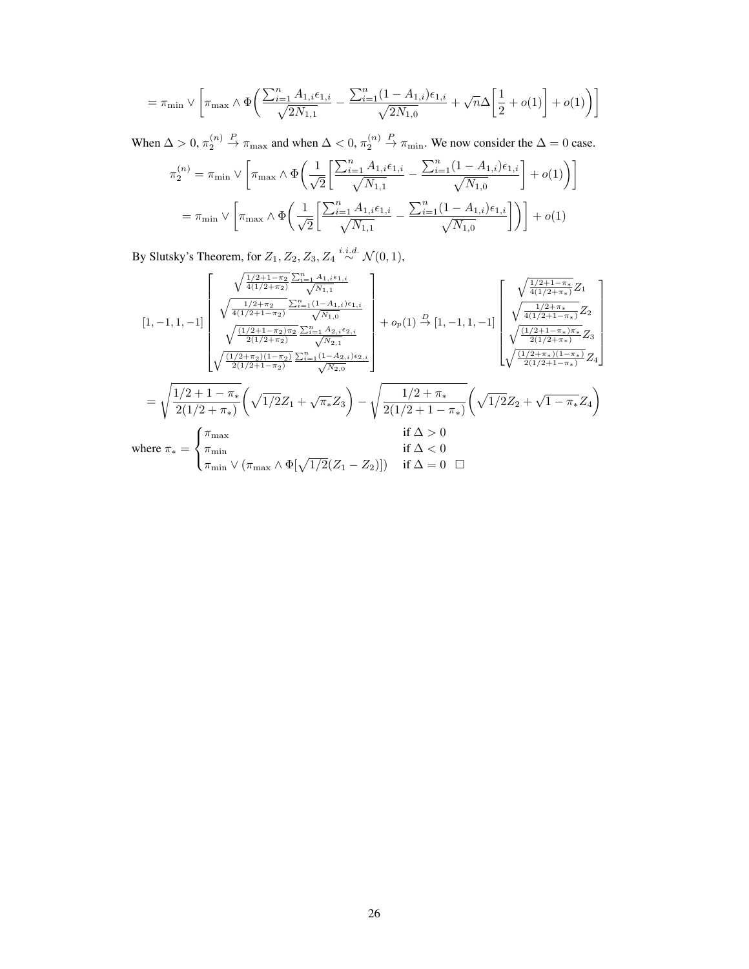$$
= \pi_{\min} \vee \left[ \pi_{\max} \wedge \Phi \bigg( \frac{\sum_{i=1}^n A_{1,i} \epsilon_{1,i}}{\sqrt{2N_{1,1}}} - \frac{\sum_{i=1}^n (1-A_{1,i}) \epsilon_{1,i}}{\sqrt{2N_{1,0}}} + \sqrt{n} \Delta \bigg[ \frac{1}{2} + o(1) \bigg] + o(1) \bigg) \right]
$$

When  $\Delta > 0$ ,  $\pi_2^{(n)}$  $\stackrel{P}{\to} \pi_{\text{max}}$  and when  $\Delta < 0$ ,  $\pi_2^{(n)}$  $\stackrel{P}{\rightarrow} \pi_{\min}$ . We now consider the  $\Delta = 0$  case.

$$
\pi_2^{(n)} = \pi_{\min} \vee \left[ \pi_{\max} \wedge \Phi \left( \frac{1}{\sqrt{2}} \left[ \frac{\sum_{i=1}^n A_{1,i} \epsilon_{1,i}}{\sqrt{N_{1,1}}} - \frac{\sum_{i=1}^n (1 - A_{1,i}) \epsilon_{1,i}}{\sqrt{N_{1,0}}} \right] + o(1) \right) \right]
$$
  
=  $\pi_{\min} \vee \left[ \pi_{\max} \wedge \Phi \left( \frac{1}{\sqrt{2}} \left[ \frac{\sum_{i=1}^n A_{1,i} \epsilon_{1,i}}{\sqrt{N_{1,1}}} - \frac{\sum_{i=1}^n (1 - A_{1,i}) \epsilon_{1,i}}{\sqrt{N_{1,0}}} \right] \right) \right] + o(1)$ 

By Slutsky's Theorem, for  $Z_1, Z_2, Z_3, Z_4 \stackrel{i.i.d.}{\sim} \mathcal{N}(0, 1)$ ,

$$
\begin{bmatrix} 1, -1, 1, -1 \end{bmatrix} \begin{bmatrix} \sqrt{\frac{1/2+1-\pi_2}{4(1/2+\pi_2)}} \frac{\sum_{i=1}^{n} A_{1,i} \epsilon_{1,i}}{\sqrt{N_{1,1}}} \\ \sqrt{\frac{1/2+\pi_2}{4(1/2+1-\pi_2)}} \frac{\sum_{i=1}^{n} (1-A_{1,i}) \epsilon_{1,i}}{\sqrt{N_{1,0}}} \\ \sqrt{\frac{(1/2+1-\pi_2)\pi_2}{2(1/2+\pi_2)}} \frac{\sum_{i=1}^{n} (1-A_{1,i}) \epsilon_{1,i}}{\sqrt{N_{2,1}}} \\ \sqrt{\frac{(1/2+1-\pi_2)\pi_2}{2(1/2+\pi_2)}} \frac{\sum_{i=1}^{n} A_{2,i} \epsilon_{2,i}}{\sqrt{N_{2,1}}} \\ \sqrt{\frac{(1/2+1-\pi_2)\pi_2}{2(1/2+\pi_2)}} \frac{\sum_{i=1}^{n} (1-A_{2,i}) \epsilon_{2,i}}{\sqrt{N_{2,0}}} \end{bmatrix} + o_p(1) \stackrel{D}{\rightarrow} [1, -1, 1, -1] \begin{bmatrix} \sqrt{\frac{1/2+1-\pi_*}{4(1/2+1-\pi_*)}} Z_1 \\ \sqrt{\frac{1/2+1-\pi_*}{4(1/2+\pi_*)}} Z_2 \\ \sqrt{\frac{(1/2+1-\pi_*)}{2(1/2+\pi_*)}} Z_3 \end{bmatrix} \\ = \sqrt{\frac{1/2+1-\pi_*}{2(1/2+\pi_*)}} \left( \sqrt{1/2} Z_1 + \sqrt{\pi_*} Z_3 \right) - \sqrt{\frac{1/2+\pi_*}{2(1/2+1-\pi_*)}} \left( \sqrt{1/2} Z_2 + \sqrt{1-\pi_*} Z_4 \right) \\ \text{if } \Delta > 0 \\ \text{if } \Delta < 0 \\ \pi_{\min} \vee (\pi_{\max} \wedge \Phi[\sqrt{1/2}(Z_1 - Z_2)]) \quad \text{if } \Delta = 0 \quad \Box \end{bmatrix}
$$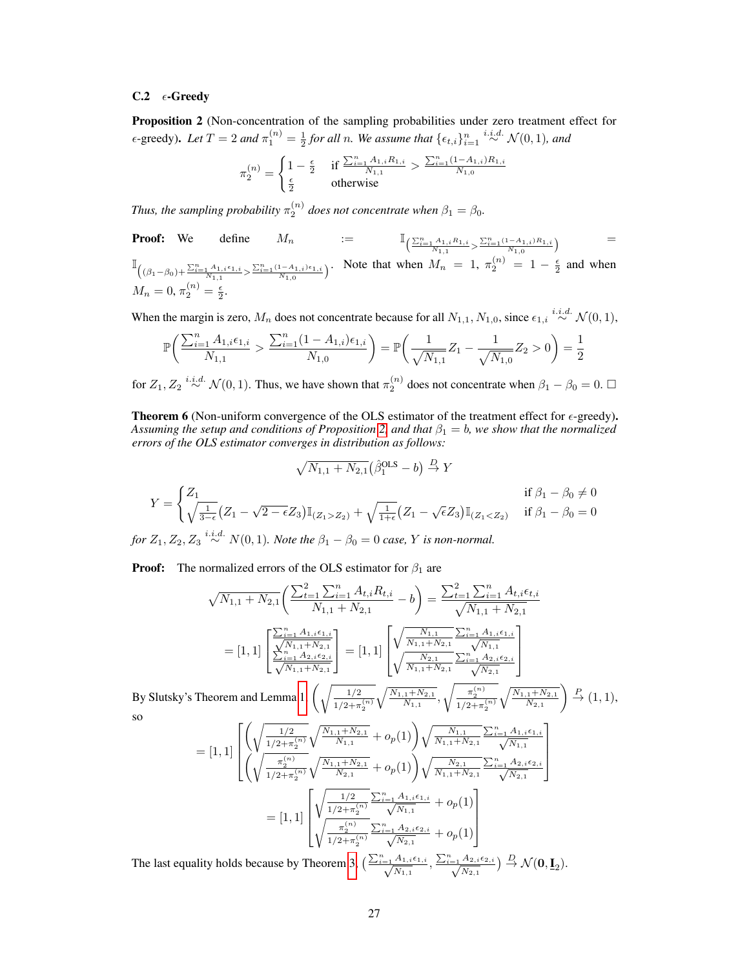# C.2  $\epsilon$ -Greedy

<span id="page-14-0"></span>Proposition 2 (Non-concentration of the sampling probabilities under zero treatment effect for  $\epsilon$ -greedy). Let  $T = 2$  and  $\pi_1^{(n)} = \frac{1}{2}$  for all n. We assume that  $\{\epsilon_{t,i}\}_{i=1}^n \stackrel{i.i.d.}{\sim} \mathcal{N}(0,1)$ , and

$$
\pi_2^{(n)} = \begin{cases} 1 - \frac{\epsilon}{2} & \text{if } \frac{\sum_{i=1}^n A_{1,i} R_{1,i}}{N_{1,1}} > \frac{\sum_{i=1}^n (1 - A_{1,i}) R_{1,i}}{N_{1,0}} \\ \frac{\epsilon}{2} & \text{otherwise} \end{cases}
$$

*Thus, the sampling probability*  $\pi_2^{(n)}$  does not concentrate when  $\beta_1 = \beta_0$ .

**Proof:** We define 
$$
M_n := \mathbb{I}_{\left(\frac{\sum_{i=1}^n A_{1,i} R_{1,i}}{N_{1,1}} > \frac{\sum_{i=1}^n (1-A_{1,i}) R_{1,i}}{N_{1,0}}\right)} = \mathbb{I}_{\left((\beta_1 - \beta_0) + \frac{\sum_{i=1}^n A_{1,i} \epsilon_{1,i}}{N_{1,1}} > \frac{\sum_{i=1}^n (1-A_{1,i}) \epsilon_{1,i}}{N_{1,0}}\right)}.
$$
 Note that when  $M_n = 1$ ,  $\pi_2^{(n)} = 1 - \frac{\epsilon}{2}$  and when  $M_n = 0$ ,  $\pi_2^{(n)} = \frac{\epsilon}{2}$ .

When the margin is zero,  $M_n$  does not concentrate because for all  $N_{1,1}, N_{1,0}$ , since  $\epsilon_{1,i} \stackrel{i.i.d.}{\sim} \mathcal{N}(0,1)$ ,

$$
\mathbb{P}\bigg(\frac{\sum_{i=1}^n A_{1,i} \epsilon_{1,i}}{N_{1,1}} > \frac{\sum_{i=1}^n (1 - A_{1,i}) \epsilon_{1,i}}{N_{1,0}}\bigg) = \mathbb{P}\bigg(\frac{1}{\sqrt{N_{1,1}}} Z_1 - \frac{1}{\sqrt{N_{1,0}}} Z_2 > 0\bigg) = \frac{1}{2}
$$

for  $Z_1, Z_2 \stackrel{i.i.d.}{\sim} \mathcal{N}(0, 1)$ . Thus, we have shown that  $\pi_2^{(n)}$  does not concentrate when  $\beta_1 - \beta_0 = 0$ .  $\Box$ 

**Theorem 6** (Non-uniform convergence of the OLS estimator of the treatment effect for  $\epsilon$ -greedy). *Assuming the setup and conditions of Proposition* [2,](#page-14-0) *and that*  $\beta_1 = b$ , we show that the normalized *errors of the OLS estimator converges in distribution as follows:*

<u>na matematika na katalog</u>

$$
\sqrt{N_{1,1} + N_{2,1}} (\hat{\beta}_1^{\text{OLS}} - b) \stackrel{D}{\to} Y
$$
  
if  $\beta_1 - \beta_0 \neq 0$   

$$
Y = \begin{cases} Z_1 & \text{if } \beta_1 - \beta_0 \neq 0 \\ \sqrt{\frac{1}{3-\epsilon}} (Z_1 - \sqrt{2-\epsilon}Z_3) \mathbb{I}_{(Z_1 > Z_2)} + \sqrt{\frac{1}{1+\epsilon}} (Z_1 - \sqrt{\epsilon}Z_3) \mathbb{I}_{(Z_1 < Z_2)} & \text{if } \beta_1 - \beta_0 = 0 \end{cases}
$$

*for*  $Z_1, Z_2, Z_3 \stackrel{i.i.d.}{\sim} N(0, 1)$ *. Note the*  $\beta_1 - \beta_0 = 0$  *case,* Y *is non-normal.* 

**Proof:** The normalized errors of the OLS estimator for  $\beta_1$  are

$$
\sqrt{N_{1,1} + N_{2,1}} \left( \frac{\sum_{t=1}^{2} \sum_{i=1}^{n} A_{t,i} R_{t,i}}{N_{1,1} + N_{2,1}} - b \right) = \frac{\sum_{t=1}^{2} \sum_{i=1}^{n} A_{t,i} \epsilon_{t,i}}{\sqrt{N_{1,1} + N_{2,1}}} \n= [1, 1] \left[ \frac{\sum_{i=1}^{n} A_{1,i} \epsilon_{1,i}}{\sum_{i=1}^{N_{1,1} + N_{2,1}} \sum_{i}} \right] = [1, 1] \left[ \frac{\sqrt{\frac{N_{1,1}}{N_{1,1} + N_{2,1}} \sum_{i=1}^{n} A_{1,i} \epsilon_{1,i}}}{\sqrt{\frac{N_{2,1}}{N_{1,1} + N_{2,1}}} \sum_{i=1}^{n} A_{2,i} \epsilon_{2,i}} \right]
$$
\n
$$
\sqrt{\frac{N_{2,1}}{N_{1,1} + N_{2,1}}} \left[ \frac{\sqrt{\frac{N_{1,1}}{N_{1,1} + N_{2,1}} \sum_{i=1}^{n} A_{2,i} \epsilon_{2,i}}}{\sqrt{\frac{N_{1,1}}{N_{1,1} + N_{2,1}}} \sum_{i=1}^{n} \frac{\sqrt{N_{1,1}} \epsilon_{1,i}}{\sqrt{N_{2,1}}} \sum_{i=1}^{n} \epsilon_{1,i} \epsilon_{1,i}} \right]
$$

By Slutsky's Theorem and Lemma [1,](#page-18-0)  $\left(\sqrt{\frac{1/2}{1/2}}\right)$  $1/2 + \pi_2^{(n)}$  $\sqrt{\frac{N_{1,1}+N_{2,1}}{N_{1,1}}}, \sqrt{\frac{\pi_2^{(n)}}{1/2+\pi_2^{(n)}}}$  $\sqrt{\frac{N_{1,1}+N_{2,1}}{N_{2,1}}}$  $\Big) \stackrel{P}{\rightarrow} (1,1),$ so

$$
= [1, 1] \left[ \left( \sqrt{\frac{1/2}{1/2 + \pi_2^{(n)}}} \sqrt{\frac{N_{1,1} + N_{2,1}}{N_{1,1}}} + o_p(1) \right) \sqrt{\frac{N_{1,1}}{N_{1,1} + N_{2,1}}} \frac{\sum_{i=1}^n A_{1,i} \epsilon_{1,i}}{\sqrt{N_{1,1}}} \right]
$$
  

$$
= [1, 1] \left[ \sqrt{\frac{\pi_2^{(n)}}{1/2 + \pi_2^{(n)}}} \sqrt{\frac{N_{1,1} + N_{2,1}}{N_{2,1}}} + o_p(1) \right) \sqrt{\frac{N_{2,1}}{N_{1,1} + N_{2,1}}} \frac{\sum_{i=1}^n A_{2,i} \epsilon_{2,i}}{\sqrt{N_{2,1}}} \right]
$$
  

$$
= [1, 1] \left[ \sqrt{\frac{1/2}{1/2 + \pi_2^{(n)}}} \frac{\sum_{i=1}^n A_{1,i} \epsilon_{1,i}}{\sqrt{N_{1,1}}} + o_p(1) \right]
$$
  

$$
\sqrt{\frac{\pi_2^{(n)}}{1/2 + \pi_2^{(n)}}} \frac{\sum_{i=1}^n A_{2,i} \epsilon_{2,i}}{\sqrt{N_{2,1}}} + o_p(1) \right]
$$

The last equality holds because by Theorem [3,](#page--1-3)  $\left(\frac{\sum_{i=1}^{n} A_{1,i} \epsilon_{1,i}}{\Delta x}\right)$  $\frac{A_{1,i}\epsilon_{1,i}}{N_{1,1}}, \frac{\sum_{i=1}^{n} A_{2,i}\epsilon_{2,i}}{\sqrt{N_{2,1}}}$  $\frac{A_{2,i}\epsilon_{2,i}}{N_{2,1}}$  )  $\overset{D}{\rightarrow}$   $\mathcal{N}(\mathbf{0},\mathbf{\underline{I}}_2).$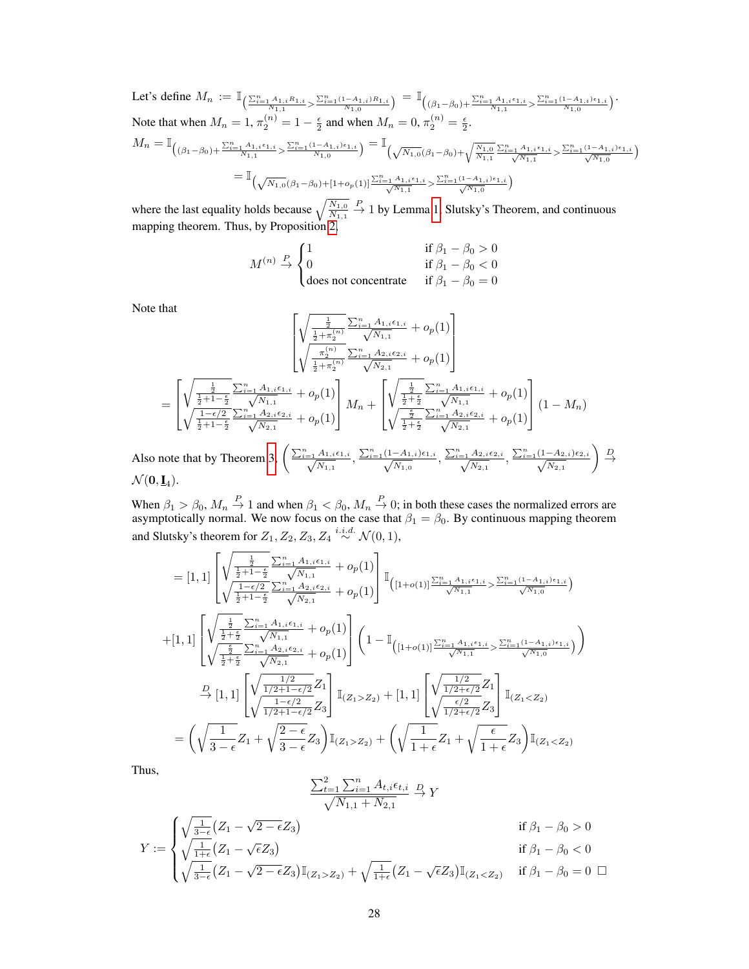Let's define  $M_n := \mathbb{I}_{\left( \frac{\sum_{i=1}^n A_{1,i}R_{1,i}}{N_{1,1}} > \frac{\sum_{i=1}^n (1-A_{1,i})R_{1,i}}{N_{1,0}} \right)} = \mathbb{I}_{\left( (\beta_1 - \beta_0) + \frac{\sum_{i=1}^n A_{1,i}\epsilon_{1,i}}{N_{1,1}} > \frac{\sum_{i=1}^n (1-A_{1,i})\epsilon_{1,i}}{N_{1,0}} \right)}$ Note that when  $M_n = 1$ ,  $\pi_2^{(n)} = 1 - \frac{\epsilon}{2}$  and when  $M_n = 0$ ,  $\pi_2^{(n)} = \frac{\epsilon}{2}$ .  $M_n = \mathbb{I}_{\left( (\beta_1 - \beta_0) + \frac{\sum_{i=1}^n A_{1,i} \epsilon_{1,i}}{N_{1,1}} > \frac{\sum_{i=1}^n (1 - A_{1,i}) \epsilon_{1,i}}{N_{1,0}} \right)} = \mathbb{I}_{\left( \sqrt{N_{1,0}} (\beta_1 - \beta_0) + \sqrt{\frac{N_{1,0}}{N_{1,1}} \epsilon_{1,i}} \right)}$  $\frac{\sum_{i=1}^{n} A_{1,i} \epsilon_{1,i}}{\sqrt{N}}$  $\frac{A_{1,i}\epsilon_{1,i}}{N_{1,1}} > \frac{\sum_{i=1}^{n}(1-A_{1,i})\epsilon_{1,i}}{\sqrt{N_{1,0}}}$  $\frac{-A_{1,i})\epsilon_{1,i}}{N_{1,0}}$  $=\mathbb{I}_{(\sqrt{N_{1,0}}(\beta_1-\beta_0)+[1+o_p(1])^{\frac{\sum_{i=1}^n A_{1,i}\epsilon_{1,i}}{N}})}$  $\frac{A_{1,i} \epsilon_{1,i}}{N_{1,1}} > \frac{\sum_{i=1}^{n} (1 - A_{1,i}) \epsilon_{1,i}}{\sqrt{N_{1,0}}}$  $\frac{-A_{1,i})\epsilon_{1,i}}{N_{1,0}}$ 

where the last equality holds because  $\sqrt{\frac{N_{1,0}}{N_{1,1}}}$  $\stackrel{P}{\rightarrow}$  1 by Lemma [1,](#page-18-0) Slutsky's Theorem, and continuous mapping theorem. Thus, by Proposition [2,](#page-14-0)

$$
M^{(n)} \stackrel{P}{\rightarrow} \begin{cases} 1 & \text{if } \beta_1 - \beta_0 > 0 \\ 0 & \text{if } \beta_1 - \beta_0 < 0 \\ \text{does not concentrate} & \text{if } \beta_1 - \beta_0 = 0 \end{cases}
$$

Note that

$$
\begin{bmatrix}\n\sqrt{\frac{\frac{1}{2}}{\frac{1}{2} + \pi_{2}^{(n)}}} \frac{\sum_{i=1}^{n} A_{1,i} \epsilon_{1,i}}{\sqrt{N_{1,1}}} + o_{p}(1)\n\sqrt{\frac{\pi_{2}^{(n)}}{\frac{1}{2} + \pi_{2}^{(n)}}} \frac{\sum_{i=1}^{n} A_{2,i} \epsilon_{2,i}}{\sqrt{N_{2,1}}} + o_{p}(1)\n\end{bmatrix}\n=\n\begin{bmatrix}\n\sqrt{\frac{\frac{1}{2}}{\frac{1}{2} + 1 - \frac{\epsilon}{2}}} \frac{\sum_{i=1}^{n} A_{1,i} \epsilon_{1,i}}{\sqrt{N_{1,1}}} + o_{p}(1)\n\sqrt{\frac{1}{2} + \pi_{2}^{(n)}} \frac{\sum_{i=1}^{n} A_{2,i} \epsilon_{2,i}}{\sqrt{N_{2,1}}} + o_{p}(1)\n\end{bmatrix}\nM_{n} + \begin{bmatrix}\n\sqrt{\frac{\frac{1}{2}}{\frac{1}{2} + \frac{\epsilon}{2}}} \frac{\sum_{i=1}^{n} A_{1,i} \epsilon_{1,i}}{\sqrt{N_{1,1}}} + o_{p}(1)\n\sqrt{\frac{\frac{1}{2}}{\frac{1}{2} + \frac{\epsilon}{2}}} \frac{\sum_{i=1}^{n} A_{2,i} \epsilon_{2,i}}{\sqrt{N_{2,1}}} + o_{p}(1)\n\end{bmatrix}\n(1 - M_{n})\n\begin{bmatrix}\n\sqrt{n} & 4 & 1 \\
\sqrt{n} & 4 & 1 \\
\sqrt{n} & 4 & 1\n\end{bmatrix}\n\begin{bmatrix}\n\sqrt{n} & 4 & 1 \\
\sqrt{n} & 4 & 1 \\
\sqrt{n} & 4 & 1\n\end{bmatrix}\n\begin{bmatrix}\n\sqrt{n} & 4 & 1 \\
\sqrt{n} & 4 & 1 \\
\sqrt{n} & 4 & 1\n\end{bmatrix}\n\begin{bmatrix}\n\sqrt{n} & 4 & 1 \\
\sqrt{n} & 4 & 1 \\
\sqrt{n} & 4 & 1\n\end{bmatrix}
$$

Also note that by Theorem [3,](#page--1-3)  $\left(\frac{\sum_{i=1}^{n} A_{1,i} \epsilon_{1,i}}{\sqrt{M}}\right)$  $\frac{A_{1,i}\epsilon_{1,i}}{N_{1,1}}, \frac{\sum_{i=1}^{n}(1-A_{1,i})\epsilon_{1,i}}{\sqrt{N_{1,0}}}$  $\frac{-A_{1,i})\epsilon_{1,i}}{N_{1,0}}, \frac{\sum_{i=1}^{n}A_{2,i}\epsilon_{2,i}}{\sqrt{N_{2,1}}}$  $\frac{A_{2,i}\epsilon_{2,i}}{N_{2,1}}, \frac{\sum_{i=1}^{n}(1-A_{2,i})\epsilon_{2,i}}{\sqrt{N_{2,1}}}$  $N_{2,1}$  $\left.\right\} \xrightarrow{D}$  $\mathcal{N}(\mathbf{0},\mathbf{\underline{I}}_4).$ 

When  $\beta_1 > \beta_0$ ,  $M_n \stackrel{P}{\to} 1$  and when  $\beta_1 < \beta_0$ ,  $M_n \stackrel{P}{\to} 0$ ; in both these cases the normalized errors are asymptotically normal. We now focus on the case that  $\beta_1 = \beta_0$ . By continuous mapping theorem and Slutsky's theorem for  $Z_1, Z_2, Z_3, Z_4 \stackrel{i.i.d.}{\sim} \mathcal{N}(0, 1),$ 

$$
= [1, 1] \sqrt{\frac{\frac{1}{2} + 1 - \frac{5}{2}}{\sqrt{\frac{1 - \epsilon/2}{2}} \sum_{i=1}^{n} A_{1,i} \epsilon_{1,i}} + o_p(1)} \sqrt{\frac{1 - \epsilon/2}{\frac{1}{2} + 1 - \frac{5}{2}} \frac{\sqrt{N_{1,1}}} {\sqrt{N_{2,1}}} + o_p(1)} \sqrt{\frac{[(1 + o(1)]^{\sum_{i=1}^{n} A_{1,i} \epsilon_{1,i}} \sqrt{\frac{N_{1,0}}{\sqrt{N_{1,0}}}})}{\sqrt{N_{1,0}}} + [1, 1] \sqrt{\frac{\frac{1}{2} + \frac{5}{2}} \sum_{i=1}^{n} A_{1,i} \epsilon_{1,i}} \sqrt{N_{1,1}}} + o_p(1) \sqrt{\frac{1 - \frac{5}{2} \sum_{i=1}^{n} A_{1,i} \epsilon_{1,i}}{\sqrt{N_{1,1}}} + o_p(1)} \sqrt{\frac{1 - \frac{5}{2} \sum_{i=1}^{n} A_{2,i} \epsilon_{2,i}}{\sqrt{N_{1,1}}} + o_p(1)} \sqrt{\frac{1 - \mathbb{I}[(1 + o(1)]^{\sum_{i=1}^{n} A_{1,i} \epsilon_{1,i}} \sqrt{\frac{N_{1,0}}{\sqrt{N_{1,0}}}})}{\sqrt{N_{1,1}}} + o_p(1) \sqrt{\frac{1 - \frac{1}{2} \sum_{i=1}^{n} A_{2,i} \epsilon_{2,i}}{\sqrt{N_{2,1}}} + o_p(1)} \sqrt{\frac{1 - \mathbb{I}[(1 + o(1)]^{\sum_{i=1}^{n} A_{1,i} \epsilon_{1,i}} \sqrt{\frac{N_{1,0}}{\sqrt{N_{1,0}}}})}{\sqrt{N_{1,1}}} + o_p(1) \sqrt{\frac{1 - \frac{1}{2} \sum_{i=1}^{n} A_{1,i} \epsilon_{1,i}}{\sqrt{N_{1,1}}} + o_p(1)} \sqrt{\frac{1 - \frac{1}{2} \sum_{i=1}^{n} A_{1,i} \epsilon_{1,i}}{\sqrt{N_{1,1}}} + o_p(1)} \sqrt{\frac{1 - \frac{1}{2} \sum_{i=1}^{n} A_{1,i} \epsilon_{1,i}}{\sqrt{N_{1,1}}} + o_p(1)} \sqrt{\frac{1 - \frac{1}{2} \sum_{i=1}^{n} A_{1,i} \epsilon_{1,i}}}{\sqrt{N_{1,1}}} + o_p
$$

Thus,

$$
\frac{\sum_{t=1}^{2} \sum_{i=1}^{n} A_{t,i} \epsilon_{t,i}}{\sqrt{N_{1,1} + N_{2,1}}} \xrightarrow{D} Y
$$

$$
Y := \begin{cases} \sqrt{\frac{1}{3-\epsilon}} (Z_1 - \sqrt{2-\epsilon} Z_3) & \text{if } \beta_1 - \beta_0 > 0 \\ \sqrt{\frac{1}{1+\epsilon}} (Z_1 - \sqrt{\epsilon} Z_3) & \text{if } \beta_1 - \beta_0 < 0 \\ \sqrt{\frac{1}{3-\epsilon}} (Z_1 - \sqrt{2-\epsilon} Z_3) \mathbb{I}_{(Z_1 > Z_2)} + \sqrt{\frac{1}{1+\epsilon}} (Z_1 - \sqrt{\epsilon} Z_3) \mathbb{I}_{(Z_1 < Z_2)} & \text{if } \beta_1 - \beta_0 = 0 \end{cases}
$$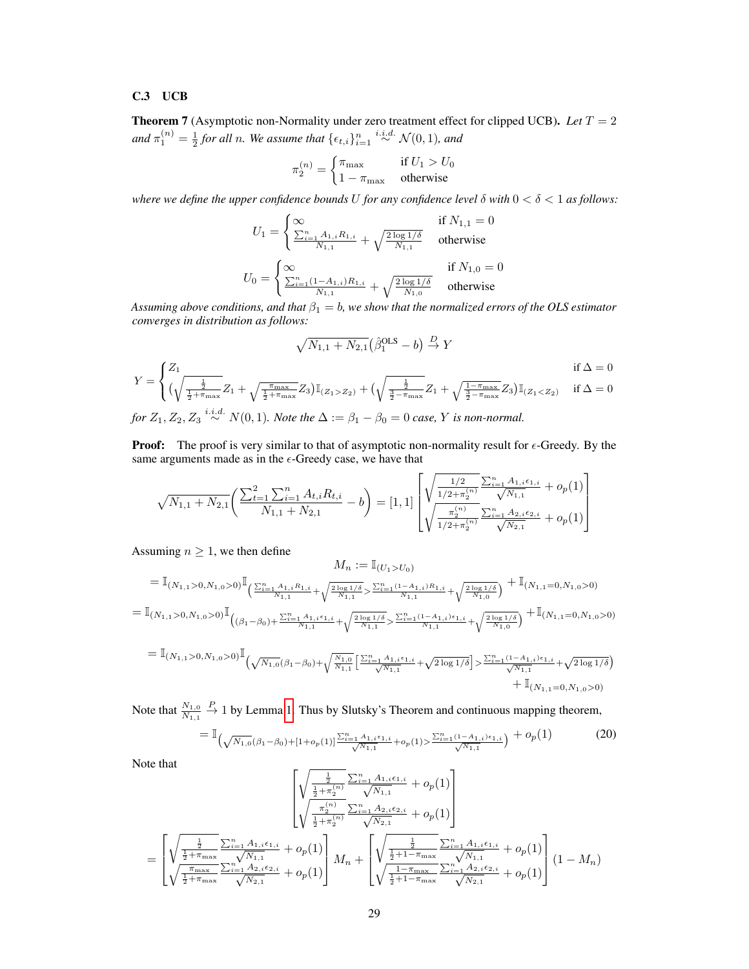# C.3 UCB

**Theorem 7** (Asymptotic non-Normality under zero treatment effect for clipped UCB). Let  $T = 2$ and  $\pi_1^{(n)} = \frac{1}{2}$  for all n. We assume that  $\{\epsilon_{t,i}\}_{i=1}^n \stackrel{i.i.d.}{\sim} \mathcal{N}(0, 1)$ *, and* 

$$
\pi_2^{(n)} = \begin{cases} \pi_{\text{max}} & \text{if } U_1 > U_0 \\ 1 - \pi_{\text{max}} & \text{otherwise} \end{cases}
$$

*where we define the upper confidence bounds* U *for any confidence level*  $\delta$  *with*  $0 < \delta < 1$  *as follows:* 

$$
U_1 = \begin{cases} \infty & \text{if } N_{1,1} = 0\\ \frac{\sum_{i=1}^n A_{1,i} R_{1,i}}{N_{1,1}} + \sqrt{\frac{2 \log 1/\delta}{N_{1,1}}} & \text{otherwise} \end{cases}
$$
  

$$
U_0 = \begin{cases} \infty & \text{if } N_{1,0} = 0\\ \frac{\sum_{i=1}^n (1 - A_{1,i}) R_{1,i}}{N_{1,1}} + \sqrt{\frac{2 \log 1/\delta}{N_{1,0}}} & \text{otherwise} \end{cases}
$$

*Assuming above conditions, and that*  $\beta_1 = b$ , we show that the normalized errors of the OLS estimator *converges in distribution as follows:*

$$
\sqrt{N_{1,1} + N_{2,1}} (\hat{\beta}_1^{\text{OLS}} - b) \xrightarrow{D} Y
$$
\n
$$
Y = \begin{cases} Z_1 & \text{if } \Delta = 0 \\ (\sqrt{\frac{\frac{1}{2} + \pi_{\text{max}}}} Z_1 + \sqrt{\frac{\pi_{\text{max}}}{\frac{1}{2} + \pi_{\text{max}}}} Z_3) \mathbb{I}_{(Z_1 > Z_2)} + (\sqrt{\frac{\frac{1}{2} - \pi_{\text{max}}}{\frac{1}{2} - \pi_{\text{max}}}} Z_1 + \sqrt{\frac{1 - \pi_{\text{max}}}{\frac{1}{2} - \pi_{\text{max}}}} Z_3) \mathbb{I}_{(Z_1 < Z_2)} & \text{if } \Delta = 0 \end{cases}
$$
\nfor  $Z_1, Z_2, Z_3$ <sup>*i.i.d.*</sup>  $N(0, 1)$ . *Note the*  $\Delta := \beta_1 - \beta_0 = 0$  *case, Y is non-normal.*

**Proof:** The proof is very similar to that of asymptotic non-normality result for  $\epsilon$ -Greedy. By the same arguments made as in the  $\epsilon$ -Greedy case, we have that

$$
\sqrt{N_{1,1} + N_{2,1}} \left( \frac{\sum_{t=1}^{2} \sum_{i=1}^{n} A_{t,i} R_{t,i}}{N_{1,1} + N_{2,1}} - b \right) = [1, 1] \left[ \sqrt{\frac{1/2}{1/2 + \pi_{2}^{(n)}}} \frac{\sum_{i=1}^{n} A_{1,i} \epsilon_{1,i}}{\sqrt{N_{1,1}}} + o_p(1) \right]
$$

Assuming  $n \geq 1$ , we then define

$$
M_n := \mathbb{I}_{(U_1 > U_0)}
$$
\n
$$
= \mathbb{I}_{(N_{1,1} > 0, N_{1,0} > 0)} \mathbb{I}_{\left(\frac{\sum_{i=1}^n A_{1,i} R_{1,i}}{N_{1,1}} + \sqrt{\frac{2 \log 1/\delta}{N_{1,1}}}\right)} \sum_{i=1}^n (1 - A_{1,i}) R_{1,i}} + \sqrt{\frac{2 \log 1/\delta}{N_{1,0}}}\right)} + \mathbb{I}_{(N_{1,1} = 0, N_{1,0} > 0)}
$$
\n
$$
= \mathbb{I}_{(N_{1,1} > 0, N_{1,0} > 0)} \mathbb{I}_{\left((\beta_1 - \beta_0) + \frac{\sum_{i=1}^n A_{1,i} \epsilon_{1,i}}{N_{1,1}} + \sqrt{\frac{2 \log 1/\delta}{N_{1,1}}}\right)} \sum_{i=1}^n (1 - A_{1,i}) \epsilon_{1,i}} + \sqrt{\frac{2 \log 1/\delta}{N_{1,0}}}\right)} + \mathbb{I}_{(N_{1,1} = 0, N_{1,0} > 0)}
$$
\n
$$
= \mathbb{I}_{(N_{1,1} > 0, N_{1,0} > 0)} \mathbb{I}_{\left(\sqrt{N_{1,0}}(\beta_1 - \beta_0) + \sqrt{\frac{N_{1,0}}{N_{1,1}}}\right)} \sum_{i=1}^n \frac{A_{1,i} \epsilon_{1,i}}{A_{1,i} \epsilon_{1,i}} + \sqrt{2 \log 1/\delta}} \sum_{i=1}^n \frac{(1 - A_{1,i}) \epsilon_{1,i}}{A_{1,i}} + \sqrt{2 \log 1/\delta}}
$$

$$
\begin{aligned}\n &\left(\sqrt{N_{1,0}(\beta_1 - \beta_0)} + \sqrt{N_{1,1}} \left[ \frac{1}{\sqrt{N_{1,1}}} + \sqrt{2 \log 1/\theta} \right] \right) > \frac{\sqrt{N_{1,1}}}{\sqrt{N_{1,1}}} + \sqrt{2 \log 1/\theta} \\
 &\quad + \mathbb{I}_{(N_{1,1} = 0, N_{1,0} > 0)}\n \end{aligned}
$$

Note that  $\frac{N_{1,0}}{N_{1,1}}$  $\stackrel{P}{\rightarrow}$  1 by Lemma [1.](#page-18-0) Thus by Slutsky's Theorem and continuous mapping theorem,

<span id="page-16-0"></span>
$$
= \mathbb{I}_{\left(\sqrt{N_{1,0}}(\beta_1 - \beta_0) + [1 + o_p(1)] \frac{\sum_{i=1}^n A_{1,i} \epsilon_{1,i}}{\sqrt{N_{1,1}}} + o_p(1) > \frac{\sum_{i=1}^n (1 - A_{1,i}) \epsilon_{1,i}}{\sqrt{N_{1,1}}}\right)} + o_p(1)
$$
(20)

Note that

$$
\sqrt{\frac{\frac{1}{2} - \sum_{i=1}^{n} A_{1,i} \epsilon_{1,i}}{\sqrt{\frac{\pi_{2}}{2} + \pi_{2}^{(n)}}} + o_{p}(1)}
$$
\n
$$
= \left[\sqrt{\frac{\frac{1}{2} - \sum_{i=1}^{n} A_{2,i} \epsilon_{2,i}}{\frac{1}{2} + \pi_{2}^{(n)}}} + o_{p}(1)\right]
$$
\n
$$
= \left[\sqrt{\frac{\frac{1}{2} - \sum_{i=1}^{n} A_{1,i} \epsilon_{1,i}}{\sqrt{N_{1,1}}} + o_{p}(1)}\right] M_{n} + \left[\sqrt{\frac{\frac{1}{2} - \sum_{i=1}^{n} A_{1,i} \epsilon_{1,i}}{\sqrt{N_{1,1}}} + o_{p}(1)}\right] (1 - M_{n})
$$
\n
$$
\sqrt{\frac{\frac{1}{2} + \pi_{\max}}{\frac{1}{2} + \pi_{\max}} \frac{\sum_{i=1}^{n} A_{2,i} \epsilon_{2,i}}{\sqrt{N_{2,1}}} + o_{p}(1)}\right] (1 - M_{n})
$$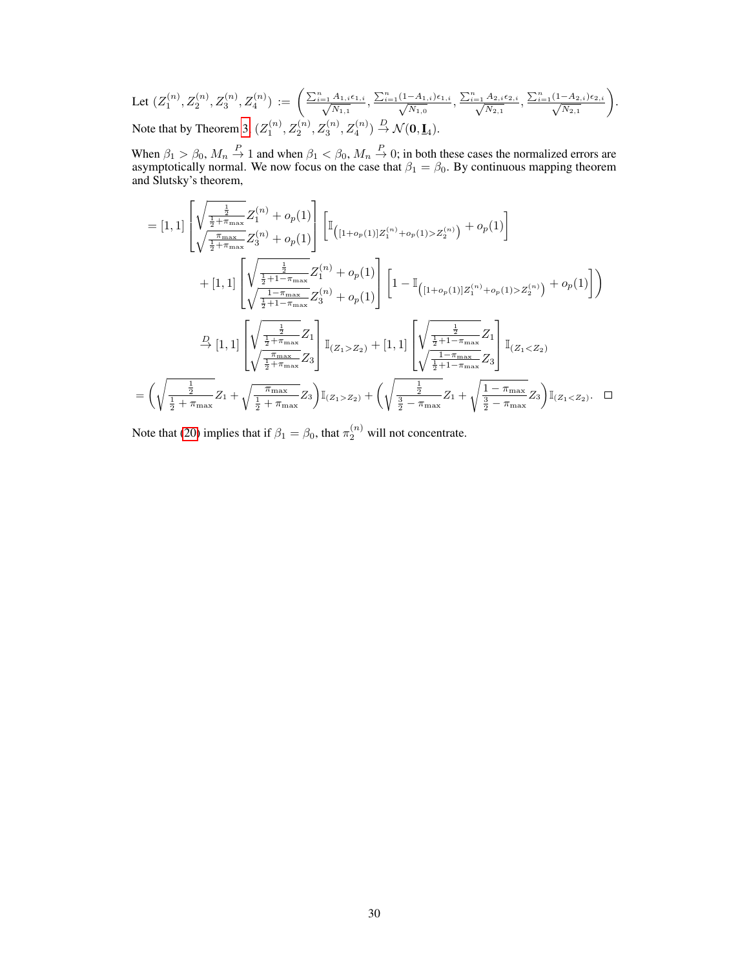Let 
$$
(Z_1^{(n)}, Z_2^{(n)}, Z_3^{(n)}, Z_4^{(n)}) := \left(\frac{\sum_{i=1}^n A_{1,i} \epsilon_{1,i}}{\sqrt{N_{1,1}}}, \frac{\sum_{i=1}^n (1 - A_{1,i}) \epsilon_{1,i}}{\sqrt{N_{1,0}}}, \frac{\sum_{i=1}^n A_{2,i} \epsilon_{2,i}}{\sqrt{N_{2,1}}}, \frac{\sum_{i=1}^n (1 - A_{2,i}) \epsilon_{2,i}}{\sqrt{N_{2,1}}}\right)
$$
.  
Note that by Theorem 3,  $(Z_1^{(n)}, Z_2^{(n)}, Z_3^{(n)}, Z_4^{(n)}) \stackrel{D}{\rightarrow} \mathcal{N}(\mathbf{0}, \mathbf{I}_4)$ .

When  $\beta_1 > \beta_0$ ,  $M_n \stackrel{P}{\to} 1$  and when  $\beta_1 < \beta_0$ ,  $M_n \stackrel{P}{\to} 0$ ; in both these cases the normalized errors are asymptotically normal. We now focus on the case that  $\beta_1 = \beta_0$ . By continuous mapping theorem and Slutsky's theorem,

$$
= [1, 1] \left[ \sqrt{\frac{\frac{1}{2} + \pi_{\max}}{\sqrt{\frac{1}{2} + \pi_{\max}}} Z_3^{(n)} + o_p(1) \right] \left[ \mathbb{I}_{\left( [1 + o_p(1)] Z_1^{(n)} + o_p(1) > Z_2^{(n)} \right)} + o_p(1) \right]
$$
  
+ 
$$
[1, 1] \left[ \sqrt{\frac{\frac{1}{2} + 1 - \pi_{\max}}{\sqrt{\frac{1}{2} + 1 - \pi_{\max}}} Z_1^{(n)} + o_p(1) \right] \left[ 1 - \mathbb{I}_{\left( [1 + o_p(1)] Z_1^{(n)} + o_p(1) > Z_2^{(n)} \right)} + o_p(1) \right] \right)
$$
  

$$
\xrightarrow{D} [1, 1] \left[ \sqrt{\frac{\frac{1}{2} + 1 - \pi_{\max}}{\frac{1}{2} + 1 - \pi_{\max}}} Z_3^{(n)} + o_p(1) \right] \mathbb{I}_{\left( Z_1 > Z_2 \right)} + [1, 1] \left[ \sqrt{\frac{\frac{1}{2} + 1 - \pi_{\max}}{\frac{1}{2} + 1 - \pi_{\max}}} Z_1 \right] \mathbb{I}_{\left( Z_1 < Z_2 \right)}
$$
  

$$
= \left( \sqrt{\frac{\frac{1}{2}}{\frac{1}{2} + \pi_{\max}}} Z_1 + \sqrt{\frac{\pi_{\max}}{\frac{1}{2} + \pi_{\max}}} Z_3 \right) \mathbb{I}_{\left( Z_1 > Z_2 \right)} + \left( \sqrt{\frac{\frac{1}{2}}{\frac{1}{2} - \pi_{\max}}} Z_1 + \sqrt{\frac{1 - \pi_{\max}}{\frac{1}{2} - \pi_{\max}}} Z_3 \right) \mathbb{I}_{\left( Z_1 < Z_2 \right)}.
$$

Note that [\(20\)](#page-16-0) implies that if  $\beta_1 = \beta_0$ , that  $\pi_2^{(n)}$  will not concentrate.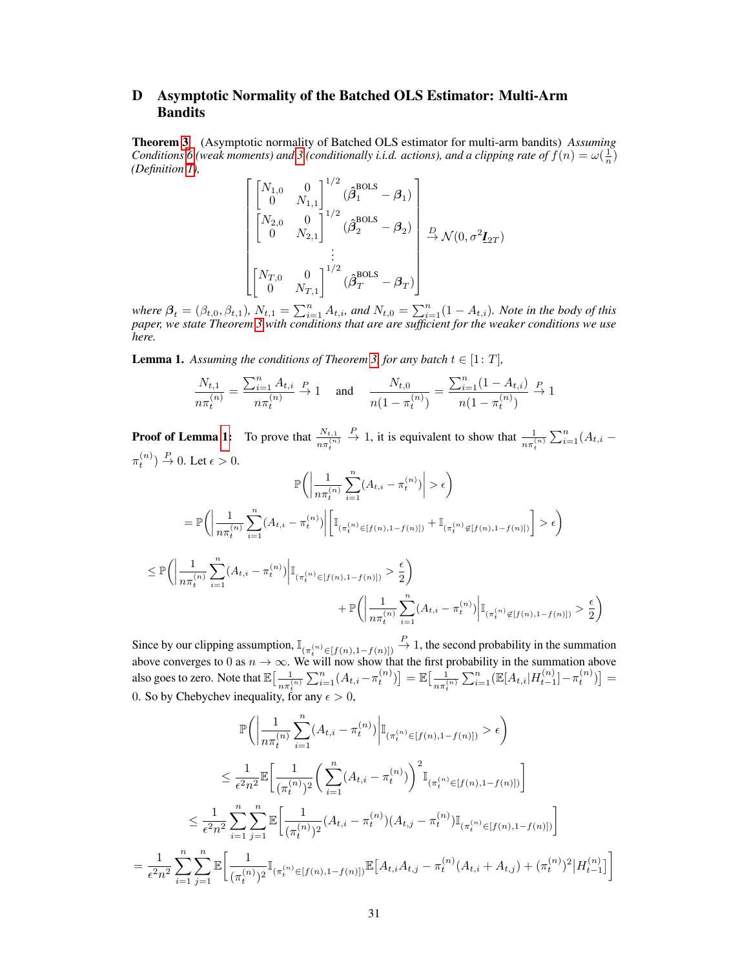# D Asymptotic Normality of the Batched OLS Estimator: Multi-Arm Bandits

Theorem [3](#page--1-3) (Asymptotic normality of Batched OLS estimator for multi-arm bandits) *Assuming Conditions* [6](#page-4-0) (weak moments) and [3](#page--1-9) (conditionally *i.i.d.* actions), and a clipping rate of  $f(n) = \omega(\frac{1}{n})$ *(Definition [1\)](#page--1-10),*

$$
\begin{bmatrix}\begin{bmatrix}N_{1,0} & 0\\ 0 & N_{1,1}\end{bmatrix}^{1/2} (\hat{\beta}_{1}^{\text{BOLS}} - \beta_{1})\\ \begin{bmatrix}N_{2,0} & 0\\ 0 & N_{2,1}\end{bmatrix}^{1/2} (\hat{\beta}_{2}^{\text{BOLS}} - \beta_{2})\\ \vdots\\ \begin{bmatrix}N_{T,0} & 0\\ 0 & N_{T,1}\end{bmatrix}^{1/2} (\hat{\beta}_{T}^{\text{BOLS}} - \beta_{T})\end{bmatrix} \xrightarrow{D} \mathcal{N}(0, \sigma^{2} \mathbf{I}_{2T})
$$

where  $\beta_t = (\beta_{t,0}, \beta_{t,1})$ ,  $N_{t,1} = \sum_{i=1}^n A_{t,i}$ , and  $N_{t,0} = \sum_{i=1}^n (1 - A_{t,i})$ . Note in the body of this *paper, we state Theorem [3](#page--1-3) with conditions that are are sufficient for the weaker conditions we use here.*

<span id="page-18-0"></span>**Lemma 1.** Assuming the conditions of Theorem [3,](#page--1-3) for any batch  $t \in [1: T]$ ,

$$
\frac{N_{t,1}}{n\pi_t^{(n)}} = \frac{\sum_{i=1}^n A_{t,i}}{n\pi_t^{(n)}} \xrightarrow{P} 1 \quad \text{ and } \quad \frac{N_{t,0}}{n(1 - \pi_t^{(n)})} = \frac{\sum_{i=1}^n (1 - A_{t,i})}{n(1 - \pi_t^{(n)})} \xrightarrow{P} 1
$$

**Proof of Lemma [1:](#page-18-0)** To prove that  $\frac{N_{t,1}}{n \pi_t^{(n)}}$  $\stackrel{P}{\rightarrow}$  1, it is equivalent to show that  $\frac{1}{n\pi_t^{(n)}}\sum_{i=1}^n (A_{t,i} \pi_t^{(n)}$   $\to$  0. Let  $\epsilon$  > 0.

$$
\mathbb{P}\Big(\Big|\frac{1}{n\pi_t^{(n)}}\sum_{i=1}^n (A_{t,i} - \pi_t^{(n)})\Big| > \epsilon\Big)
$$
\n
$$
= \mathbb{P}\Big(\Big|\frac{1}{n\pi_t^{(n)}}\sum_{i=1}^n (A_{t,i} - \pi_t^{(n)})\Big|\Big[\mathbb{I}_{(\pi_t^{(n)} \in [f(n), 1 - f(n)])} + \mathbb{I}_{(\pi_t^{(n)} \notin [f(n), 1 - f(n)])}\Big] > \epsilon\Big)
$$
\n
$$
\leq \mathbb{P}\Big(\Big|\frac{1}{n\pi_t^{(n)}}\sum_{i=1}^n (A_{t,i} - \pi_t^{(n)})\Big|\mathbb{I}_{(\pi_t^{(n)} \in [f(n), 1 - f(n)])} > \frac{\epsilon}{2}\Big)
$$
\n
$$
+ \mathbb{P}\Big(\Big|\frac{1}{n\pi_t^{(n)}}\sum_{i=1}^n (A_{t,i} - \pi_t^{(n)})\Big|\mathbb{I}_{(\pi_t^{(n)} \notin [f(n), 1 - f(n)])} > \frac{\epsilon}{2}\Big)
$$

Since by our clipping assumption,  $\mathbb{I}_{(\pi_t^{(n)} \in [f(n), 1-f(n)])}$  $\stackrel{P}{\rightarrow}$  1, the second probability in the summation above converges to 0 as  $n \to \infty$ . We will now show that the first probability in the summation above also goes to zero. Note that  $\mathbb{E}\left[\frac{-1}{\sqrt{2}}\right]$  $\frac{1}{n\pi_t^{(n)}}\sum_{i=1}^n (A_{t,i}-\pi_t^{(n)})\big]=\mathbb{E}\big[\frac{1}{n\pi_t^{(n)}}\big]$  $\frac{1}{n\pi_t^{(n)}}\sum_{i=1}^n(\mathbb{E}[A_{t,i}|H_{t-1}^{(n)}]-\pi_t^{(n)})]=$ 0. So by Chebychev inequality, for any  $\epsilon > 0$ ,

$$
\mathbb{P}\Big(\Big|\frac{1}{n\pi_t^{(n)}}\sum_{i=1}^n (A_{t,i} - \pi_t^{(n)})\Big|\mathbb{I}_{(\pi_t^{(n)} \in [f(n), 1-f(n)])} > \epsilon\Big)
$$
\n
$$
\leq \frac{1}{\epsilon^2 n^2} \mathbb{E}\Big[\frac{1}{(\pi_t^{(n)})^2} \Big(\sum_{i=1}^n (A_{t,i} - \pi_t^{(n)})\Big)^2 \mathbb{I}_{(\pi_t^{(n)} \in [f(n), 1-f(n)])}\Big]
$$
\n
$$
\leq \frac{1}{\epsilon^2 n^2} \sum_{i=1}^n \sum_{j=1}^n \mathbb{E}\Big[\frac{1}{(\pi_t^{(n)})^2} (A_{t,i} - \pi_t^{(n)}) (A_{t,j} - \pi_t^{(n)}) \mathbb{I}_{(\pi_t^{(n)} \in [f(n), 1-f(n)])}\Big]
$$
\n
$$
= \frac{1}{\epsilon^2 n^2} \sum_{i=1}^n \sum_{j=1}^n \mathbb{E}\Big[\frac{1}{(\pi_t^{(n)})^2} \mathbb{I}_{(\pi_t^{(n)} \in [f(n), 1-f(n)])} \mathbb{E}\Big[A_{t,i} A_{t,j} - \pi_t^{(n)} (A_{t,i} + A_{t,j}) + (\pi_t^{(n)})^2 \Big| H_{t-1}^{(n)}\Big]\Big]
$$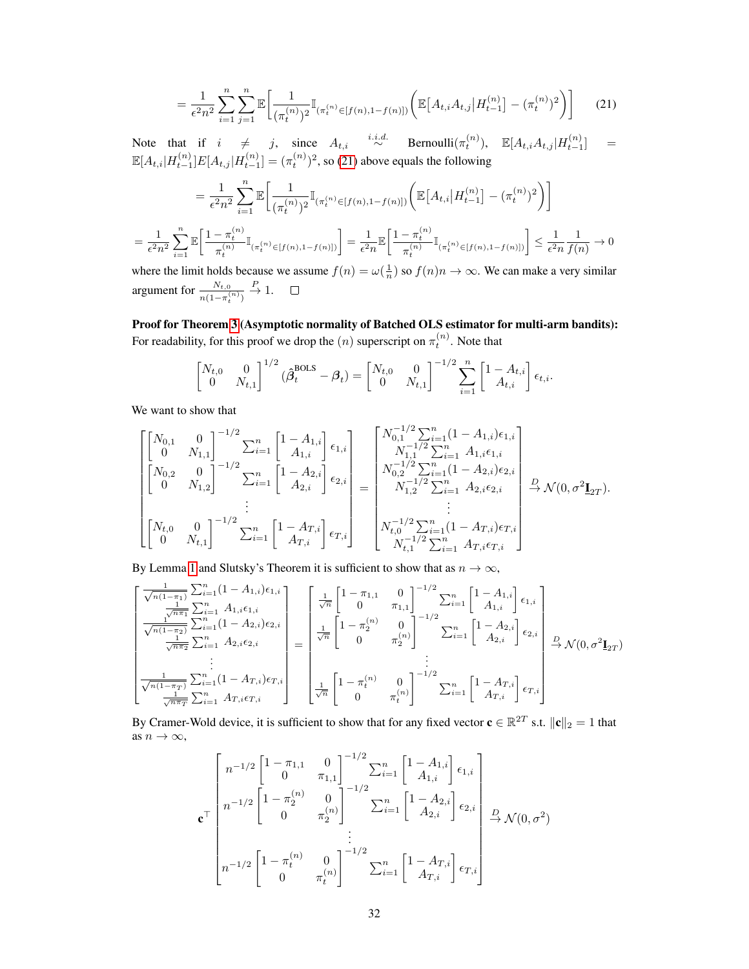<span id="page-19-0"></span>
$$
= \frac{1}{\epsilon^2 n^2} \sum_{i=1}^n \sum_{j=1}^n \mathbb{E} \bigg[ \frac{1}{(\pi_t^{(n)})^2} \mathbb{I}_{(\pi_t^{(n)} \in [f(n), 1 - f(n)])} \bigg( \mathbb{E} \big[ A_{t,i} A_{t,j} \big| H_{t-1}^{(n)} \big] - (\pi_t^{(n)})^2 \bigg) \bigg] \tag{21}
$$

Note that if  $i \neq j$ , since  $A_{t,i} \stackrel{i.i.d.}{\sim}$  Bernoulli $(\pi_t^{(n)})$ ,  $\mathbb{E}[A_{t,i}A_{t,j}|H_{t-1}^{(n)}] =$  $\mathbb{E}[A_{t,i}|H^{(n)}_{t-1}]E[A_{t,j}|H^{(n)}_{t-1}] = (\pi_t^{(n)})^2$ , so [\(21\)](#page-19-0) above equals the following

$$
= \frac{1}{\epsilon^2 n^2} \sum_{i=1}^n \mathbb{E} \bigg[ \frac{1}{(\pi_t^{(n)})^2} \mathbb{I}_{(\pi_t^{(n)} \in [f(n), 1 - f(n)])} \bigg( \mathbb{E} \big[ A_{t,i} \big| H_{t-1}^{(n)} \big] - (\pi_t^{(n)})^2 \bigg) \bigg]
$$
  

$$
= \frac{1}{\epsilon^2 n^2} \sum_{i=1}^n \mathbb{E} \bigg[ \frac{1 - \pi_t^{(n)}}{\pi_t^{(n)}} \mathbb{I}_{(\pi_t^{(n)} \in [f(n), 1 - f(n)])} \bigg] = \frac{1}{\epsilon^2 n} \mathbb{E} \bigg[ \frac{1 - \pi_t^{(n)}}{\pi_t^{(n)}} \mathbb{I}_{(\pi_t^{(n)} \in [f(n), 1 - f(n)])} \bigg] \le \frac{1}{\epsilon^2 n} \frac{1}{f(n)} \to 0
$$

where the limit holds because we assume  $f(n) = \omega(\frac{1}{n})$  so  $f(n)n \to \infty$ . We can make a very similar  $\stackrel{P}{\rightarrow} 1.$ argument for  $\frac{N_{t,0}}{n(1-\pi_t^{(n)})}$  $\Box$ 

Proof for Theorem [3](#page--1-3) (Asymptotic normality of Batched OLS estimator for multi-arm bandits): For readability, for this proof we drop the  $(n)$  superscript on  $\pi_t^{(n)}$ . Note that

$$
\begin{bmatrix} N_{t,0} & 0 \\ 0 & N_{t,1} \end{bmatrix}^{1/2} (\hat{\beta}_t^{\text{BOLS}} - \beta_t) = \begin{bmatrix} N_{t,0} & 0 \\ 0 & N_{t,1} \end{bmatrix}^{-1/2} \sum_{i=1}^n \begin{bmatrix} 1 - A_{t,i} \\ A_{t,i} \end{bmatrix} \epsilon_{t,i}.
$$

We want to show that

$$
\begin{bmatrix}\begin{bmatrix}N_{0,1} & 0 \\ 0 & N_{1,1}\end{bmatrix}^{-1/2} \sum_{i=1}^{n} \begin{bmatrix}1-A_{1,i} \\ A_{1,i}\end{bmatrix} \epsilon_{1,i} \\ \begin{bmatrix}N_{0,2} & 0 \\ 0 & N_{1,2}\end{bmatrix}^{-1/2} \sum_{i=1}^{n} \begin{bmatrix}1-A_{1,i} \\ A_{2,i}\end{bmatrix} \epsilon_{2,i} \\ \vdots \\ \begin{bmatrix}N_{0,1} & 1/2 \sum_{i=1}^{n} A_{1,i} \epsilon_{1,i} \\ A_{2,i}\end{bmatrix}^{-1/2} \epsilon_{2,i} \\ \vdots \\ \begin{bmatrix}N_{0,2} & 0 \\ 0 & N_{1,2}\end{bmatrix}^{-1/2} \sum_{i=1}^{n} \begin{bmatrix}1-A_{2,i} \\ A_{2,i}\end{bmatrix} \epsilon_{2,i} \\ \vdots \\ \begin{bmatrix}N_{0,1} & 1/2 \sum_{i=1}^{n} (1-A_{2,i}) \epsilon_{2,i} \\ \vdots \\ N_{1,2} & 2 \sum_{i=1}^{n} A_{2,i} \epsilon_{2,i} \\ \vdots \\ N_{t,1} & 2 \sum_{i=1}^{n} (1-A_{T,i}) \epsilon_{T,i} \\ \end{bmatrix}^{-1/2} \sum_{i=1}^{n} \begin{bmatrix}1-A_{T,i} \\ A_{T,i}\end{bmatrix} \epsilon_{T,i} \end{bmatrix} \epsilon_{T,i}
$$

By Lemma [1](#page-18-0) and Slutsky's Theorem it is sufficient to show that as  $n \to \infty$ ,

$$
\begin{bmatrix}\n\frac{1}{\sqrt{n(1-\pi_1)}} \sum_{i=1}^n (1-A_{1,i})\epsilon_{1,i} \\
\frac{1}{\sqrt{n\pi_1}} \sum_{i=1}^n A_{1,i}\epsilon_{1,i} \\
\frac{1}{\sqrt{n(1-\pi_2)}} \sum_{i=1}^n (1-A_{2,i})\epsilon_{2,i} \\
\vdots \\
\frac{1}{\sqrt{n(1-\pi_1)}} \sum_{i=1}^n (1-A_{T,i})\epsilon_{T,i}\n\end{bmatrix} = \begin{bmatrix}\n\frac{1}{\sqrt{n}} \begin{bmatrix}\n1-\pi_{1,1} & 0 \\
0 & \pi_{1,1}\n\end{bmatrix}^{-1/2} \sum_{i=1}^n \begin{bmatrix}\n1-A_{1,i} \\
A_{1,i}\n\end{bmatrix} \epsilon_{1,i} \\
\frac{1}{\sqrt{n(1-\pi_2)}} \sum_{i=1}^n A_{2,i}\epsilon_{2,i}\n\end{bmatrix} = \begin{bmatrix}\n\frac{1}{\sqrt{n}} \begin{bmatrix}\n1-\pi_1 & 0 \\
0 & \pi_1\n\end{bmatrix}^{-1/2} \sum_{i=1}^n \begin{bmatrix}\n1-A_{2,i} \\
A_{2,i}\n\end{bmatrix} \epsilon_{2,i} \\
\vdots \\
\frac{1}{\sqrt{n(1-\pi_1)}} \sum_{i=1}^n (1-A_{T,i})\epsilon_{T,i}\n\end{bmatrix} = \begin{bmatrix}\n\frac{1}{\sqrt{n}} \begin{bmatrix}\n1-\pi_1^{(n)} & 0 \\
0 & \pi_2^{(n)}\n\end{bmatrix}^{-1/2} \sum_{i=1}^n \begin{bmatrix}\n1-A_{T,i} \\
A_{T,i}\n\end{bmatrix} \epsilon_{T,i}\n\end{bmatrix}
$$

By Cramer-Wold device, it is sufficient to show that for any fixed vector  $\mathbf{c} \in \mathbb{R}^{2T}$  s.t.  $\|\mathbf{c}\|_2 = 1$  that as  $n \to \infty$ ,

$$
\mathbf{c}^{\top} \begin{bmatrix} n^{-1/2} \begin{bmatrix} 1 - \pi_{1,1} & 0 \\ 0 & \pi_{1,1} \end{bmatrix}^{-1/2} \sum_{i=1}^{n} \begin{bmatrix} 1 - A_{1,i} \\ A_{1,i} \end{bmatrix} \epsilon_{1,i} \\ n^{-1/2} \begin{bmatrix} 1 - \pi_2^{(n)} & 0 \\ 0 & \pi_2^{(n)} \end{bmatrix}^{-1/2} \sum_{i=1}^{n} \begin{bmatrix} 1 - A_{2,i} \\ A_{2,i} \end{bmatrix} \epsilon_{2,i} \\ \vdots \\ n^{-1/2} \begin{bmatrix} 1 - \pi_t^{(n)} & 0 \\ 0 & \pi_t^{(n)} \end{bmatrix}^{-1/2} \sum_{i=1}^{n} \begin{bmatrix} 1 - A_{T,i} \\ A_{T,i} \end{bmatrix} \epsilon_{T,i} \end{bmatrix}
$$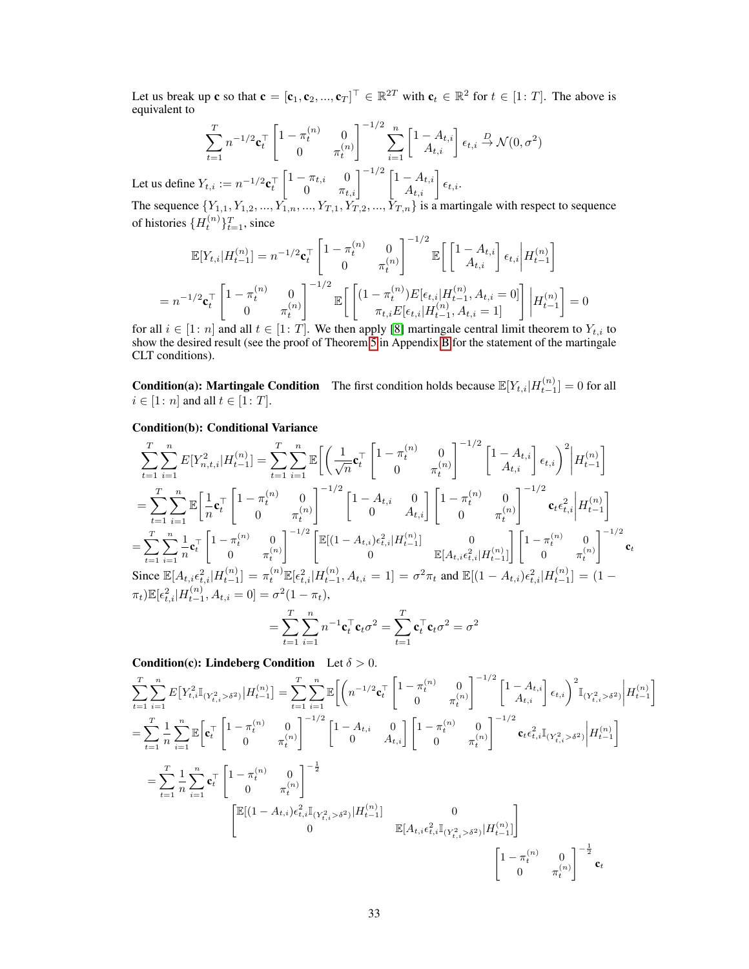Let us break up **c** so that  $\mathbf{c} = [\mathbf{c}_1, \mathbf{c}_2, ..., \mathbf{c}_T]^\top \in \mathbb{R}^{2T}$  with  $\mathbf{c}_t \in \mathbb{R}^2$  for  $t \in [1: T]$ . The above is equivalent to

$$
\sum_{t=1}^{T} n^{-1/2} \mathbf{c}_{t}^{\top} \begin{bmatrix} 1 - \pi_{t}^{(n)} & 0 \\ 0 & \pi_{t}^{(n)} \end{bmatrix}^{-1/2} \sum_{i=1}^{n} \begin{bmatrix} 1 - A_{t,i} \\ A_{t,i} \end{bmatrix} \epsilon_{t,i} \xrightarrow{D} \mathcal{N}(0, \sigma^{2})
$$
  
Let us define  $Y_{t,i} := n^{-1/2} \mathbf{c}_{t}^{\top} \begin{bmatrix} 1 - \pi_{t,i} & 0 \\ 0 & \pi_{t,i} \end{bmatrix}^{-1/2} \begin{bmatrix} 1 - A_{t,i} \\ A_{t,i} \end{bmatrix} \epsilon_{t,i}.$ 

The sequence  $\{Y_{1,1}, Y_{1,2}, ..., Y_{1,n}, ..., Y_{T,1}, Y_{T,2}, ..., Y_{T,n}\}$  is a martingale with respect to sequence of histories  $\{H_t^{(n)}\}_{t=1}^T$ , since

$$
\mathbb{E}[Y_{t,i}|H_{t-1}^{(n)}] = n^{-1/2} \mathbf{c}_t^\top \begin{bmatrix} 1 - \pi_t^{(n)} & 0 \\ 0 & \pi_t^{(n)} \end{bmatrix}^{-1/2} \mathbb{E}\left[ \begin{bmatrix} 1 - A_{t,i} \\ A_{t,i} \end{bmatrix} \epsilon_{t,i} \middle| H_{t-1}^{(n)} \right]
$$

$$
= n^{-1/2} \mathbf{c}_t^\top \begin{bmatrix} 1 - \pi_t^{(n)} & 0 \\ 0 & \pi_t^{(n)} \end{bmatrix}^{-1/2} \mathbb{E}\left[ \begin{bmatrix} (1 - \pi_t^{(n)}) E[\epsilon_{t,i}|H_{t-1}^{(n)}, A_{t,i} = 0] \\ \pi_{t,i} E[\epsilon_{t,i}|H_{t-1}^{(n)}, A_{t,i} = 1] \end{bmatrix} \middle| H_{t-1}^{(n)} \right] = 0
$$

for all  $i \in [1:n]$  and all  $t \in [1:T]$ . We then apply [\[8\]](#page--1-7) martingale central limit theorem to  $Y_{t,i}$  to show the desired result (see the proof of Theorem [5](#page-4-4) in Appendix [B](#page-4-5) for the statement of the martingale CLT conditions).

**Condition(a): Martingale Condition** The first condition holds because  $\mathbb{E}[Y_{t,i}|H_{t-1}^{(n)}] = 0$  for all  $i \in [1:n]$  and all  $t \in [1:T]$ .

# Condition(b): Conditional Variance

$$
\sum_{t=1}^{T} \sum_{i=1}^{n} E[Y_{n,t,i}^{2} | H_{t-1}^{(n)}] = \sum_{t=1}^{T} \sum_{i=1}^{n} \mathbb{E} \left[ \left( \frac{1}{\sqrt{n}} \mathbf{c}_{t}^{\top} \begin{bmatrix} 1 - \pi_{t}^{(n)} & 0 \\ 0 & \pi_{t}^{(n)} \end{bmatrix}^{-1/2} \begin{bmatrix} 1 - A_{t,i} \\ A_{t,i} \end{bmatrix} \epsilon_{t,i} \right)^{2} | H_{t-1}^{(n)} \right]
$$
\n
$$
= \sum_{t=1}^{T} \sum_{i=1}^{n} \mathbb{E} \left[ \frac{1}{n} \mathbf{c}_{t}^{\top} \begin{bmatrix} 1 - \pi_{t}^{(n)} & 0 \\ 0 & \pi_{t}^{(n)} \end{bmatrix}^{-1/2} \begin{bmatrix} 1 - A_{t,i} & 0 \\ 0 & A_{t,i} \end{bmatrix} \begin{bmatrix} 1 - \pi_{t}^{(n)} & 0 \\ 0 & \pi_{t}^{(n)} \end{bmatrix}^{-1/2} \mathbf{c}_{t} \epsilon_{t,i}^{2} | H_{t-1}^{(n)} \right]
$$
\n
$$
= \sum_{t=1}^{T} \sum_{i=1}^{n} \frac{1}{n} \mathbf{c}_{t}^{\top} \begin{bmatrix} 1 - \pi_{t}^{(n)} & 0 \\ 0 & \pi_{t}^{(n)} \end{bmatrix}^{-1/2} \begin{bmatrix} \mathbb{E}[(1 - A_{t,i})\epsilon_{t,i}^{2} | H_{t-1}^{(n)}] & 0 \\ 0 & \mathbb{E}[A_{t,i}\epsilon_{t,i}^{2} | H_{t-1}^{(n)}] \end{bmatrix} \begin{bmatrix} 1 - \pi_{t}^{(n)} & 0 \\ 0 & \pi_{t}^{(n)} \end{bmatrix}^{-1/2} \mathbf{c}_{t}
$$
\nSince  $\mathbb{E}[A_{t,i}\epsilon_{t,i}^{2} | H_{t-1}^{(n)}] = \pi_{t}^{(n)} \mathbb{E}[\epsilon_{t,i}^{2} | H_{t-1}^{(n)}, A_{t,i} = 1] = \sigma^{2} \pi_{t}$  and  $\mathbb{E}[(1 - A_{t,i})\epsilon_{t,i}^{2} | H_{$ 

 $t=1$   $i=1$ **Condition(c): Lindeberg Condition** Let  $\delta > 0$ .

$$
\sum_{t=1}^{T} \sum_{i=1}^{n} E[Y_{t,i}^{2} \mathbb{I}_{(Y_{t,i}^{2} > \delta^{2})} | H_{t-1}^{(n)}] = \sum_{t=1}^{T} \sum_{i=1}^{n} \mathbb{E} \left[ \left( n^{-1/2} \mathbf{c}_{t}^{\top} \begin{bmatrix} 1 - \pi_{t}^{(n)} & 0 \\ 0 & \pi_{t}^{(n)} \end{bmatrix}^{-1/2} \begin{bmatrix} 1 - A_{t,i} \\ A_{t,i} \end{bmatrix} \epsilon_{t,i} \right)^{2} \mathbb{I}_{(Y_{t,i}^{2} > \delta^{2})} \middle| H_{t-1}^{(n)} \right]
$$
\n
$$
= \sum_{t=1}^{T} \frac{1}{n} \sum_{i=1}^{n} \mathbb{E} \left[ \mathbf{c}_{t}^{\top} \begin{bmatrix} 1 - \pi_{t}^{(n)} & 0 \\ 0 & \pi_{t}^{(n)} \end{bmatrix}^{-1/2} \begin{bmatrix} 1 - A_{t,i} & 0 \\ 0 & A_{t,i} \end{bmatrix} \begin{bmatrix} 1 - \pi_{t}^{(n)} & 0 \\ 0 & \pi_{t}^{(n)} \end{bmatrix}^{-1/2} \mathbf{c}_{t} \epsilon_{t,i}^{2} \mathbb{I}_{(Y_{t,i}^{2} > \delta^{2})} \middle| H_{t-1}^{(n)} \right]
$$
\n
$$
= \sum_{t=1}^{T} \frac{1}{n} \sum_{i=1}^{n} \mathbf{c}_{t}^{\top} \begin{bmatrix} 1 - \pi_{t}^{(n)} & 0 \\ 0 & \pi_{t}^{(n)} \end{bmatrix}^{-\frac{1}{2}}
$$
\n
$$
\mathbb{E} \left[ (1 - A_{t,i}) \epsilon_{t,i}^{2} \mathbb{I}_{(Y_{t,i}^{2} > \delta^{2})} | H_{t-1}^{(n)} \right]
$$
\n
$$
= \begin{bmatrix} \mathbb{E} \left[ (1 - A_{t,i}) \epsilon_{t,i}^{2} \mathbb{I}_{(Y_{t,i}^{2} > \delta^{2})} | H_{t-1}^{(n)} \right] & 0 \\ 0 & \mathbb{E} \left[ A_{t,i} \epsilon_{t,i}^{2} \mathbb{I}_{(Y_{t,i}^{2}
$$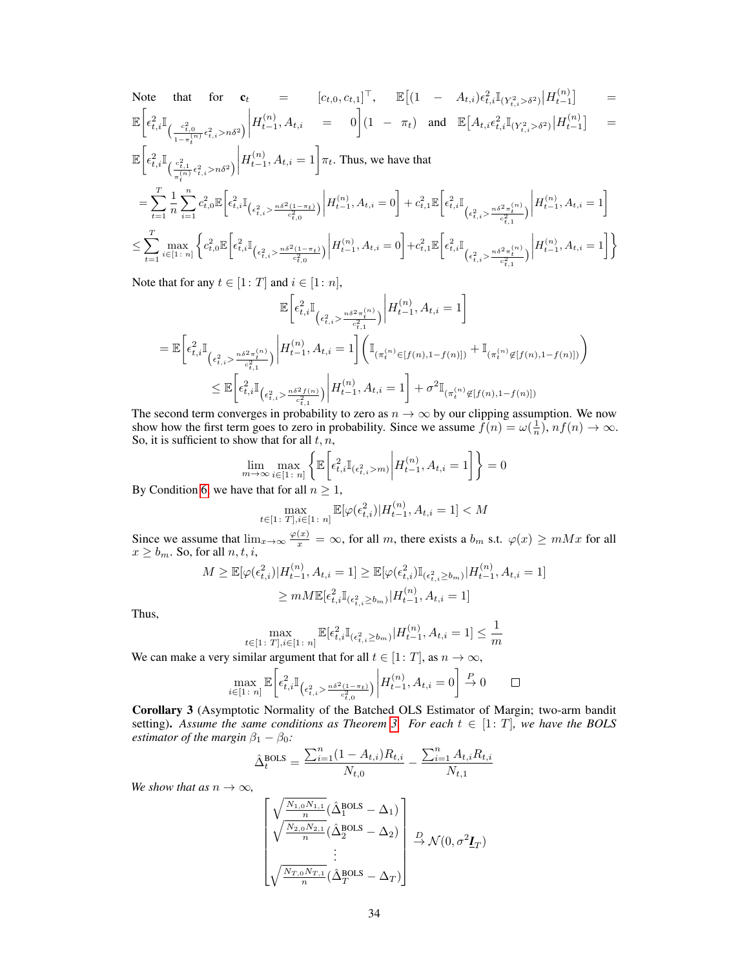Note that for 
$$
\mathbf{c}_{t} = [c_{t,0}, c_{t,1}]^{\top}, \quad \mathbb{E}\left[(1 - A_{t,i})\epsilon_{t,i}^{2}\mathbb{I}_{(Y_{t,i}^{2} > \delta^{2})}\Big|H_{t-1}^{(n)}\right] = \mathbb{E}\left[\epsilon_{t,i}^{2}\mathbb{I}_{\left(\frac{c_{t,0}^{2}}{1 - \pi_{t}^{(n)}}\epsilon_{t,i}^{2} > n\delta^{2}\right)}\Big|H_{t-1}^{(n)}, A_{t,i} = 0\right](1 - \pi_{t}) \text{ and } \mathbb{E}[A_{t,i}\epsilon_{t,i}^{2}\mathbb{I}_{(Y_{t,i}^{2} > \delta^{2})}\Big|H_{t-1}^{(n)}\right] = \mathbb{E}\left[\epsilon_{t,i}^{2}\mathbb{I}_{\left(\frac{c_{t,1}^{2}}{\pi_{t}^{(n)}}\epsilon_{t,i}^{2} > n\delta^{2}\right)}\Big|H_{t-1}^{(n)}, A_{t,i} = 1\right]\pi_{t}.\text{ Thus, we have that}
$$
\n
$$
= \sum_{t=1}^{T} \frac{1}{n} \sum_{i=1}^{n} c_{t,0}^{2}\mathbb{E}\left[\epsilon_{t,i}^{2}\mathbb{I}_{\left(\epsilon_{t,i}^{2} > \frac{n\delta^{2}(1 - \pi_{t})}{c_{t,0}^{2}}\right)}\Big|H_{t-1}^{(n)}, A_{t,i} = 0\right] + c_{t,1}^{2}\mathbb{E}\left[\epsilon_{t,i}^{2}\mathbb{I}_{\left(\epsilon_{t,i}^{2} > \frac{n\delta^{2}\pi_{t}^{(n)}}{c_{t,1}^{2}}\right)}\Big|H_{t-1}^{(n)}, A_{t,i} = 1\right]
$$
\n
$$
\leq \sum_{t=1}^{T} \max_{i \in [1:n]} \left\{c_{t,0}^{2}\mathbb{E}\left[\epsilon_{t,i}^{2}\mathbb{I}_{\left(\epsilon_{t,i}^{2} > \frac{n\delta^{2}(1 - \pi_{t})}{c_{t,0}^{2}}\right)}\Big|H_{t-1}^{(n)}, A_{t,i} = 0\right] + c_{t,1}^{2}\mathbb{E}\left[\epsilon_{t,i}^{2}\mathbb{I}_{\left(\epsilon_{t,i}^{2} > \frac{n\delta^{2}\pi_{t}^{(n)}}{
$$

Note that for any  $t \in [1: T]$  and  $i \in [1: n]$ ,

$$
\mathbb{E}\bigg[\epsilon_{t,i}^{2}\mathbb{I}_{\left(\epsilon_{t,i}^{2}\geq \frac{n\delta^{2}\pi_{t}^{(n)}}{c_{t,i}^{2}}\right)}\bigg|H_{t-1}^{(n)},A_{t,i}=1\bigg]
$$
\n
$$
=\mathbb{E}\bigg[\epsilon_{t,i}^{2}\mathbb{I}_{\left(\epsilon_{t,i}^{2}\geq \frac{n\delta^{2}\pi_{t}^{(n)}}{c_{t,i}^{2}}\right)}\bigg|H_{t-1}^{(n)},A_{t,i}=1\bigg]\bigg(\mathbb{I}_{\left(\pi_{t}^{(n)}\in[f(n),1-f(n)]\right)}+\mathbb{I}_{\left(\pi_{t}^{(n)}\notin[f(n),1-f(n)]\right)}\bigg)
$$
\n
$$
\leq \mathbb{E}\bigg[\epsilon_{t,i}^{2}\mathbb{I}_{\left(\epsilon_{t,i}^{2}\geq \frac{n\delta^{2}f(n)}{c_{t,i}^{2}}\right)}\bigg|H_{t-1}^{(n)},A_{t,i}=1\bigg]+\sigma^{2}\mathbb{I}_{\left(\pi_{t}^{(n)}\notin[f(n),1-f(n)]\right)}
$$

The second term converges in probability to zero as  $n \to \infty$  by our clipping assumption. We now show how the first term goes to zero in probability. Since we assume  $\hat{f}(n) = \omega(\frac{1}{n})$ ,  $nf(n) \to \infty$ . So, it is sufficient to show that for all  $t, n$ ,

$$
\lim_{m \to \infty} \max_{i \in [1 \colon n]} \left\{ \mathbb{E} \left[ \epsilon_{t,i}^2 \mathbb{I}_{(\epsilon_{t,i}^2 > m)} \middle| H_{t-1}^{(n)}, A_{t,i} = 1 \right] \right\} = 0
$$

By Condition [6,](#page-4-0) we have that for all  $n \geq 1$ ,

$$
\max_{t \in [1\colon T], i \in [1\colon n]} \mathbb{E}[\varphi(\epsilon_{t,i}^2) | H_{t-1}^{(n)}, A_{t,i} = 1] < M
$$

Since we assume that  $\lim_{x\to\infty} \frac{\varphi(x)}{x} = \infty$ , for all m, there exists a  $b_m$  s.t.  $\varphi(x) \geq mMx$  for all  $x \ge b_m$ . So, for all  $n, t, i$ ,

$$
M \geq \mathbb{E}[\varphi(\epsilon_{t,i}^2)|H_{t-1}^{(n)}, A_{t,i} = 1] \geq \mathbb{E}[\varphi(\epsilon_{t,i}^2)\mathbb{I}_{(\epsilon_{t,i}^2 \geq b_m)}|H_{t-1}^{(n)}, A_{t,i} = 1]
$$
  

$$
\geq mM\mathbb{E}[\epsilon_{t,i}^2\mathbb{I}_{(\epsilon_{t,i}^2 \geq b_m)}|H_{t-1}^{(n)}, A_{t,i} = 1]
$$

Thus,

$$
\max_{t\in [1\colon T], i\in [1\colon n]} \mathbb{E}[\epsilon_{t,i}^2\mathbb{I}_{(\epsilon_{t,i}^2 \geq b_m)}|H_{t-1}^{(n)}, A_{t,i} = 1] \leq \frac{1}{m}
$$

We can make a very similar argument that for all  $t \in [1: T]$ , as  $n \to \infty$ ,

$$
\max_{i \in [1\colon n]} \mathbb{E}\bigg[\epsilon_{t,i}^2 \mathbb{I}_{\left(\epsilon_{t,i}^2 > \frac{n\delta^2(1-\pi_t)}{c_{t,0}^2}\right)} \bigg| H_{t-1}^{(n)}, A_{t,i} = 0\bigg] \stackrel{P}{\to} 0 \qquad \Box
$$

<span id="page-21-0"></span>Corollary 3 (Asymptotic Normality of the Batched OLS Estimator of Margin; two-arm bandit setting). Assume the same conditions as Theorem [3.](#page--1-3) For each  $t \in [1: T]$ , we have the BOLS *estimator of the margin*  $\beta_1 - \beta_0$ *:* 

$$
\hat{\Delta}_{t}^{\text{BOLS}} = \frac{\sum_{i=1}^{n} (1 - A_{t,i}) R_{t,i}}{N_{t,0}} - \frac{\sum_{i=1}^{n} A_{t,i} R_{t,i}}{N_{t,1}}
$$

*We show that as*  $n \to \infty$ *,* 

$$
\begin{bmatrix}\n\sqrt{\frac{N_{1,0}N_{1,1}}{n}}(\hat{\Delta}_1^{\text{BOLS}} - \Delta_1) \\
\sqrt{\frac{N_{2,0}N_{2,1}}{n}}(\hat{\Delta}_2^{\text{BOLS}} - \Delta_2) \\
\vdots \\
\sqrt{\frac{N_{T,0}N_{T,1}}{n}}(\hat{\Delta}_T^{\text{BOLS}} - \Delta_T)\n\end{bmatrix} \xrightarrow{D} \mathcal{N}(0, \sigma^2 \underline{I}_T)
$$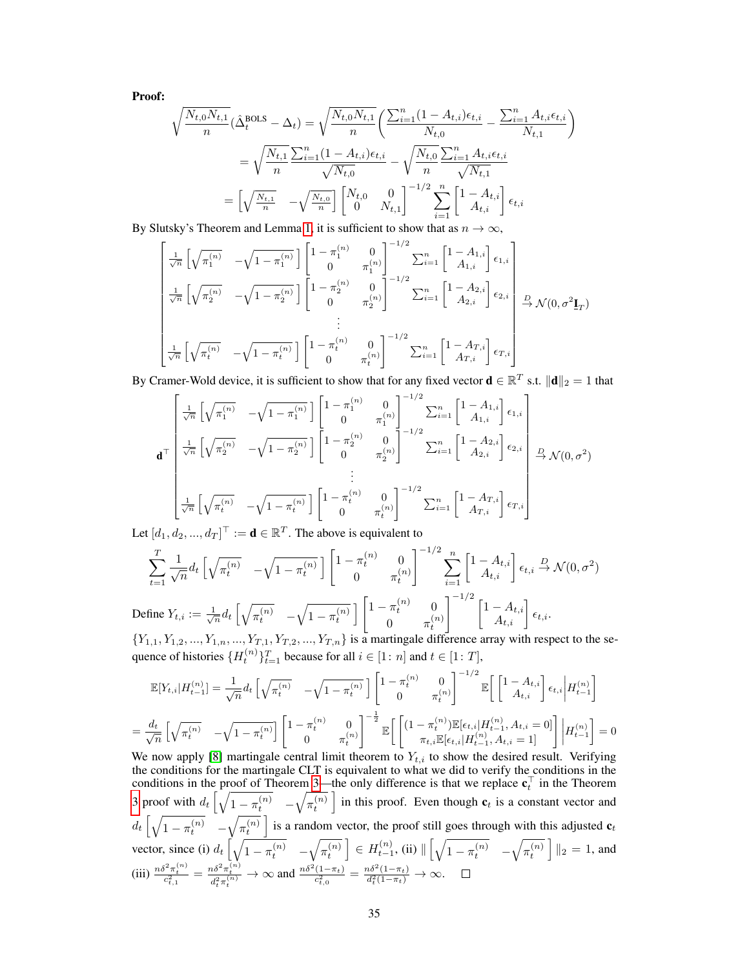Proof:

$$
\sqrt{\frac{N_{t,0}N_{t,1}}{n}}(\hat{\Delta}_t^{\text{BOLS}} - \Delta_t) = \sqrt{\frac{N_{t,0}N_{t,1}}{n}} \left( \frac{\sum_{i=1}^n (1 - A_{t,i})\epsilon_{t,i}}{N_{t,0}} - \frac{\sum_{i=1}^n A_{t,i}\epsilon_{t,i}}{N_{t,1}} \right)
$$

$$
= \sqrt{\frac{N_{t,1}}{n}} \frac{\sum_{i=1}^n (1 - A_{t,i})\epsilon_{t,i}}{\sqrt{N_{t,0}}} - \sqrt{\frac{N_{t,0}}{n}} \frac{\sum_{i=1}^n A_{t,i}\epsilon_{t,i}}{\sqrt{N_{t,1}}}
$$

$$
= \left[ \sqrt{\frac{N_{t,1}}{n}} - \sqrt{\frac{N_{t,0}}{n}} \right] \begin{bmatrix} N_{t,0} & 0\\ 0 & N_{t,1} \end{bmatrix}^{-1/2} \sum_{i=1}^n \begin{bmatrix} 1 - A_{t,i} \\ A_{t,i} \end{bmatrix} \epsilon_{t,i}
$$

By Slutsky's Theorem and Lemma [1,](#page-18-0) it is sufficient to show that as  $n \to \infty$ ,

$$
\begin{bmatrix}\n\frac{1}{\sqrt{n}} \left[ \sqrt{\pi_1^{(n)}} & -\sqrt{1 - \pi_1^{(n)}} \right] \left[ \frac{1 - \pi_1^{(n)}}{0} & 0 \right]^{-1/2} \sum_{i=1}^n \left[ \frac{1 - A_{1,i}}{A_{1,i}} \right] \epsilon_{1,i} \\
\frac{1}{\sqrt{n}} \left[ \sqrt{\pi_2^{(n)}} & -\sqrt{1 - \pi_2^{(n)}} \right] \left[ \frac{1 - \pi_2^{(n)}}{0} & 0 \right]^{-1/2} \sum_{i=1}^n \left[ \frac{1 - A_{2,i}}{A_{2,i}} \right] \epsilon_{2,i} \\
\vdots \\
\frac{1}{\sqrt{n}} \left[ \sqrt{\pi_t^{(n)}} & -\sqrt{1 - \pi_t^{(n)}} \right] \left[ \frac{1 - \pi_t^{(n)}}{0} & \frac{0}{\pi_t^{(n)}} \right]^{-1/2} \sum_{i=1}^n \left[ \frac{1 - A_{T,i}}{A_{T,i}} \right] \epsilon_{T,i}\n\end{bmatrix} \xrightarrow{\text{D}(\mathbf{0)}, \sigma^2 \mathbf{I}_T}
$$

By Cramer-Wold device, it is sufficient to show that for any fixed vector  $\mathbf{d} \in \mathbb{R}^T$  s.t.  $\|\mathbf{d}\|_2 = 1$  that

$$
\mathbf{d}^{\top} \begin{bmatrix} \frac{1}{\sqrt{n}} \left[ \sqrt{\pi_1^{(n)}} & -\sqrt{1-\pi_1^{(n)}} \right] \left[ \frac{1-\pi_1^{(n)}}{0} & \frac{0}{\pi_1^{(n)}} \right]^{-1/2} \sum_{i=1}^n \left[ \frac{1-A_{1,i}}{A_{1,i}} \right] \epsilon_{1,i} \\ \frac{1}{\sqrt{n}} \left[ \sqrt{\pi_2^{(n)}} & -\sqrt{1-\pi_2^{(n)}} \right] \left[ \frac{1-\pi_2^{(n)}}{0} & \frac{0}{\pi_2^{(n)}} \right]^{-1/2} \sum_{i=1}^n \left[ \frac{1-A_{2,i}}{A_{2,i}} \right] \epsilon_{2,i} \\ \vdots \\ \frac{1}{\sqrt{n}} \left[ \sqrt{\pi_t^{(n)}} & -\sqrt{1-\pi_t^{(n)}} \right] \left[ \frac{1-\pi_t^{(n)}}{0} & \frac{0}{\pi_t^{(n)}} \right]^{-1/2} \sum_{i=1}^n \left[ \frac{1-A_{T,i}}{A_{T,i}} \right] \epsilon_{T,i} \end{bmatrix} \xrightarrow{\mathcal{M}(0, \sigma^2)}
$$

Let  $[d_1, d_2, ..., d_T]^\top := \mathbf{d} \in \mathbb{R}^T$ . The above is equivalent to

$$
\sum_{t=1}^{T} \frac{1}{\sqrt{n}} d_t \left[ \sqrt{\pi_t^{(n)}} - \sqrt{1 - \pi_t^{(n)}} \right] \left[ \frac{1 - \pi_t^{(n)}}{0} \frac{0}{\pi_t^{(n)}} \right]^{-1/2} \sum_{i=1}^{n} \left[ \frac{1 - A_{t,i}}{A_{t,i}} \right] \epsilon_{t,i} \stackrel{D}{\to} \mathcal{N}(0, \sigma^2)
$$
  
Define  $Y_{t,i} := \frac{1}{\sqrt{n}} d_t \left[ \sqrt{\pi_t^{(n)}} - \sqrt{1 - \pi_t^{(n)}} \right] \left[ \frac{1 - \pi_t^{(n)}}{0} \frac{0}{\pi_t^{(n)}} \right]^{-1/2} \left[ \frac{1 - A_{t,i}}{A_{t,i}} \right] \epsilon_{t,i}.$ 

 $\{Y_{1,1}, Y_{1,2}, ..., Y_{1,n}, ..., Y_{T,1}, Y_{T,2}, ..., Y_{T,n}\}$  is a martingale difference array with respect to the sequence of histories  $\{H_t^{(n)}\}_{t=1}^T$  because for all  $i \in [1:n]$  and  $t \in [1:T]$ ,

$$
\mathbb{E}[Y_{t,i}|H_{t-1}^{(n)}] = \frac{1}{\sqrt{n}} d_t \left[ \sqrt{\pi_t^{(n)}} - \sqrt{1 - \pi_t^{(n)}} \right] \left[ \begin{matrix} 1 - \pi_t^{(n)} & 0 \\ 0 & \pi_t^{(n)} \end{matrix} \right]^{-1/2} \mathbb{E} \left[ \begin{bmatrix} 1 - A_{t,i} \\ A_{t,i} \end{bmatrix} \epsilon_{t,i} \middle| H_{t-1}^{(n)} \right]
$$
  

$$
= \frac{d_t}{\sqrt{n}} \left[ \sqrt{\pi_t^{(n)}} - \sqrt{1 - \pi_t^{(n)}} \right] \left[ \begin{matrix} 1 - \pi_t^{(n)} & 0 \\ 0 & \pi_t^{(n)} \end{matrix} \right]^{-\frac{1}{2}} \mathbb{E} \left[ \begin{bmatrix} (1 - \pi_t^{(n)}) \mathbb{E}[\epsilon_{t,i}|H_{t-1}^{(n)}, A_{t,i} = 0] \\ \pi_{t,i} \mathbb{E}[\epsilon_{t,i}|H_{t-1}^{(n)}, A_{t,i} = 1] \end{bmatrix} \right] \left| H_{t-1}^{(n)} \right] = 0
$$

We now apply [\[8\]](#page--1-7) martingale central limit theorem to  $Y_{t,i}$  to show the desired result. Verifying the conditions for the martingale CLT is equivalent to what we did to verify the conditions in the conditions in the proof of Theorem [3—](#page--1-3)the only difference is that we replace  $c_t^{\top}$  in the Theorem t [3](#page--1-3) proof with  $d_t \left[ \sqrt{1 - \pi_t^{(n)}} - \sqrt{\pi_t^{(n)}} \right]$  in this proof. Even though  $c_t$  is a constant vector and  $d_t\left[\sqrt{1-\pi_t^{(n)}}\right] - \sqrt{\pi_t^{(n)}}\right]$  is a random vector, the proof still goes through with this adjusted  $\mathbf{c}_t$ vector, since (i)  $d_t \left[ \sqrt{1 - \pi_t^{(n)}} - \sqrt{\pi_t^{(n)}} \right] \in H_{t-1}^{(n)}$ , (ii)  $\left[ \sqrt{1 - \pi_t^{(n)}} - \sqrt{\pi_t^{(n)}} \right] \left\|_2 = 1$ , and  $\text{(iii)} \ \frac{n\delta^2 \pi_t^{(n)}}{c_{t,1}^2} = \frac{n\delta^2 \pi_t^{(n)}}{d_t^2 \pi_t^{(n)}} \to \infty \text{ and } \frac{n\delta^2 (1-\pi_t)}{c_{t,0}^2} = \frac{n\delta^2 (1-\pi_t)}{d_t^2 (1-\pi_t)} \to \infty.$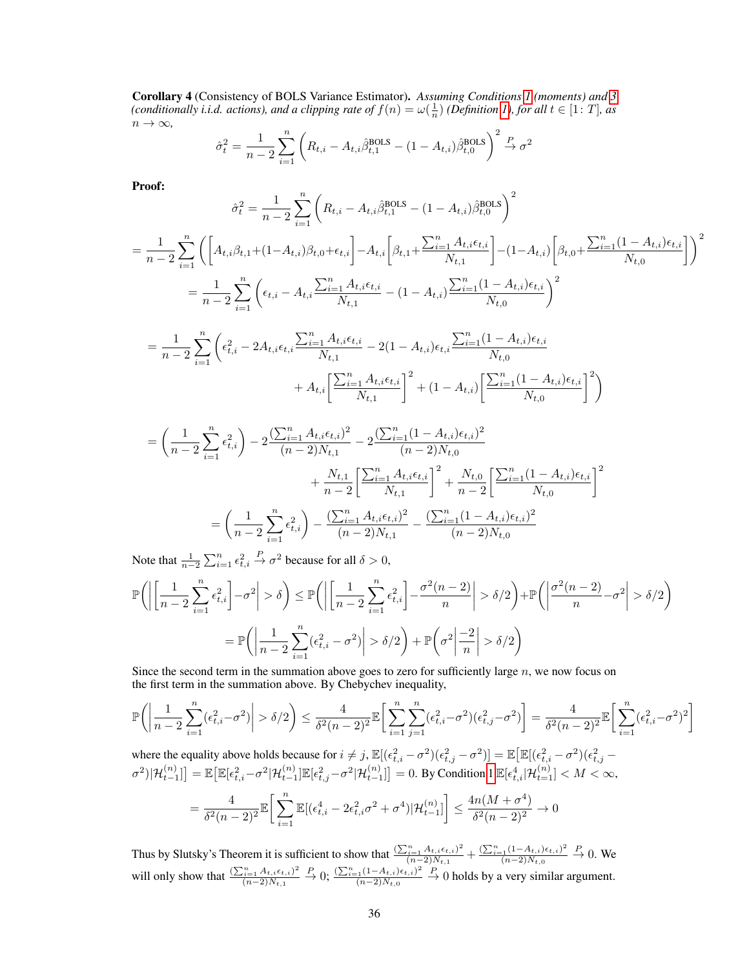<span id="page-23-0"></span>Corollary 4 (Consistency of BOLS Variance Estimator). *Assuming Conditions [1](#page--1-6) (moments) and [3](#page--1-9) (conditionally i.i.d. actions), and a clipping rate of*  $f(n) = \omega(\frac{1}{n})$  *(Definition [1\)](#page--1-10), for all*  $t \in [1: T]$ *, as*  $n \to \infty$ ,

$$
\hat{\sigma}_t^2 = \frac{1}{n-2} \sum_{i=1}^n \left( R_{t,i} - A_{t,i} \hat{\beta}_{t,1}^{\text{BOLS}} - (1 - A_{t,i}) \hat{\beta}_{t,0}^{\text{BOLS}} \right)^2 \stackrel{P}{\to} \sigma^2
$$

Proof:

$$
\hat{\sigma}_{t}^{2} = \frac{1}{n-2} \sum_{i=1}^{n} \left( R_{t,i} - A_{t,i} \hat{\beta}_{t,1}^{\text{BOLS}} - (1 - A_{t,i}) \hat{\beta}_{t,0}^{\text{BOLS}} \right)^{2}
$$
\n
$$
= \frac{1}{n-2} \sum_{i=1}^{n} \left( \left[ A_{t,i} \beta_{t,1} + (1 - A_{t,i}) \beta_{t,0} + \epsilon_{t,i} \right] - A_{t,i} \left[ \beta_{t,1} + \frac{\sum_{i=1}^{n} A_{t,i} \epsilon_{t,i}}{N_{t,1}} \right] - (1 - A_{t,i}) \left[ \beta_{t,0} + \frac{\sum_{i=1}^{n} (1 - A_{t,i}) \epsilon_{t,i}}{N_{t,0}} \right] \right)^{2}
$$
\n
$$
= \frac{1}{n-2} \sum_{i=1}^{n} \left( \epsilon_{t,i} - A_{t,i} \frac{\sum_{i=1}^{n} A_{t,i} \epsilon_{t,i}}{N_{t,1}} - (1 - A_{t,i}) \frac{\sum_{i=1}^{n} (1 - A_{t,i}) \epsilon_{t,i}}{N_{t,0}} \right)^{2}
$$
\n
$$
= \frac{1}{n-2} \sum_{i=1}^{n} \left( \epsilon_{t,i}^{2} - 2A_{t,i} \epsilon_{t,i} \frac{\sum_{i=1}^{n} A_{t,i} \epsilon_{t,i}}{N_{t,1}} - 2(1 - A_{t,i}) \epsilon_{t,i} \frac{\sum_{i=1}^{n} (1 - A_{t,i}) \epsilon_{t,i}}{N_{t,0}} \right)^{2}
$$
\n
$$
+ A_{t,i} \left[ \frac{\sum_{i=1}^{n} A_{t,i} \epsilon_{t,i}}{N_{t,1}} \right]^{2} + (1 - A_{t,i}) \left[ \frac{\sum_{i=1}^{n} (1 - A_{t,i}) \epsilon_{t,i}}{N_{t,0}} \right]^{2} \right)
$$

$$
= \left(\frac{1}{n-2}\sum_{i=1}^{n} \epsilon_{t,i}^{2}\right) - 2\frac{\left(\sum_{i=1}^{n} A_{t,i} \epsilon_{t,i}\right)^{2}}{(n-2)N_{t,1}} - 2\frac{\left(\sum_{i=1}^{n} (1 - A_{t,i}) \epsilon_{t,i}\right)^{2}}{(n-2)N_{t,0}} + \frac{N_{t,1}}{n-2} \left[\frac{\sum_{i=1}^{n} A_{t,i} \epsilon_{t,i}}{N_{t,1}}\right]^{2} + \frac{N_{t,0}}{n-2} \left[\frac{\sum_{i=1}^{n} (1 - A_{t,i}) \epsilon_{t,i}}{N_{t,0}}\right]^{2}
$$

$$
= \left(\frac{1}{n-2}\sum_{i=1}^{n} \epsilon_{t,i}^{2}\right) - \frac{\left(\sum_{i=1}^{n} A_{t,i} \epsilon_{t,i}\right)^{2}}{(n-2)N_{t,1}} - \frac{\left(\sum_{i=1}^{n} (1 - A_{t,i}) \epsilon_{t,i}\right)^{2}}{(n-2)N_{t,0}}
$$

Note that  $\frac{1}{n-2} \sum_{i=1}^n \epsilon_{t,i}^2$  $\stackrel{P}{\to} \sigma^2$  because for all  $\delta > 0$ ,

$$
\mathbb{P}\Bigg(\bigg|\bigg[\frac{1}{n-2}\sum_{i=1}^{n}\epsilon_{t,i}^{2}\bigg]-\sigma^{2}\bigg|>\delta\Bigg)\leq \mathbb{P}\Bigg(\bigg|\bigg[\frac{1}{n-2}\sum_{i=1}^{n}\epsilon_{t,i}^{2}\bigg]-\frac{\sigma^{2}(n-2)}{n}\bigg|>\delta/2\Bigg)+\mathbb{P}\bigg(\bigg|\frac{\sigma^{2}(n-2)}{n}-\sigma^{2}\bigg|>\delta/2\bigg)
$$

$$
=\mathbb{P}\bigg(\bigg|\frac{1}{n-2}\sum_{i=1}^{n}(\epsilon_{t,i}^{2}-\sigma^{2})\bigg|>\delta/2\bigg)+\mathbb{P}\bigg(\sigma^{2}\bigg|\frac{-2}{n}\bigg|>\delta/2\bigg)
$$

Since the second term in the summation above goes to zero for sufficiently large  $n$ , we now focus on the first term in the summation above. By Chebychev inequality,

$$
\mathbb{P}\bigg(\bigg|\frac{1}{n-2}\sum_{i=1}^n(\epsilon_{t,i}^2-\sigma^2)\bigg|>\delta/2\bigg)\leq \frac{4}{\delta^2(n-2)^2}\mathbb{E}\bigg[\sum_{i=1}^n\sum_{j=1}^n(\epsilon_{t,i}^2-\sigma^2)(\epsilon_{t,j}^2-\sigma^2)\bigg]=\frac{4}{\delta^2(n-2)^2}\mathbb{E}\bigg[\sum_{i=1}^n(\epsilon_{t,i}^2-\sigma^2)^2\bigg]
$$

where the equality above holds because for  $i \neq j$ ,  $\mathbb{E}[(\epsilon_{t,i}^2 - \sigma^2)(\epsilon_{t,j}^2 - \sigma^2)] = \mathbb{E}[\mathbb{E}[(\epsilon_{t,i}^2 - \sigma^2)(\epsilon_{t,j}^2 - \sigma^2)]]$  $\sigma^2)|\mathcal{H}_{t-1}^{(n)}]\big] = \mathbb{E}\big[\mathbb{E}[\epsilon_{t,i}^2-\sigma^2|\mathcal{H}_{t-1}^{(n)}]\mathbb{E}[\epsilon_{t,j}^2-\sigma^2|\mathcal{H}_{t-1}^{(n)}]\big] = 0.$  By Condition [1](#page--1-6)  $\mathbb{E}[\epsilon_{t,i}^4|\mathcal{H}_{t=1}^{(n)}]< M < \infty,$  $=\frac{4}{52}$  $\delta^2(n-2)^2$  $\mathbb{E} \left[ \sum_{n=1}^{\infty} \right]$  $i=1$  $\mathbb{E}[(\epsilon_{t,i}^4 - 2\epsilon_{t,i}^2 \sigma^2 + \sigma^4)|\mathcal{H}_{t-1}^{(n)}] \leq \frac{4n(M + \sigma^4)}{\delta^2(n-2)^2}$  $\frac{n\epsilon (n-1)\theta}{\delta^2 (n-2)^2} \rightarrow 0$ 

Thus by Slutsky's Theorem it is sufficient to show that  $\frac{\sum_{i=1}^{n} A_{t,i} \epsilon_{t,i}^2}{(n-2)N_{t,i}}$  $\frac{\binom{n}{i}}{(n-2)N_{t,1}} + \frac{\left(\sum_{i=1}^{n}(1-A_{t,i})\epsilon_{t,i}\right)^2}{(n-2)N_{t,0}}$  $(n-2)N_{t,0}$  $\stackrel{P}{\rightarrow} 0$ . We will only show that  $\frac{\left(\sum_{i=1}^n A_{t,i} \epsilon_{t,i}\right)^2}{(n-2)N_{t,i}}$  $(n-2)N_{t,1}$  $\stackrel{P}{\to} 0; \frac{(\sum_{i=1}^{n}(1-A_{t,i})\epsilon_{t,i})^2}{(n-2)N_{t,i}}$  $(n-2)N_{t,0}$  $\stackrel{P}{\rightarrow}$  0 holds by a very similar argument.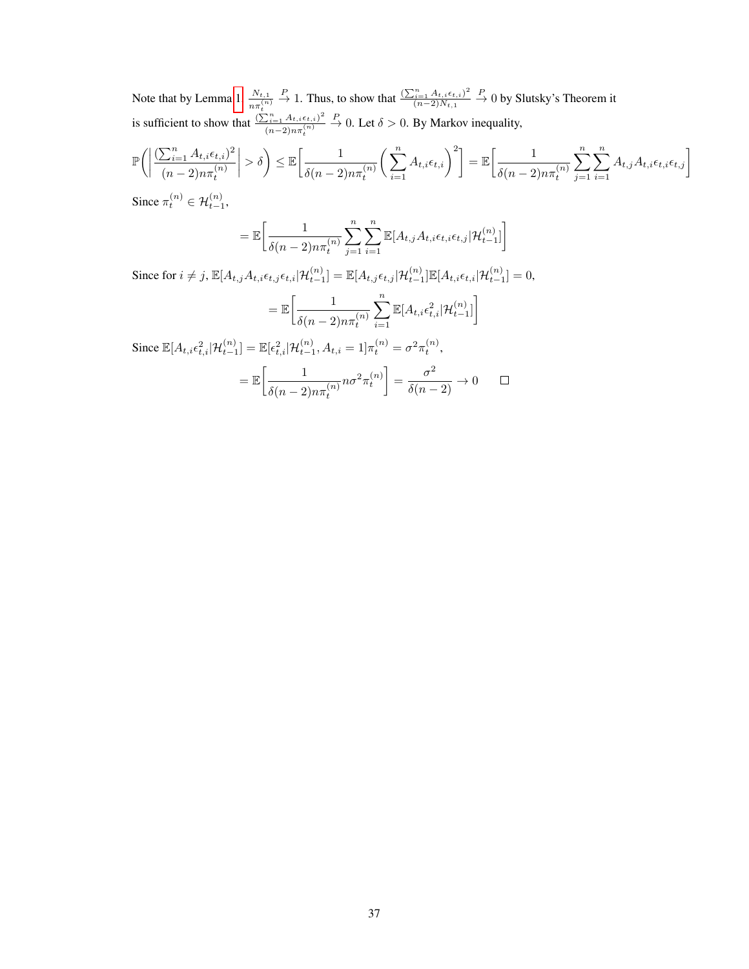Note that by Lemma [1,](#page-18-0)  $\frac{N_{t,1}}{n \pi_t^{(n)}}$  $\frac{P}{\rightarrow}$  1. Thus, to show that  $\frac{\left(\sum_{i=1}^{n} A_{t,i} \epsilon_{t,i}\right)^2}{\left(n-2\right)N_{t,i}}$  $(n-2)N_{t,1}$  $\stackrel{P}{\rightarrow} 0$  by Slutsky's Theorem it is sufficient to show that  $\frac{\left(\sum_{i=1}^{n} A_{t,i} \epsilon_{t,i}\right)^2}{\left(\sum_{i=1}^{n} A_{t,i} \epsilon_{t,i}\right)^2}$  $(n-2)n\pi_t^{(n)}$  $\stackrel{P}{\rightarrow}$  0. Let  $\delta > 0$ . By Markov inequality,

$$
\mathbb{P}\bigg(\bigg|\frac{\left(\sum_{i=1}^{n} A_{t,i}\epsilon_{t,i}\right)^{2}}{(n-2)n\pi_{t}^{(n)}}\bigg|>\delta\bigg) \leq \mathbb{E}\bigg[\frac{1}{\delta(n-2)n\pi_{t}^{(n)}}\bigg(\sum_{i=1}^{n} A_{t,i}\epsilon_{t,i}\bigg)^{2}\bigg] = \mathbb{E}\bigg[\frac{1}{\delta(n-2)n\pi_{t}^{(n)}}\sum_{j=1}^{n}\sum_{i=1}^{n} A_{t,j}A_{t,i}\epsilon_{t,i}\epsilon_{t,j}\bigg]
$$
  
Since  $\pi_{t}^{(n)} \in \mathcal{H}_{t}^{(n)}$ 

Since  $\pi_t^{(n)} \in \mathcal{H}_{t-1}^{(n)}$ ,

$$
= \mathbb{E}\bigg[\frac{1}{\delta(n-2)n\pi_t^{(n)}}\sum_{j=1}^n\sum_{i=1}^n\mathbb{E}[A_{t,j}A_{t,i}\epsilon_{t,i}\epsilon_{t,j}|\mathcal{H}_{t-1}^{(n)}]\bigg]
$$

Since for  $i \neq j$ ,  $\mathbb{E}[A_{t,j}A_{t,i}\epsilon_{t,j}\epsilon_{t,i}|\mathcal{H}_{t-1}^{(n)}] = \mathbb{E}[A_{t,j}\epsilon_{t,j}|\mathcal{H}_{t-1}^{(n)}]\mathbb{E}[A_{t,i}\epsilon_{t,i}|\mathcal{H}_{t-1}^{(n)}] = 0$ ,  $\sum_{n=1}^{\infty}$  $=\mathbb{E}\left[\frac{1}{\sqrt{1-\frac{1}{2}}}\right]$  $\mathbb{E}[A_{t,i}\epsilon_{t,i}^2|\mathcal{H}_{t-1}^{(n)}]\bigg]$  $\delta(n-2)n\pi_t^{(n)}$  $i=1$ Since  $\mathbb{E}[A_{t,i}\epsilon_{t,i}^2 | \mathcal{H}_{t-1}^{(n)}] = \mathbb{E}[\epsilon_{t,i}^2 | \mathcal{H}_{t-1}^{(n)}, A_{t,i} = 1] \pi_t^{(n)} = \sigma^2 \pi_t^{(n)}$ ,  $= \frac{\sigma^2}{\delta(n-2)} \to 0$  $= \mathbb{E} \left[ \frac{1}{1 + \frac{1}{1 + \frac{1}{1 + \frac{1}{1 + \frac{1}{1 + \frac{1}{1 + \frac{1}{1 + \frac{1}{1 + \frac{1}{1 + \frac{1}{1 + \frac{1}{1 + \frac{1}{1 + \frac{1}{1 + \frac{1}{1 + \frac{1}{1 + \frac{1}{1 + \frac{1}{1 + \frac{1}{1 + \frac{1}{1 + \frac{1}{1 + \frac{1}{1 + \frac{1}{1 + \frac{1}{1 + \frac{1}{1 + \frac{1}{1 + \frac{1}{1 + \frac{1}{1 + \frac{1}{1 + \frac{1}{1 + \frac{1}{1 +$  $n\sigma^2\pi_t^{(n)}$  $\delta(n-2)n\pi_t^{(n)}$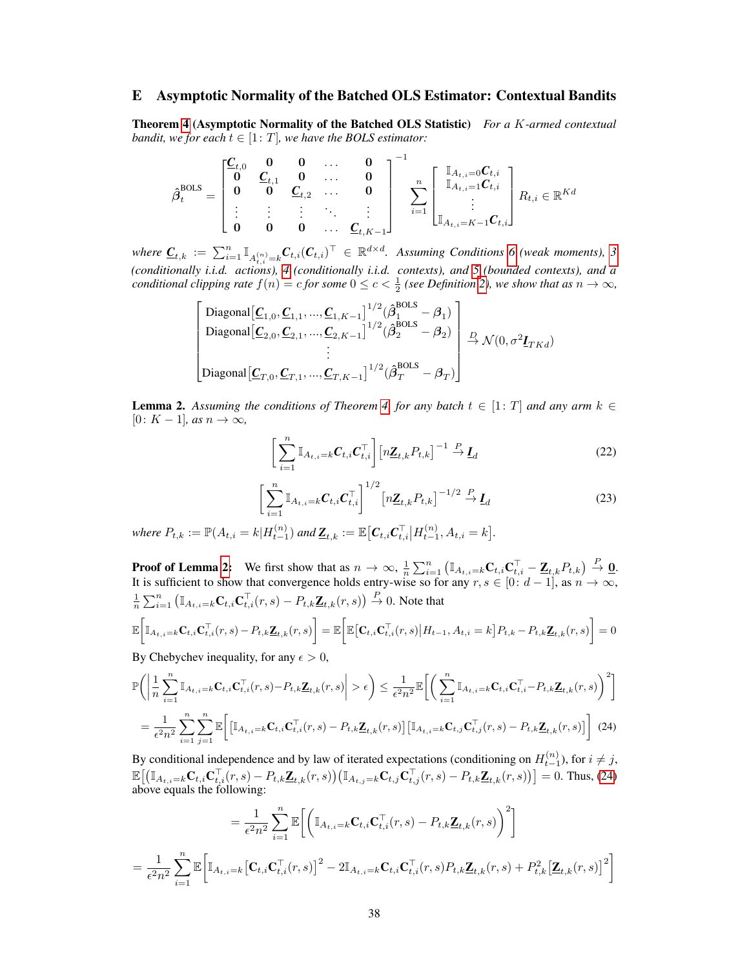# E Asymptotic Normality of the Batched OLS Estimator: Contextual Bandits

Theorem [4](#page--1-12) (Asymptotic Normality of the Batched OLS Statistic) *For a* K*-armed contextual bandit, we for each*  $t \in [1: T]$ *, we have the BOLS estimator:* 

$$
\hat{\beta}_{t}^{\text{BOLS}} = \begin{bmatrix} \underline{C}_{t,0} & 0 & 0 & \dots & 0 \\ 0 & \underline{C}_{t,1} & 0 & \dots & 0 \\ 0 & 0 & \underline{C}_{t,2} & \dots & 0 \\ \vdots & \vdots & \vdots & \ddots & \vdots \\ 0 & 0 & 0 & \dots & \underline{C}_{t,K-1} \end{bmatrix}^{-1} \sum_{i=1}^{n} \begin{bmatrix} \mathbb{I}_{A_{t,i}=0} C_{t,i} \\ \mathbb{I}_{A_{t,i}=1} C_{t,i} \\ \vdots \\ \mathbb{I}_{A_{t,i}=K-1} C_{t,i} \end{bmatrix} R_{t,i} \in \mathbb{R}^{Kd}
$$

 $where \ \underline{\mathbf{C}}_{t,k} := \sum_{i=1}^n \mathbb{I}_{A_{t,i}^{(n)}=k} \mathbf{C}_{t,i} (\mathbf{C}_{t,i})^\top \in \mathbb{R}^{d \times d}$ . Assuming Conditions [6](#page-4-0) (weak moments), [3](#page--1-9) *(conditionally i.i.d. actions), [4](#page--1-13) (conditionally i.i.d. contexts), and [5](#page--1-14) (bounded contexts), and a conditional clipping rate*  $f(n) = c$  *for some*  $0 \le c < \frac{1}{2}$  *(see Definition [2\)](#page--1-15), we show that as*  $n \to \infty$ *,* 

$$
\begin{bmatrix}\text{Diagonal}\left[\underline{\mathbf{C}}_{1,0},\underline{\mathbf{C}}_{1,1},...,\underline{\mathbf{C}}_{1,K-1}\right]^{1/2}(\hat{\beta}_{1}^{\text{BOLS}}-\beta_{1})\\ \text{Diagonal}\left[\underline{\mathbf{C}}_{2,0},\underline{\mathbf{C}}_{2,1},...,\underline{\mathbf{C}}_{2,K-1}\right]^{1/2}(\hat{\beta}_{2}^{\text{BOLS}}-\beta_{2})\\ \vdots\\ \text{Diagonal}\left[\underline{\mathbf{C}}_{T,0},\underline{\mathbf{C}}_{T,1},...,\underline{\mathbf{C}}_{T,K-1}\right]^{1/2}(\hat{\beta}_{T}^{\text{BOLS}}-\beta_{T})\end{bmatrix} \xrightarrow{D} \mathcal{N}(0,\sigma^{2}\underline{\mathbf{I}}_{TKd})
$$

<span id="page-25-0"></span>**Lemma 2.** Assuming the conditions of Theorem [4,](#page--1-12) for any batch  $t \in [1: T]$  and any arm  $k \in$  $[0: K - 1]$ *, as*  $n \to \infty$ *,* 

<span id="page-25-2"></span>
$$
\left[\sum_{i=1}^{n} \mathbb{I}_{A_{t,i}=k} C_{t,i} C_{t,i}^{\top}\right] \left[n \underline{\mathbf{Z}}_{t,k} P_{t,k}\right]^{-1} \stackrel{P}{\rightarrow} \underline{\mathbf{I}}_{d}
$$
\n(22)

<span id="page-25-3"></span>
$$
\left[\sum_{i=1}^{n} \mathbb{I}_{A_{t,i}=k} \mathbf{C}_{t,i} \mathbf{C}_{t,i}^{\top}\right]^{1/2} \left[n\underline{\mathbf{Z}}_{t,k} P_{t,k}\right]^{-1/2} \xrightarrow{P} \underline{\mathbf{I}}_{d}
$$
\n(23)

 $where P_{t,k} := \mathbb{P}(A_{t,i} = k | H_{t-1}^{(n)}) \text{ and } \mathbb{Z}_{t,k} := \mathbb{E} \big[ C_{t,i} C_{t,i}^{\top} \big| H_{t-1}^{(n)}, A_{t,i} = k \big].$ 

**Proof of Lemma [2:](#page-25-0)** We first show that as  $n \to \infty$ ,  $\frac{1}{n} \sum_{i=1}^{n} (\mathbb{I}_{A_{t,i}=k} \mathbf{C}_{t,i} \mathbf{C}_{t,i}^{\top} - \mathbf{Z}_{t,k} P_{t,k}) \stackrel{P}{\to} \mathbf{Q}$ . It is sufficient to show that convergence holds entry-wise so for any  $r, s \in [0: d-1]$ , as  $n \to \infty$ ,  $\frac{1}{n}\sum_{i=1}^n \left(\mathbb{I}_{A_{t,i}=k}\mathbf{C}_{t,i}\mathbf{C}_{t,i}^\top(r,s) - P_{t,k}\underline{\mathbf{Z}}_{t,k}(r,s)\right) \stackrel{P}{\to} 0.$  Note that

$$
\mathbb{E}\bigg[\mathbb{I}_{A_{t,i}=k}\mathbf{C}_{t,i}\mathbf{C}_{t,i}^{\top}(r,s)-P_{t,k}\underline{\mathbf{Z}}_{t,k}(r,s)\bigg]=\mathbb{E}\bigg[\mathbb{E}\big[\mathbf{C}_{t,i}\mathbf{C}_{t,i}^{\top}(r,s)\big|H_{t-1},A_{t,i}=k\big]P_{t,k}-P_{t,k}\underline{\mathbf{Z}}_{t,k}(r,s)\bigg]=0
$$

By Chebychev inequality, for any  $\epsilon > 0$ ,

$$
\mathbb{P}\Bigg(\Bigg|\frac{1}{n}\sum_{i=1}^{n}\mathbb{I}_{A_{t,i}=k}\mathbf{C}_{t,i}\mathbf{C}_{t,i}^{\top}(r,s)-P_{t,k}\mathbf{Z}_{t,k}(r,s)\Bigg|>\epsilon\Bigg)\leq\frac{1}{\epsilon^{2}n^{2}}\mathbb{E}\Bigg[\bigg(\sum_{i=1}^{n}\mathbb{I}_{A_{t,i}=k}\mathbf{C}_{t,i}\mathbf{C}_{t,i}^{\top}-P_{t,k}\mathbf{Z}_{t,k}(r,s)\bigg)^{2}\Bigg]
$$

$$
=\frac{1}{\epsilon^{2}n^{2}}\sum_{i=1}^{n}\sum_{j=1}^{n}\mathbb{E}\Bigg[\big[\mathbb{I}_{A_{t,i}=k}\mathbf{C}_{t,i}\mathbf{C}_{t,i}^{\top}(r,s)-P_{t,k}\mathbf{Z}_{t,k}(r,s)\big]\big[\mathbb{I}_{A_{t,i}=k}\mathbf{C}_{t,j}\mathbf{C}_{t,j}^{\top}(r,s)-P_{t,k}\mathbf{Z}_{t,k}(r,s)\big]\Bigg] \tag{24}
$$

<span id="page-25-1"></span>By conditional independence and by law of iterated expectations (conditioning on  $H_{t-1}^{(n)}$ ), for  $i \neq j$ ,  $\mathbb{E}\big[\big(\mathbb{I}_{A_{t,i}=k}\mathbf{C}_{t,i}\mathbf{C}_{t,i}^{\top}(r,s)-P_{t,k}\mathbf{\underline{Z}}_{t,k}(r,s)\big)\big(\mathbb{I}_{A_{t,j}=k}\mathbf{C}_{t,j}\mathbf{C}_{t,j}^{\top}(r,s)-P_{t,k}\mathbf{\underline{Z}}_{t,k}(r,s)\big)\big]=0.$  Thus, [\(24\)](#page-25-1) above equals the following:

$$
= \frac{1}{\epsilon^2 n^2} \sum_{i=1}^n \mathbb{E}\bigg[\bigg(\mathbb{I}_{A_{t,i}=k} \mathbf{C}_{t,i} \mathbf{C}_{t,i}^\top(r,s) - P_{t,k} \mathbf{Z}_{t,k}(r,s)\bigg)^2\bigg]
$$
  

$$
= \frac{1}{\epsilon^2 n^2} \sum_{i=1}^n \mathbb{E}\bigg[\mathbb{I}_{A_{t,i}=k} \big[\mathbf{C}_{t,i} \mathbf{C}_{t,i}^\top(r,s)\big]^2 - 2\mathbb{I}_{A_{t,i}=k} \mathbf{C}_{t,i} \mathbf{C}_{t,i}^\top(r,s) P_{t,k} \mathbf{Z}_{t,k}(r,s) + P_{t,k}^2 \big[\mathbf{Z}_{t,k}(r,s)\big]^2\bigg]
$$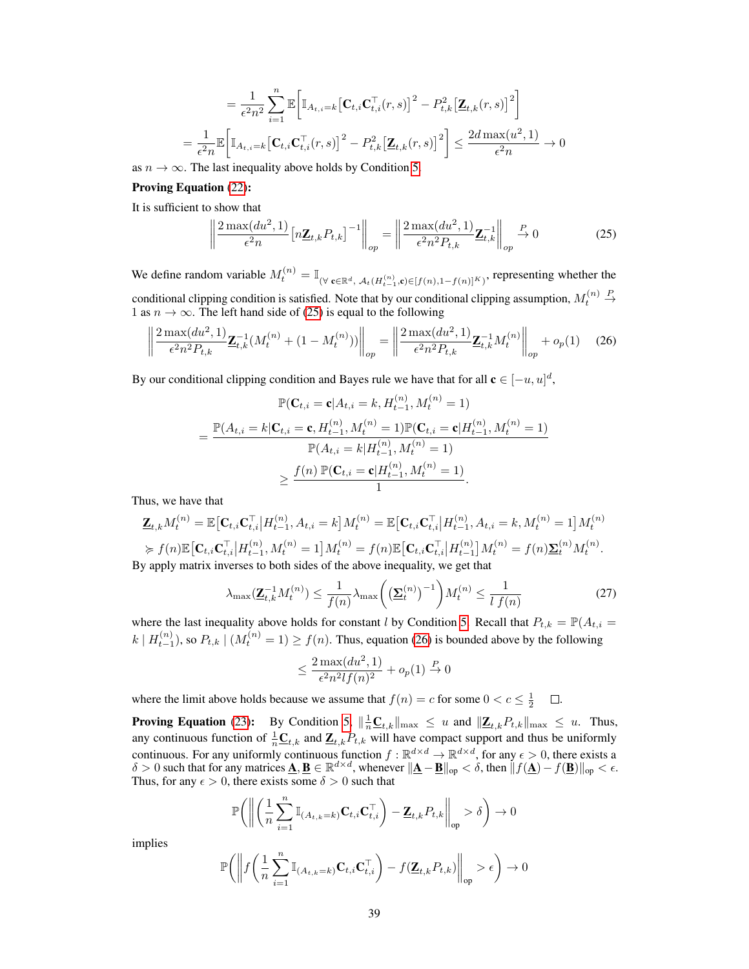$$
= \frac{1}{\epsilon^2 n^2} \sum_{i=1}^n \mathbb{E} \bigg[ \mathbb{I}_{A_{t,i}=k} \big[ \mathbf{C}_{t,i} \mathbf{C}_{t,i}^\top(r,s) \big]^2 - P_{t,k}^2 \big[ \mathbf{\underline{Z}}_{t,k}(r,s) \big]^2 \bigg]
$$
  
= 
$$
\frac{1}{\epsilon^2 n} \mathbb{E} \bigg[ \mathbb{I}_{A_{t,i}=k} \big[ \mathbf{C}_{t,i} \mathbf{C}_{t,i}^\top(r,s) \big]^2 - P_{t,k}^2 \big[ \mathbf{\underline{Z}}_{t,k}(r,s) \big]^2 \bigg] \le \frac{2d \max(u^2, 1)}{\epsilon^2 n} \to 0
$$

as  $n \to \infty$ . The last inequality above holds by Condition [5.](#page--1-14)

## Proving Equation [\(22\)](#page-25-2):

It is sufficient to show that

<span id="page-26-0"></span>
$$
\left\| \frac{2 \max(du^2, 1)}{\epsilon^2 n} \left[ n \underline{\mathbf{Z}}_{t,k} P_{t,k} \right]^{-1} \right\|_{op} = \left\| \frac{2 \max(du^2, 1)}{\epsilon^2 n^2 P_{t,k}} \underline{\mathbf{Z}}_{t,k}^{-1} \right\|_{op} \stackrel{P}{\to} 0 \tag{25}
$$

We define random variable  $M_t^{(n)} = \mathbb{I}_{(\forall \mathbf{c} \in \mathbb{R}^d, \mathcal{A}_t(H_{t-1}^{(n)}, \mathbf{c}) \in [f(n), 1 - f(n)]^K)}$ , representing whether the conditional clipping condition is satisfied. Note that by our conditional clipping assumption,  $M_t^{(n)}$  $\stackrel{P}{\rightarrow}$ 1 as  $n \to \infty$ . The left hand side of [\(25\)](#page-26-0) is equal to the following

<span id="page-26-1"></span>
$$
\left\| \frac{2 \max(du^2, 1)}{\epsilon^2 n^2 P_{t,k}} \mathbf{Z}_{t,k}^{-1} (M_t^{(n)} + (1 - M_t^{(n)})) \right\|_{op} = \left\| \frac{2 \max(du^2, 1)}{\epsilon^2 n^2 P_{t,k}} \mathbf{Z}_{t,k}^{-1} M_t^{(n)} \right\|_{op} + o_p(1) \tag{26}
$$

By our conditional clipping condition and Bayes rule we have that for all  $\mathbf{c} \in [-u, u]^d$ ,

$$
\mathbb{P}(\mathbf{C}_{t,i} = \mathbf{c} | A_{t,i} = k, H_{t-1}^{(n)}, M_t^{(n)} = 1)
$$
\n
$$
= \frac{\mathbb{P}(A_{t,i} = k | \mathbf{C}_{t,i} = \mathbf{c}, H_{t-1}^{(n)}, M_t^{(n)} = 1) \mathbb{P}(\mathbf{C}_{t,i} = \mathbf{c} | H_{t-1}^{(n)}, M_t^{(n)} = 1)}{\mathbb{P}(A_{t,i} = k | H_{t-1}^{(n)}, M_t^{(n)} = 1)}
$$
\n
$$
\geq \frac{f(n) \mathbb{P}(\mathbf{C}_{t,i} = \mathbf{c} | H_{t-1}^{(n)}, M_t^{(n)} = 1)}{1}.
$$

Thus, we have that

$$
\mathbf{Z}_{t,k}M_t^{(n)} = \mathbb{E}\big[\mathbf{C}_{t,i}\mathbf{C}_{t,i}^{\top}|H_{t-1}^{(n)}, A_{t,i} = k\big]M_t^{(n)} = \mathbb{E}\big[\mathbf{C}_{t,i}\mathbf{C}_{t,i}^{\top}|H_{t-1}^{(n)}, A_{t,i} = k, M_t^{(n)} = 1\big]M_t^{(n)}\
$$
\n
$$
\succcurlyeq f(n)\mathbb{E}\big[\mathbf{C}_{t,i}\mathbf{C}_{t,i}^{\top}|H_{t-1}^{(n)}, M_t^{(n)} = 1\big]M_t^{(n)} = f(n)\mathbb{E}\big[\mathbf{C}_{t,i}\mathbf{C}_{t,i}^{\top}|H_{t-1}^{(n)}\big]M_t^{(n)} = f(n)\mathbf{\Sigma}_t^{(n)}M_t^{(n)}.
$$
\nwhen the values of the above inequality, we get that

By apply matrix inverses to both sides of the above inequality, we get that

<span id="page-26-2"></span>
$$
\lambda_{\max}(\underline{\mathbf{Z}}_{t,k}^{-1}M_t^{(n)}) \le \frac{1}{f(n)}\lambda_{\max}\left(\left(\underline{\Sigma}_t^{(n)}\right)^{-1}\right)M_t^{(n)} \le \frac{1}{l\ f(n)}\tag{27}
$$

where the last inequality above holds for constant l by Condition [5.](#page--1-14) Recall that  $P_{t,k} = \mathbb{P}(A_{t,i} =$  $k | H_{t-1}^{(n)}$ , so  $P_{t,k} | (M_t^{(n)} = 1) \ge f(n)$ . Thus, equation [\(26\)](#page-26-1) is bounded above by the following

$$
\leq \frac{2\max(du^2, 1)}{\epsilon^2 n^2 l f(n)^2} + o_p(1) \stackrel{P}{\to} 0
$$

where the limit above holds because we assume that  $f(n) = c$  for some  $0 < c \leq \frac{1}{2}$   $\Box$ .

**Proving Equation** [\(23\)](#page-25-3): By Condition [5,](#page--1-14)  $\|\frac{1}{n}\underline{\mathbf{C}}_{t,k}\|_{\max} \leq u$  and  $\|\underline{\mathbf{Z}}_{t,k}P_{t,k}\|_{\max} \leq u$ . Thus, any continuous function of  $\frac{1}{n}\mathbf{C}_{t,k}$  and  $\mathbf{Z}_{t,k}P_{t,k}$  will have compact support and thus be uniformly continuous. For any uniformly continuous function  $f : \mathbb{R}^{d \times d} \to \mathbb{R}^{d \times d}$ , for any  $\epsilon > 0$ , there exists a  $\delta > 0$  such that for any matrices  $\underline{\mathbf{A}}, \underline{\mathbf{B}} \in \mathbb{R}^{d \times d}$ , whenever  $||\underline{\mathbf{A}} - \underline{\mathbf{B}}||_{op} < \delta$ , then  $||f(\underline{\mathbf{A}}) - f(\underline{\mathbf{B}})||_{op} < \epsilon$ . Thus, for any  $\epsilon > 0$ , there exists some  $\delta > 0$  such that

$$
\mathbb{P}\bigg(\bigg\|\bigg(\frac{1}{n}\sum_{i=1}^n\mathbb{I}_{(A_{t,k}=k)}\mathbf{C}_{t,i}\mathbf{C}_{t,i}^\top\bigg)-\underline{\mathbf{Z}}_{t,k}P_{t,k}\bigg\|_{\mathrm{op}}>\delta\bigg)\rightarrow 0
$$

implies

$$
\mathbb{P}\bigg(\bigg\|f\bigg(\frac{1}{n}\sum_{i=1}^n\mathbb{I}_{(A_{t,k}=k)}\mathbf{C}_{t,i}\mathbf{C}_{t,i}^\top\bigg) - f(\mathbf{Z}_{t,k}P_{t,k})\bigg\|_{\text{op}} > \epsilon\bigg) \to 0
$$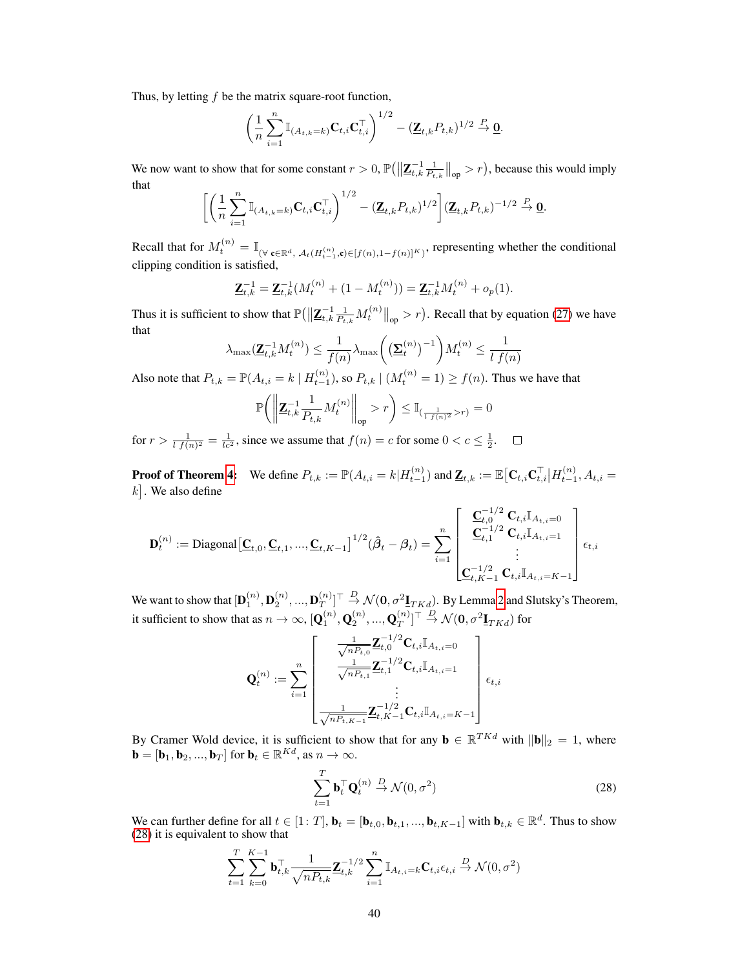Thus, by letting f be the matrix square-root function,

$$
\left(\frac{1}{n}\sum_{i=1}^n \mathbb{I}_{(A_{t,k}=k)}\mathbf{C}_{t,i}\mathbf{C}_{t,i}^\top\right)^{1/2} - \left(\mathbf{Z}_{t,k}P_{t,k}\right)^{1/2} \stackrel{P}{\to} \mathbf{0}.
$$

We now want to show that for some constant  $r > 0$ ,  $\mathbb{P}\left(\left\|\mathbf{Z}_{t,k}^{-1}\right\|_{\text{op}}^2 > r\right)$ , because this would imply that

$$
\left[ \left( \frac{1}{n} \sum_{i=1}^n \mathbb{I}_{(A_{t,k}=k)} \mathbf{C}_{t,i} \mathbf{C}_{t,i}^\top \right)^{1/2} - (\mathbf{Z}_{t,k} P_{t,k})^{1/2} \right] (\mathbf{Z}_{t,k} P_{t,k})^{-1/2} \stackrel{P}{\to} \mathbf{Q}.
$$

Recall that for  $M_t^{(n)} = \mathbb{I}_{(\forall \mathbf{c} \in \mathbb{R}^d, \mathcal{A}_t(H_{t-1}^{(n)}, \mathbf{c}) \in [f(n), 1 - f(n)]^K)}$ , representing whether the conditional clipping condition is satisfied,

$$
\underline{\mathbf{Z}}_{t,k}^{-1} = \underline{\mathbf{Z}}_{t,k}^{-1} (M_t^{(n)} + (1 - M_t^{(n)})) = \underline{\mathbf{Z}}_{t,k}^{-1} M_t^{(n)} + o_p(1).
$$

Thus it is sufficient to show that  $\mathbb{P}\left(\left\|\mathbf{Z}_{t,k}^{-1}\right\|_{P_{t,k}}M_t^{(n)}\right\|_{\text{op}}>r\right)$ . Recall that by equation [\(27\)](#page-26-2) we have that

$$
\lambda_{\max}(\mathbf{Z}_{t,k}^{-1}M_t^{(n)}) \le \frac{1}{f(n)} \lambda_{\max}\left(\left(\underline{\Sigma}_t^{(n)}\right)^{-1}\right)M_t^{(n)} \le \frac{1}{l \ f(n)}
$$

Also note that  $P_{t,k} = \mathbb{P}(A_{t,i} = k \mid H_{t-1}^{(n)}),$  so  $P_{t,k} \mid (M_t^{(n)} = 1) \ge f(n)$ . Thus we have that

$$
\mathbb{P}\bigg(\bigg\|\mathbf{Z}_{t,k}^{-1}\frac{1}{P_{t,k}}M_t^{(n)}\bigg\|_{\text{op}} > r\bigg) \le \mathbb{I}_{\left(\frac{1}{l\ f(n)^2} > r\right)} = 0
$$

for  $r > \frac{1}{l f(n)^2} = \frac{1}{l c^2}$ , since we assume that  $f(n) = c$  for some  $0 < c \leq \frac{1}{2}$ .

**Proof of Theorem [4:](#page--1-12)** We define  $P_{t,k} := \mathbb{P}(A_{t,i} = k | H_{t-1}^{(n)})$  and  $\underline{\mathbf{Z}}_{t,k} := \mathbb{E} \big[ \mathbf{C}_{t,i} \mathbf{C}_{t,i}^{\top} | H_{t-1}^{(n)}, A_{t,i} = \mathbb{E} \big[ \mathbf{C}_{t,i} \mathbf{C}_{t,i}^{\top} | H_{t-1}^{(n)}, A_{t,i} = \mathbb{E} \big[ \mathbf{C}_{t,i} \mathbf{C}_{t,i}^{\top} | H_{t-1}^{(n$  $k$ . We also define

$$
\mathbf{D}_{t}^{(n)} := \text{Diagonal} \left[ \underline{\mathbf{C}}_{t,0}, \underline{\mathbf{C}}_{t,1}, ..., \underline{\mathbf{C}}_{t,K-1} \right]^{1/2} (\hat{\boldsymbol{\beta}}_{t} - \boldsymbol{\beta}_{t}) = \sum_{i=1}^{n} \begin{bmatrix} \underline{\mathbf{C}}_{t,0}^{-1/2} \ \underline{\mathbf{C}}_{t,1}^{-1/2} \ \underline{\mathbf{C}}_{t,i} \mathbb{I}_{A_{t,i}=0} \\ \underline{\mathbf{C}}_{t,1}^{-1/2} \ \underline{\mathbf{C}}_{t,i} \mathbb{I}_{A_{t,i}=1} \\ \vdots \\ \underline{\mathbf{C}}_{t,K-1}^{-1/2} \ \underline{\mathbf{C}}_{t,i} \mathbb{I}_{A_{t,i}=K-1} \end{bmatrix} \epsilon_{t,i}
$$

We want to show that  $[\mathbf{D}_1^{(n)},\mathbf{D}_2^{(n)},...,\mathbf{D}_T^{(n)}]$  $\mathbb{E}[T^{(n)}_T]^\top\stackrel{D}{\to} \mathcal{N}(\mathbf{0}, \sigma^2 \mathbf{I}_{TKd}).$  By Lemma [2](#page-25-0) and Slutsky's Theorem, it sufficient to show that as  $n\to\infty$ ,  $[\mathbf{Q}_1^{(n)},\mathbf{Q}_2^{(n)},...,\mathbf{Q}_T^{(n)}]$  $_{T}^{(n)}]^\top\stackrel{D}{\rightarrow}\mathcal{N}(\mathbf{0},\sigma^2\underline{\mathbf{I}}_{TKd})$  for

$$
\mathbf{Q}_{t}^{(n)} := \sum_{i=1}^{n} \begin{bmatrix} \frac{1}{\sqrt{n_{t,0}}} \mathbf{Z}_{t,0}^{-1/2} \mathbf{C}_{t,i} \mathbb{I}_{A_{t,i}=0} \\ \frac{1}{\sqrt{n_{t,1}}} \mathbf{Z}_{t,1}^{-1/2} \mathbf{C}_{t,i} \mathbb{I}_{A_{t,i}=1} \\ \vdots \\ \frac{1}{\sqrt{n_{t,K-1}}} \mathbf{Z}_{t,K-1}^{-1/2} \mathbf{C}_{t,i} \mathbb{I}_{A_{t,i}=K-1} \end{bmatrix} \epsilon_{t,i}
$$

By Cramer Wold device, it is sufficient to show that for any  $\mathbf{b} \in \mathbb{R}^{TKd}$  with  $\|\mathbf{b}\|_2 = 1$ , where  $\mathbf{b} = [\mathbf{b}_1, \mathbf{b}_2, ..., \mathbf{b}_T]$  for  $\mathbf{b}_t \in \mathbb{R}^{Kd}$ , as  $n \to \infty$ .

<span id="page-27-0"></span>
$$
\sum_{t=1}^{T} \mathbf{b}_t^{\top} \mathbf{Q}_t^{(n)} \stackrel{D}{\rightarrow} \mathcal{N}(0, \sigma^2)
$$
 (28)

We can further define for all  $t \in [1: T]$ ,  $\mathbf{b}_t = [\mathbf{b}_{t,0}, \mathbf{b}_{t,1}, ..., \mathbf{b}_{t,K-1}]$  with  $\mathbf{b}_{t,k} \in \mathbb{R}^d$ . Thus to show [\(28\)](#page-27-0) it is equivalent to show that

$$
\sum_{t=1}^T \sum_{k=0}^{K-1} \mathbf{b}_{t,k}^\top \frac{1}{\sqrt{n P_{t,k}}} \mathbf{Z}_{t,k}^{-1/2} \sum_{i=1}^n \mathbb{I}_{A_{t,i}=k} \mathbf{C}_{t,i} \epsilon_{t,i} \stackrel{D}{\to} \mathcal{N}(0, \sigma^2)
$$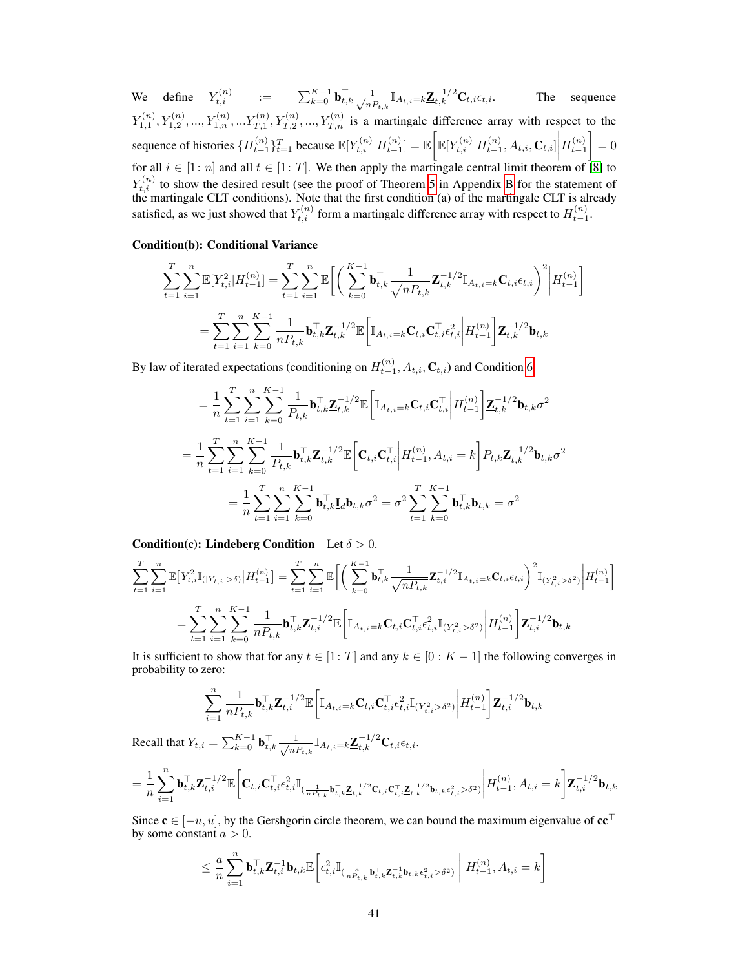We define  $Y_{t,i}^{(n)}$  :=  $\sum_{k=0}^{K-1} \mathbf{b}_{t,k}^\top \frac{1}{\sqrt{n!}}$  $\frac{1}{n_{t,k}}\mathbb{I}_{A_{t,i}=k}\underline{\mathbf{Z}}_{t,k}^{-1/2}\mathbf{C}_{t,i}\epsilon_{t,i}.$  The sequence  $Y_{1,1}^{(n)}, Y_{1,2}^{(n)},..., Y_{1,n}^{(n)},...Y_{T,1}^{(n)}, Y_{T,2}^{(n)},..., Y_{T,n}^{(n)}$  is a martingale difference array with respect to the sequence of histories  $\{H_{t-1}^{(n)}\}_{t=1}^T$  because  $\mathbb{E}[Y_{t,i}^{(n)}|H_{t-1}^{(n)}] = \mathbb{E}\bigg[\mathbb{E}[Y_{t,i}^{(n)}|H_{t-1}^{(n)}, A_{t,i}, \mathbf{C}_{t,i}]\bigg| H_{t-1}^{(n)}$ for all  $i \in [1:n]$  and all  $t \in [1:T]$ . We then apply the martingale central limit theorem of [\[8\]](#page--1-7) to  $\Big] = 0$  $Y_{t,i}^{(n)}$  to show the desired result (see the proof of Theorem [5](#page-4-4) in Appendix [B](#page-4-5) for the statement of the martingale CLT conditions). Note that the first condition (a) of the martingale CLT is already satisfied, as we just showed that  $Y_{t,i}^{(n)}$  form a martingale difference array with respect to  $H_{t-1}^{(n)}$ .

## Condition(b): Conditional Variance

$$
\sum_{t=1}^{T} \sum_{i=1}^{n} \mathbb{E}[Y_{t,i}^{2}|H_{t-1}^{(n)}] = \sum_{t=1}^{T} \sum_{i=1}^{n} \mathbb{E}\bigg[\bigg(\sum_{k=0}^{K-1} \mathbf{b}_{t,k}^{\top} \frac{1}{\sqrt{n P_{t,k}}}\mathbf{Z}_{t,k}^{-1/2} \mathbb{I}_{A_{t,i}=k}\mathbf{C}_{t,i}\epsilon_{t,i}\bigg)^{2}\bigg|H_{t-1}^{(n)}\bigg]
$$

$$
= \sum_{t=1}^{T} \sum_{i=1}^{n} \sum_{k=0}^{K-1} \frac{1}{n P_{t,k}} \mathbf{b}_{t,k}^{\top} \mathbf{Z}_{t,k}^{-1/2} \mathbb{E}\bigg[\mathbb{I}_{A_{t,i}=k}\mathbf{C}_{t,i}\mathbf{C}_{t,i}^{\top} \epsilon_{t,i}^{2}\bigg|H_{t-1}^{(n)}\bigg]\mathbf{Z}_{t,k}^{-1/2} \mathbf{b}_{t,k}
$$

By law of iterated expectations (conditioning on  $H_{t-1}^{(n)}$ ,  $A_{t,i}$ ,  $\mathbf{C}_{t,i}$ ) and Condition [6,](#page-4-0)

$$
= \frac{1}{n} \sum_{t=1}^{T} \sum_{i=1}^{n} \sum_{k=0}^{K-1} \frac{1}{P_{t,k}} \mathbf{b}_{t,k}^{\top} \mathbf{Z}_{t,k}^{-1/2} \mathbb{E} \bigg[ \mathbb{I}_{A_{t,i}=k} \mathbf{C}_{t,i} \mathbf{C}_{t,i}^{\top} \bigg| H_{t-1}^{(n)} \bigg] \mathbf{Z}_{t,k}^{-1/2} \mathbf{b}_{t,k} \sigma^{2} \n= \frac{1}{n} \sum_{t=1}^{T} \sum_{i=1}^{n} \sum_{k=0}^{K-1} \frac{1}{P_{t,k}} \mathbf{b}_{t,k}^{\top} \mathbf{Z}_{t,k}^{-1/2} \mathbb{E} \bigg[ \mathbf{C}_{t,i} \mathbf{C}_{t,i}^{\top} \bigg| H_{t-1}^{(n)}, A_{t,i} = k \bigg] P_{t,k} \mathbf{Z}_{t,k}^{-1/2} \mathbf{b}_{t,k} \sigma^{2} \n= \frac{1}{n} \sum_{t=1}^{T} \sum_{i=1}^{n} \sum_{k=0}^{K-1} \mathbf{b}_{t,k}^{\top} \mathbf{I}_{d} \mathbf{b}_{t,k} \sigma^{2} = \sigma^{2} \sum_{t=1}^{T} \sum_{k=0}^{K-1} \mathbf{b}_{t,k}^{\top} \mathbf{b}_{t,k} = \sigma^{2}
$$

**Condition(c): Lindeberg Condition** Let  $\delta > 0$ .

$$
\sum_{t=1}^{T} \sum_{i=1}^{n} \mathbb{E}\big[Y_{t,i}^{2} \mathbb{I}_{(|Y_{t,i}|>\delta)}\big|H_{t-1}^{(n)}\big] = \sum_{t=1}^{T} \sum_{i=1}^{n} \mathbb{E}\bigg[\bigg(\sum_{k=0}^{K-1} \mathbf{b}_{t,k}^{\top} \frac{1}{\sqrt{n P_{t,k}}}\mathbf{Z}_{t,i}^{-1/2} \mathbb{I}_{A_{t,i}=k}\mathbf{C}_{t,i}\epsilon_{t,i}\bigg)^{2} \mathbb{I}_{(Y_{t,i}^{2}>\delta^{2})}\bigg|H_{t-1}^{(n)}\bigg]
$$

$$
= \sum_{t=1}^{T} \sum_{i=1}^{n} \sum_{k=0}^{K-1} \frac{1}{n P_{t,k}} \mathbf{b}_{t,k}^{\top} \mathbf{Z}_{t,i}^{-1/2} \mathbb{E}\bigg[\mathbb{I}_{A_{t,i}=k} \mathbf{C}_{t,i} \mathbf{C}_{t,i}^{\top} \epsilon_{t,i}^{2} \mathbb{I}_{(Y_{t,i}^{2}>\delta^{2})}\bigg|H_{t-1}^{(n)}\bigg] \mathbf{Z}_{t,i}^{-1/2} \mathbf{b}_{t,k}
$$

It is sufficient to show that for any  $t \in [1: T]$  and any  $k \in [0: K - 1]$  the following converges in probability to zero:

$$
\sum_{i=1}^n\frac{1}{nP_{t,k}}\mathbf{b}_{t,k}^\top\mathbf{Z}_{t,i}^{-1/2}\mathbb{E}\bigg[\mathbb{I}_{A_{t,i}=k}\mathbf{C}_{t,i}\mathbf{C}_{t,i}^\top\epsilon_{t,i}^2\mathbb{I}_{(Y_{t,i}^2>\delta^2)}\bigg|H_{t-1}^{(n)}\bigg]\mathbf{Z}_{t,i}^{-1/2}\mathbf{b}_{t,k}
$$

Recall that  $Y_{t,i} = \sum_{k=0}^{K-1} \mathbf{b}_{t,k}^{\top} \frac{1}{\sqrt{n}}$  $\frac{1}{n P_{t,k}} \mathbb{I}_{A_{t,i}=k} \underline{\mathbf{Z}}_{t,k}^{-1/2} \mathbf{C}_{t,i} \epsilon_{t,i}.$ 

$$
=\frac{1}{n}\sum_{i=1}^n \mathbf{b}_{t,k}^\top \mathbf{Z}_{t,i}^{-1/2}\mathbb{E}\bigg[\mathbf{C}_{t,i}\mathbf{C}_{t,i}^\top\boldsymbol{\epsilon}_{t,i}^2\mathbb{I}_{(\frac{1}{nP_{t,k}}\mathbf{b}_{t,k}^\top \mathbf{Z}_{t,k}^{-1/2}\mathbf{C}_{t,i}\mathbf{C}_{t,i}^\top \mathbf{Z}_{t,k}^{-1/2}\mathbf{b}_{t,k}\boldsymbol{\epsilon}_{t,i}^2>\delta^2)}\bigg|H_{t-1}^{(n)},A_{t,i}=k\bigg]\mathbf{Z}_{t,i}^{-1/2}\mathbf{b}_{t,k}
$$

Since  $c \in [-u, u]$ , by the Gershgorin circle theorem, we can bound the maximum eigenvalue of  $cc^{\top}$ by some constant  $a > 0$ .

$$
\leq \frac{a}{n}\sum_{i=1}^n \mathbf{b}_{t,k}^\top \mathbf{Z}_{t,i}^{-1} \mathbf{b}_{t,k} \mathbb{E}\bigg[ \epsilon_{t,i}^2 \mathbb{I}_{(\frac{a}{nP_{t,k}} \mathbf{b}_{t,k}^\top \mathbf{Z}_{t,k}^{-1} \mathbf{b}_{t,k} \epsilon_{t,i}^2 > \delta^2)} \Bigg| \, H_{t-1}^{(n)}, A_{t,i} = k \bigg]
$$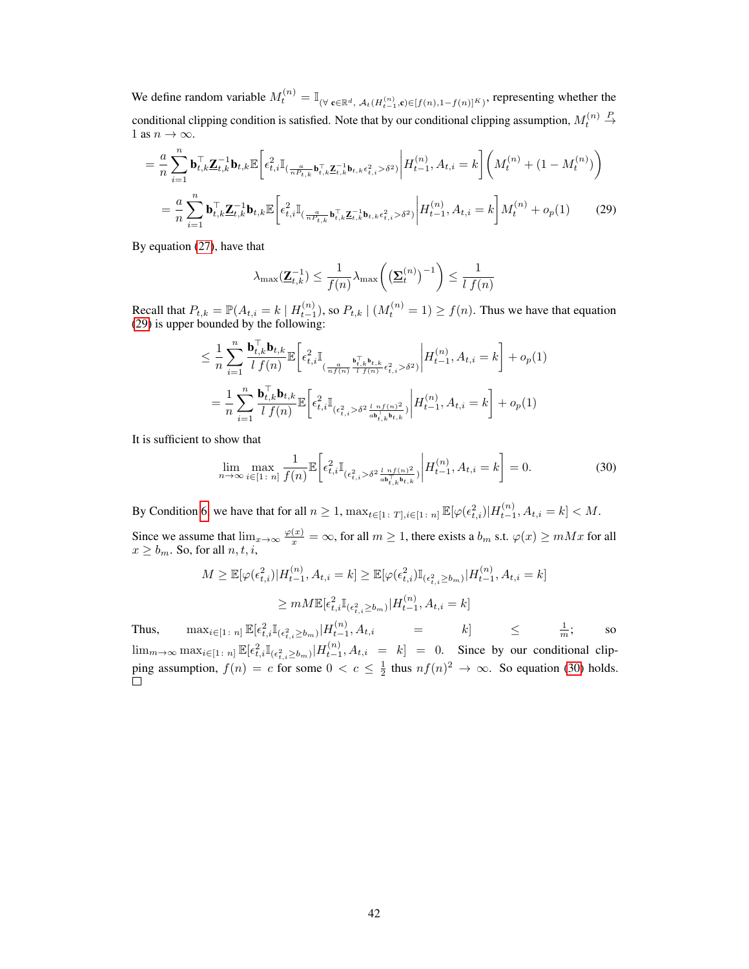We define random variable  $M_t^{(n)} = \mathbb{I}_{(\forall \mathbf{c} \in \mathbb{R}^d, \mathcal{A}_t(H_{t-1}^{(n)}, \mathbf{c}) \in [f(n), 1 - f(n)]^K)}$ , representing whether the conditional clipping condition is satisfied. Note that by our conditional clipping assumption,  $M_t^{(n)}$  $\stackrel{P}{\rightarrow}$ 1 as  $n \to \infty$ .

$$
= \frac{a}{n} \sum_{i=1}^{n} \mathbf{b}_{t,k}^{\top} \mathbf{Z}_{t,k}^{-1} \mathbf{b}_{t,k} \mathbb{E} \bigg[ \epsilon_{t,i}^{2} \mathbb{I}_{(\frac{a}{n P_{t,k}} \mathbf{b}_{t,k}^{\top} \mathbf{Z}_{t,k}^{-1} \mathbf{b}_{t,k} \epsilon_{t,i}^{2} > \delta^{2})} \bigg| H_{t-1}^{(n)}, A_{t,i} = k \bigg] \bigg( M_{t}^{(n)} + (1 - M_{t}^{(n)}) \bigg)
$$
  

$$
= \frac{a}{n} \sum_{i=1}^{n} \mathbf{b}_{t,k}^{\top} \mathbf{Z}_{t,k}^{-1} \mathbf{b}_{t,k} \mathbb{E} \bigg[ \epsilon_{t,i}^{2} \mathbb{I}_{(\frac{a}{n P_{t,k}} \mathbf{b}_{t,k}^{\top} \mathbf{Z}_{t,k}^{-1} \mathbf{b}_{t,k} \epsilon_{t,i}^{2} > \delta^{2})} \bigg| H_{t-1}^{(n)}, A_{t,i} = k \bigg] M_{t}^{(n)} + o_{p}(1) \qquad (29)
$$

<span id="page-29-0"></span>By equation [\(27\)](#page-26-2), have that

$$
\lambda_{\max}(\underline{\mathbf{Z}}_{t,k}^{-1}) \le \frac{1}{f(n)} \lambda_{\max}\bigg(\big(\underline{\mathbf{\Sigma}}_t^{(n)}\big)^{-1}\bigg) \le \frac{1}{l\ f(n)}
$$

Recall that  $P_{t,k} = \mathbb{P}(A_{t,i} = k \mid H_{t-1}^{(n)})$ , so  $P_{t,k} \mid (M_t^{(n)} = 1) \ge f(n)$ . Thus we have that equation [\(29\)](#page-29-0) is upper bounded by the following:

$$
\leq \frac{1}{n} \sum_{i=1}^{n} \frac{\mathbf{b}_{t,k}^{\top} \mathbf{b}_{t,k}}{l f(n)} \mathbb{E} \bigg[ \epsilon_{t,i}^{2} \mathbb{I}_{(\frac{a}{n f(n)} \frac{\mathbf{b}_{t,k}^{\top} \mathbf{b}_{t,k}}{l f(n)} \epsilon_{t,i}^{2} > \delta^{2})} \bigg| H_{t-1}^{(n)}, A_{t,i} = k \bigg] + o_{p}(1)
$$

$$
= \frac{1}{n} \sum_{i=1}^{n} \frac{\mathbf{b}_{t,k}^{\top} \mathbf{b}_{t,k}}{l f(n)} \mathbb{E} \bigg[ \epsilon_{t,i}^{2} \mathbb{I}_{(\epsilon_{t,i}^{2} > \delta^{2} \frac{l n f(n)^{2}}{a \mathbf{b}_{t,k}^{\top} \mathbf{b}_{t,k}})} \bigg| H_{t-1}^{(n)}, A_{t,i} = k \bigg] + o_{p}(1)
$$

It is sufficient to show that

<span id="page-29-1"></span>
$$
\lim_{n \to \infty} \max_{i \in [1:n]} \frac{1}{f(n)} \mathbb{E} \bigg[ \epsilon_{t,i}^2 \mathbb{I}_{(\epsilon_{t,i}^2 > \delta^2 \frac{l \cdot n f(n)^2}{ab_{t,k}^1 b_{t,k}})} \bigg| H_{t-1}^{(n)}, A_{t,i} = k \bigg] = 0. \tag{30}
$$

By Condition [6,](#page-4-0) we have that for all  $n \geq 1$ ,  $\max_{t \in [1\colon T], i \in [1\colon n]} \mathbb{E}[\varphi(\epsilon_{t,i}^2)|H_{t-1}^{(n)}, A_{t,i} = k] < M$ .

Since we assume that  $\lim_{x\to\infty} \frac{\varphi(x)}{x} = \infty$ , for all  $m \ge 1$ , there exists a  $b_m$  s.t.  $\varphi(x) \ge m M x$  for all  $x \ge b_m$ . So, for all  $n, t, i$ ,

$$
M \geq \mathbb{E}[\varphi(\epsilon_{t,i}^2) | H_{t-1}^{(n)}, A_{t,i} = k] \geq \mathbb{E}[\varphi(\epsilon_{t,i}^2) \mathbb{I}_{(\epsilon_{t,i}^2 \geq b_m)} | H_{t-1}^{(n)}, A_{t,i} = k]
$$
  

$$
\geq mM \mathbb{E}[\epsilon_{t,i}^2 \mathbb{I}_{(\epsilon_{t,i}^2 \geq b_m)} | H_{t-1}^{(n)}, A_{t,i} = k]
$$

Thus,  $\max_{i \in [1 \colon n]} \mathbb{E}[\epsilon_{t,i}^2 \mathbb{I}_{(\epsilon_{t,i}^2 \ge b_m)} | H_{t-1}^{(n)}, A_{t,i}] = k] \le \frac{1}{m};$  so  $\lim_{m\to\infty} \max_{i\in[1\colon n]} \mathbb{E}[\epsilon_{t,i}^2\mathbb{I}_{(\epsilon_{t,i}^2\geq b_m)}|H_{t-1}^{(n)},A_{t,i} = k] = 0$ . Since by our conditional clipping assumption,  $f(n) = c$  for some  $0 < c \leq \frac{1}{2}$  thus  $nf(n)^2 \to \infty$ . So equation [\(30\)](#page-29-1) holds.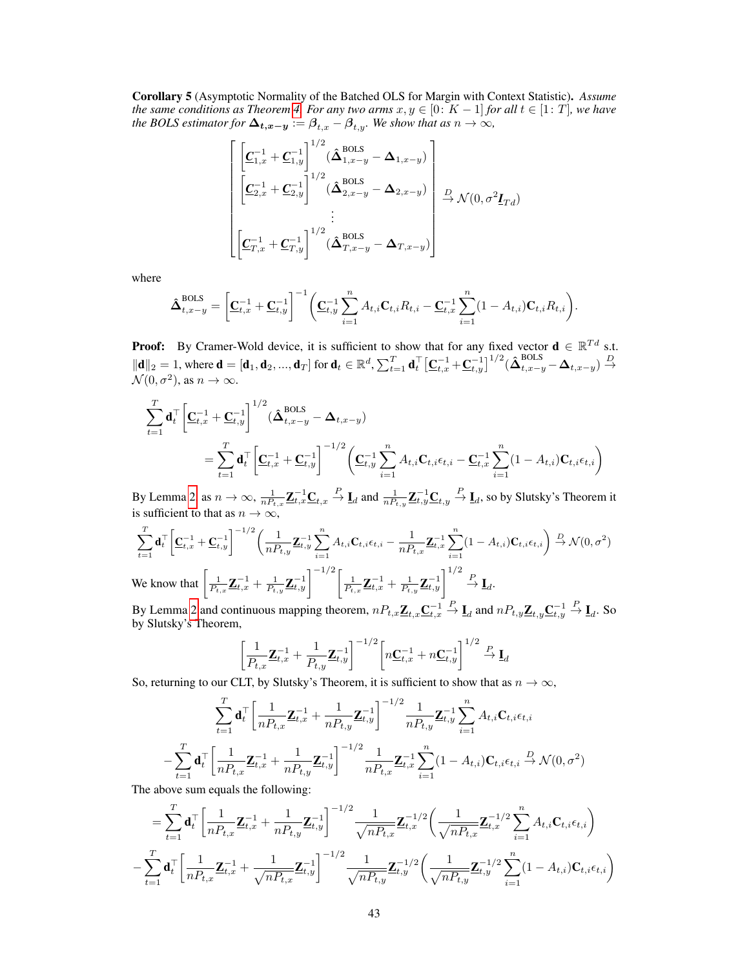Corollary 5 (Asymptotic Normality of the Batched OLS for Margin with Context Statistic). *Assume the same conditions as Theorem [4.](#page--1-12) For any two arms*  $x, y \in [0: K - 1]$  *for all*  $t \in [1: T]$ *, we have the BOLS estimator for*  $\Delta_{t,x-y} := \beta_{t,x} - \beta_{t,y}$ *. We show that as*  $n \to \infty$ *,* 

$$
\begin{bmatrix}\n\underline{c}_{1,x}^{-1} + \underline{c}_{1,y}^{-1}\n\end{bmatrix}^{1/2} (\hat{\mathbf{\Delta}}_{1,x-y}^{\text{BOLS}} - \mathbf{\Delta}_{1,x-y})\n\begin{bmatrix}\n\underline{c}_{2,x}^{-1} + \underline{c}_{2,y}^{-1}\n\end{bmatrix}^{1/2} (\hat{\mathbf{\Delta}}_{2,x-y}^{\text{BOLS}} - \mathbf{\Delta}_{2,x-y})\n\begin{bmatrix}\n\underline{D} & \mathcal{N}(0, \sigma^2 \underline{I}_{Td}) \\
\vdots \\
\underline{C}_{T,x}^{-1} + \underline{C}_{T,y}^{-1}\n\end{bmatrix}^{1/2} (\hat{\mathbf{\Delta}}_{T,x-y}^{\text{BOLS}} - \mathbf{\Delta}_{T,x-y})\n\end{bmatrix} \stackrel{D}{\rightarrow} \mathcal{N}(0, \sigma^2 \underline{I}_{Td})
$$

where

$$
\hat{\Delta}_{t,x-y}^{\text{BOLS}} = \left[ \underline{\mathbf{C}}_{t,x}^{-1} + \underline{\mathbf{C}}_{t,y}^{-1} \right]^{-1} \left( \underline{\mathbf{C}}_{t,y}^{-1} \sum_{i=1}^{n} A_{t,i} \mathbf{C}_{t,i} R_{t,i} - \underline{\mathbf{C}}_{t,x}^{-1} \sum_{i=1}^{n} (1 - A_{t,i}) \mathbf{C}_{t,i} R_{t,i} \right).
$$

**Proof:** By Cramer-Wold device, it is sufficient to show that for any fixed vector  $\mathbf{d} \in \mathbb{R}^{Td}$  s.t.  $\|\mathbf{d}\|_2 = 1$ , where  $\mathbf{d} = [\mathbf{d}_1, \mathbf{d}_2, ..., \mathbf{d}_T]$  for  $\mathbf{d}_t \in \mathbb{R}^d$ ,  $\sum_{t=1}^T \mathbf{d}_t^\top \left[\underline{\mathbf{C}}_{t,x}^{-1} + \underline{\mathbf{C}}_{t,y}^{-1}\right]^{1/2} (\hat{\boldsymbol{\Delta}}_{t,x-y}^{\text{BOLS}} - \boldsymbol{\Delta}_{t,x-y}) \stackrel{D}{\rightarrow}$  $\mathcal{N}(0, \sigma^2)$ , as  $n \to \infty$ .

$$
\sum_{t=1}^{T} \mathbf{d}_t^{\top} \left[ \underline{\mathbf{C}}_{t,x}^{-1} + \underline{\mathbf{C}}_{t,y}^{-1} \right]^{1/2} (\hat{\boldsymbol{\Delta}}_{t,x-y}^{\text{BOLS}} - \boldsymbol{\Delta}_{t,x-y})
$$
\n
$$
= \sum_{t=1}^{T} \mathbf{d}_t^{\top} \left[ \underline{\mathbf{C}}_{t,x}^{-1} + \underline{\mathbf{C}}_{t,y}^{-1} \right]^{-1/2} \left( \underline{\mathbf{C}}_{t,y}^{-1} \sum_{i=1}^{n} A_{t,i} \mathbf{C}_{t,i} \epsilon_{t,i} - \underline{\mathbf{C}}_{t,x}^{-1} \sum_{i=1}^{n} (1 - A_{t,i}) \mathbf{C}_{t,i} \epsilon_{t,i} \right)
$$

By Lemma [2,](#page-25-0) as  $n \to \infty$ ,  $\frac{1}{nP_{t,x}} \mathbf{Z}_{t,x}^{-1} \mathbf{C}_{t,x} \stackrel{P}{\to} \mathbf{I}_d$  and  $\frac{1}{nP_{t,y}} \mathbf{Z}_{t,y}^{-1} \mathbf{C}_{t,y} \stackrel{P}{\to} \mathbf{I}_d$ , so by Slutsky's Theorem it is sufficient to that as  $n \to \infty$ ,

$$
\sum_{t=1}^{T} \mathbf{d}_{t}^{\top} \left[ \mathbf{C}_{t,x}^{-1} + \mathbf{C}_{t,y}^{-1} \right]^{-1/2} \left( \frac{1}{n P_{t,y}} \mathbf{Z}_{t,y}^{-1} \sum_{i=1}^{n} A_{t,i} \mathbf{C}_{t,i} \epsilon_{t,i} - \frac{1}{n P_{t,x}} \mathbf{Z}_{t,x}^{-1} \sum_{i=1}^{n} (1 - A_{t,i}) \mathbf{C}_{t,i} \epsilon_{t,i} \right) \stackrel{D}{\rightarrow} \mathcal{N}(0, \sigma^{2})
$$
\nWe know that

\n
$$
\left[ \frac{1}{P_{t,x}} \mathbf{Z}_{t,x}^{-1} + \frac{1}{P_{t,y}} \mathbf{Z}_{t,y}^{-1} \right]^{-1/2} \left[ \frac{1}{P_{t,x}} \mathbf{Z}_{t,x}^{-1} + \frac{1}{P_{t,y}} \mathbf{Z}_{t,y}^{-1} \right]^{1/2} \stackrel{P}{\rightarrow} \mathbf{I}_{d}.
$$
\nBut shows 2 and continuous meaning theorem, we have

\n
$$
P_{t,x} = \sum_{i=1}^{n} \sum_{i=1}^{n} \mathbf{Z}_{t,x}^{-1} \mathbf{Z}_{t,x}^{-1} \mathbf{Z}_{t,x}^{-1} \mathbf{Z}_{t,x}^{-1} \mathbf{Z}_{t,x}^{-1} \mathbf{Z}_{t,x}^{-1} \mathbf{Z}_{t,x}^{-1} \mathbf{Z}_{t,x}^{-1} \mathbf{Z}_{t,x}^{-1} \mathbf{Z}_{t,x}^{-1} \mathbf{Z}_{t,x}^{-1} \mathbf{Z}_{t,x}^{-1} \mathbf{Z}_{t,x}^{-1} \mathbf{Z}_{t,x}^{-1} \mathbf{Z}_{t,x}^{-1} \mathbf{Z}_{t,x}^{-1} \mathbf{Z}_{t,x}^{-1} \mathbf{Z}_{t,x}^{-1} \mathbf{Z}_{t,x}^{-1} \mathbf{Z}_{t,x}^{-1} \mathbf{Z}_{t,x}^{-1} \mathbf{Z}_{t,x}^{-1} \mathbf{Z}_{t,x}^{-1} \mathbf{Z}_{t,x}^{-1} \mathbf{Z}_{t,x}^{-1} \mathbf{Z}_{t,x}^{-1} \mathbf{Z}_{t,x}^{-1} \mathbf{Z}_{t,x}^{-1} \mathbf{Z}_{t,x}^{-1} \mathbf{Z}_{t,x}^{-1} \mathbf{Z
$$

By Lemma [2](#page-25-0) and continuous mapping theorem,  $nP_{t,x}\underline{\mathbf{Z}}_{t,x}\underline{\mathbf{C}}_{t,x}^{-1}$  $\stackrel{P}{\to} \underline{\mathbf{I}}_d$  and  $nP_{t,y}\underline{\mathbf{Z}}_{t,y}\underline{\mathbf{C}}_{t,y}^{-1}$  $\stackrel{P}{\to} \underline{\mathbf{I}}_d$ . So by Slutsky's Theorem,

$$
\left[\frac{1}{P_{t,x}}\mathbf{Z}_{t,x}^{-1} + \frac{1}{P_{t,y}}\mathbf{Z}_{t,y}^{-1}\right]^{-1/2} \left[n\mathbf{C}_{t,x}^{-1} + n\mathbf{C}_{t,y}^{-1}\right]^{1/2} \xrightarrow{P} \mathbf{I}_d
$$

So, returning to our CLT, by Slutsky's Theorem, it is sufficient to show that as  $n \to \infty$ ,

$$
\sum_{t=1}^{T} \mathbf{d}_t^{\top} \left[ \frac{1}{n P_{t,x}} \mathbf{Z}_{t,x}^{-1} + \frac{1}{n P_{t,y}} \mathbf{Z}_{t,y}^{-1} \right]^{-1/2} \frac{1}{n P_{t,y}} \mathbf{Z}_{t,y}^{-1} \sum_{i=1}^{n} A_{t,i} \mathbf{C}_{t,i} \epsilon_{t,i}
$$
\n
$$
- \sum_{t=1}^{T} \mathbf{d}_t^{\top} \left[ \frac{1}{n P_{t,x}} \mathbf{Z}_{t,x}^{-1} + \frac{1}{n P_{t,y}} \mathbf{Z}_{t,y}^{-1} \right]^{-1/2} \frac{1}{n P_{t,x}} \mathbf{Z}_{t,x}^{-1} \sum_{i=1}^{n} (1 - A_{t,i}) \mathbf{C}_{t,i} \epsilon_{t,i} \xrightarrow{D} \mathcal{N}(0, \sigma^2)
$$
\nwe can conclude that following:

The above sum equals the following:

−

$$
= \sum_{t=1}^{T} \mathbf{d}_t^{\top} \left[ \frac{1}{n P_{t,x}} \mathbf{Z}_{t,x}^{-1} + \frac{1}{n P_{t,y}} \mathbf{Z}_{t,y}^{-1} \right]^{-1/2} \frac{1}{\sqrt{n P_{t,x}}} \mathbf{Z}_{t,x}^{-1/2} \left( \frac{1}{\sqrt{n P_{t,x}}} \mathbf{Z}_{t,x}^{-1/2} \sum_{i=1}^{n} A_{t,i} \mathbf{C}_{t,i} \epsilon_{t,i} \right) - \sum_{t=1}^{T} \mathbf{d}_t^{\top} \left[ \frac{1}{n P_{t,x}} \mathbf{Z}_{t,x}^{-1} + \frac{1}{\sqrt{n P_{t,x}}} \mathbf{Z}_{t,y}^{-1} \right]^{-1/2} \frac{1}{\sqrt{n P_{t,y}}} \mathbf{Z}_{t,y}^{-1/2} \left( \frac{1}{\sqrt{n P_{t,y}}} \mathbf{Z}_{t,y}^{-1/2} \sum_{i=1}^{n} (1 - A_{t,i}) \mathbf{C}_{t,i} \epsilon_{t,i} \right)
$$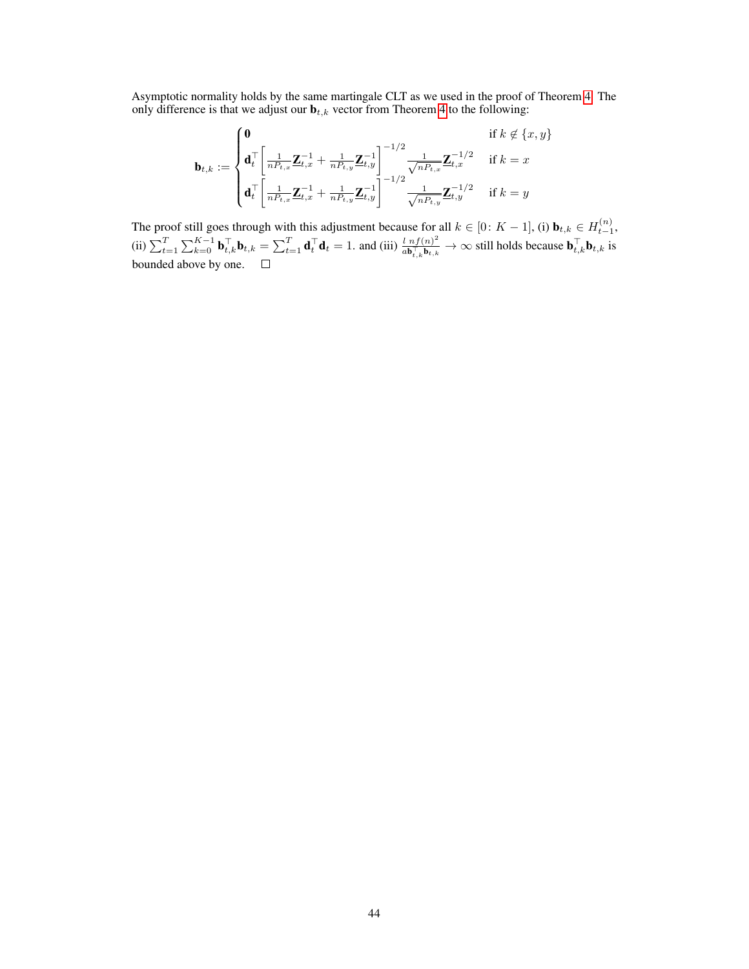Asymptotic normality holds by the same martingale CLT as we used in the proof of Theorem [4.](#page--1-12) The only difference is that we adjust our  $\mathbf{b}_{t,k}$  vector from Theorem [4](#page--1-12) to the following:

$$
\mathbf{b}_{t,k} := \begin{cases} \mathbf{0} & \text{if } k \notin \{x, y\} \\ \mathbf{d}_t^\top \bigg[ \frac{1}{n P_{t,x}} \mathbf{Z}_{t,x}^{-1} + \frac{1}{n P_{t,y}} \mathbf{Z}_{t,y}^{-1} \bigg]^{-1/2} \frac{1}{\sqrt{n P_{t,x}}} \mathbf{Z}_{t,x}^{-1/2} & \text{if } k = x \\ \mathbf{d}_t^\top \bigg[ \frac{1}{n P_{t,x}} \mathbf{Z}_{t,x}^{-1} + \frac{1}{n P_{t,y}} \mathbf{Z}_{t,y}^{-1} \bigg]^{-1/2} \frac{1}{\sqrt{n P_{t,y}}} \mathbf{Z}_{t,y}^{-1/2} & \text{if } k = y \end{cases}
$$

The proof still goes through with this adjustment because for all  $k \in [0: K - 1]$ , (i)  $\mathbf{b}_{t,k} \in H_{t-1}^{(n)}$ , (ii)  $\sum_{t=1}^{T} \sum_{k=0}^{K-1} \mathbf{b}_{t,k}^{\top} \mathbf{b}_{t,k} = \sum_{t=1}^{T} \mathbf{d}_{t}^{\top} \mathbf{d}_{t} = 1$ . and (iii)  $\frac{l \; n f(n)^2}{a \mathbf{b}_{t,k}^{\top} \mathbf{b}_{t,k}}$  $\frac{l \; n f(n)^2}{\sigma \mathbf{b}_{t,k}^{\top} \mathbf{b}_{t,k}} \to \infty$  still holds because  $\mathbf{b}_{t,k}^{\top} \mathbf{b}_{t,k}$  is bounded above by one.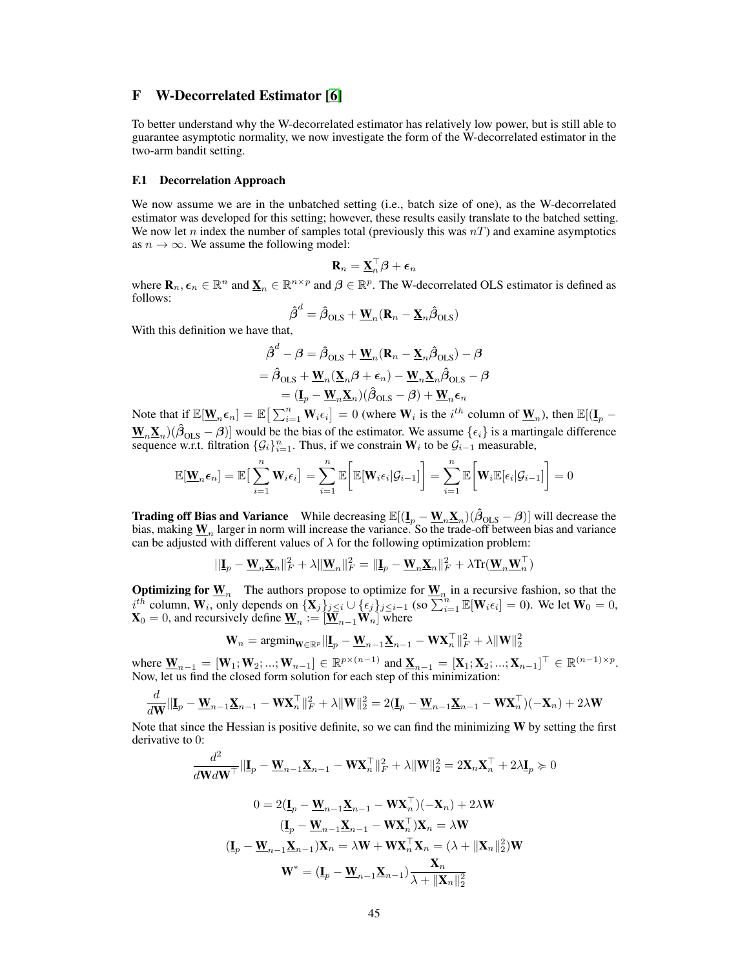# <span id="page-32-0"></span>F W-Decorrelated Estimator [\[6\]](#page--1-0)

To better understand why the W-decorrelated estimator has relatively low power, but is still able to guarantee asymptotic normality, we now investigate the form of the W-decorrelated estimator in the two-arm bandit setting.

#### F.1 Decorrelation Approach

We now assume we are in the unbatched setting (i.e., batch size of one), as the W-decorrelated estimator was developed for this setting; however, these results easily translate to the batched setting. We now let n index the number of samples total (previously this was  $nT$ ) and examine asymptotics as  $n \to \infty$ . We assume the following model:

$$
\mathbf{R}_n = \underline{\mathbf{X}}_n^\top \boldsymbol{\beta} + \boldsymbol{\epsilon}_n
$$

where  $\mathbf{R}_n, \epsilon_n \in \mathbb{R}^n$  and  $\underline{\mathbf{X}}_n \in \mathbb{R}^{n \times p}$  and  $\beta \in \mathbb{R}^p$ . The W-decorrelated OLS estimator is defined as follows:

$$
\hat{\boldsymbol{\beta}}^d = \hat{\boldsymbol{\beta}}_{\text{OLS}} + \underline{\mathbf{W}}_n (\mathbf{R}_n - \underline{\mathbf{X}}_n \hat{\boldsymbol{\beta}}_{\text{OLS}})
$$

With this definition we have that,

$$
\hat{\boldsymbol{\beta}}^{d} - \boldsymbol{\beta} = \hat{\boldsymbol{\beta}}_{\text{OLS}} + \underline{\mathbf{W}}_{n} (\mathbf{R}_{n} - \underline{\mathbf{X}}_{n} \hat{\boldsymbol{\beta}}_{\text{OLS}}) - \boldsymbol{\beta} \n= \hat{\boldsymbol{\beta}}_{\text{OLS}} + \underline{\mathbf{W}}_{n} (\underline{\mathbf{X}}_{n} \boldsymbol{\beta} + \boldsymbol{\epsilon}_{n}) - \underline{\mathbf{W}}_{n} \underline{\mathbf{X}}_{n} \hat{\boldsymbol{\beta}}_{\text{OLS}} - \boldsymbol{\beta} \n= (\underline{\mathbf{I}}_{p} - \underline{\mathbf{W}}_{n} \underline{\mathbf{X}}_{n}) (\hat{\boldsymbol{\beta}}_{\text{OLS}} - \boldsymbol{\beta}) + \underline{\mathbf{W}}_{n} \boldsymbol{\epsilon}_{n}
$$

Note that if  $\mathbb{E}[\underline{\mathbf{W}}_n \boldsymbol{\epsilon}_n] = \mathbb{E} \big[ \sum_{i=1}^n \mathbf{W}_i \boldsymbol{\epsilon}_i \big] = 0$  (where  $\mathbf{W}_i$  is the  $i^{th}$  column of  $\underline{\mathbf{W}}_n$ ), then  $\mathbb{E}[(\underline{\mathbf{I}}_p - \nabla \cdot \mathbf{W}_n \mathbf{H}_n^T \mathbf{H}_n^T \mathbf{H}_n^T \mathbf{H}_n^T \mathbf{H}_n^T \mathbf$  $\underline{W}_n \underline{X}_n$ )( $\hat{\beta}_{OLS} - \beta$ ) would be the bias of the estimator. We assume  $\{\epsilon_i\}$  is a martingale difference sequence w.r.t. filtration  $\{\mathcal{G}_i\}_{i=1}^n$ . Thus, if we constrain  $W_i$  to be  $\mathcal{G}_{i-1}$  measurable,

$$
\mathbb{E}[\mathbf{W}_n \epsilon_n] = \mathbb{E}\big[\sum_{i=1}^n \mathbf{W}_i \epsilon_i\big] = \sum_{i=1}^n \mathbb{E}\big[\mathbb{E}[\mathbf{W}_i \epsilon_i | \mathcal{G}_{i-1}]\big] = \sum_{i=1}^n \mathbb{E}\big[\mathbf{W}_i \mathbb{E}[\epsilon_i | \mathcal{G}_{i-1}]\big] = 0
$$

**Trading off Bias and Variance** While decreasing  $\mathbb{E}[(\mathbf{I}_p - \mathbf{W}_n \mathbf{X}_n)(\hat{\beta}_{OLS} - \beta)]$  will decrease the bias, making  $\underline{\mathbf{W}}_n$  larger in norm will increase the variance. So the trade-off between bias and variance can be adjusted with different values of  $\lambda$  for the following optimization problem:

$$
||\mathbf{I}_p - \mathbf{W}_n \mathbf{X}_n||_F^2 + \lambda ||\mathbf{W}_n||_F^2 = ||\mathbf{I}_p - \mathbf{W}_n \mathbf{X}_n||_F^2 + \lambda \text{Tr}(\mathbf{W}_n \mathbf{W}_n^\top)
$$

**Optimizing for**  $\underline{W}_n$  The authors propose to optimize for  $\underline{W}_n$  in a recursive fashion, so that the  $i^{t\tilde{h}}$  column,  $W_i$ , only depends on  $\{X_j\}_{j\leq i} \cup \{\epsilon_j\}_{j\leq i-1}$  (so  $\sum_{i=1}^n \mathbb{E}[W_i \epsilon_i] = 0$ ). We let  $W_0 = 0$ ,  $\mathbf{X}_0 = 0$ , and recursively define  $\underline{\mathbf{W}}_n := [\underline{\mathbf{W}}_{n-1}\mathbf{W}_n]$  where

$$
\mathbf{W}_n = \mathop{\rm argmin}_{\mathbf{W} \in \mathbb{R}^p} \|\mathbf{I}_p - \underline{\mathbf{W}}_{n-1} \underline{\mathbf{X}}_{n-1} - \mathbf{W} \mathbf{X}_n^\top\|_F^2 + \lambda \|\mathbf{W}\|_2^2
$$

where  $\underline{W}_{n-1} = [W_1; W_2; ...; W_{n-1}] \in \mathbb{R}^{p \times (n-1)}$  and  $\underline{X}_{n-1} = [X_1; X_2; ...; X_{n-1}]^{\top} \in \mathbb{R}^{(n-1) \times p}$ . Now, let us find the closed form solution for each step of this minimization:

$$
\frac{d}{d\mathbf{W}}\|\mathbf{I}_p - \mathbf{W}_{n-1}\mathbf{X}_{n-1} - \mathbf{W}\mathbf{X}_n^\top\|_F^2 + \lambda \|\mathbf{W}\|_2^2 = 2(\mathbf{I}_p - \mathbf{W}_{n-1}\mathbf{X}_{n-1} - \mathbf{W}\mathbf{X}_n^\top)(-\mathbf{X}_n) + 2\lambda \mathbf{W}
$$

Note that since the Hessian is positive definite, so we can find the minimizing  $W$  by setting the first derivative to 0:

$$
\frac{d^2}{d\mathbf{W}d\mathbf{W}^\top} \|\mathbf{I}_p - \mathbf{W}_{n-1}\mathbf{X}_{n-1} - \mathbf{W}\mathbf{X}_n^\top\|_F^2 + \lambda \|\mathbf{W}\|_2^2 = 2\mathbf{X}_n\mathbf{X}_n^\top + 2\lambda \mathbf{I}_p \succcurlyeq 0
$$
  

$$
0 = 2(\mathbf{I}_p - \mathbf{W}_{n-1}\mathbf{X}_{n-1} - \mathbf{W}\mathbf{X}_n^\top)(-\mathbf{X}_n) + 2\lambda \mathbf{W}
$$
  

$$
(\mathbf{I}_p - \mathbf{W}_{n-1}\mathbf{X}_{n-1} - \mathbf{W}\mathbf{X}_n^\top)\mathbf{X}_n = \lambda \mathbf{W}
$$
  

$$
(\mathbf{I}_p - \mathbf{W}_{n-1}\mathbf{X}_{n-1})\mathbf{X}_n = \lambda \mathbf{W} + \mathbf{W}\mathbf{X}_n^\top\mathbf{X}_n = (\lambda + \|\mathbf{X}_n\|_2^2)\mathbf{W}
$$
  

$$
\mathbf{W}^* = (\mathbf{I}_p - \mathbf{W}_{n-1}\mathbf{X}_{n-1})\frac{\mathbf{X}_n}{\lambda + \|\mathbf{X}_n\|_2^2}
$$